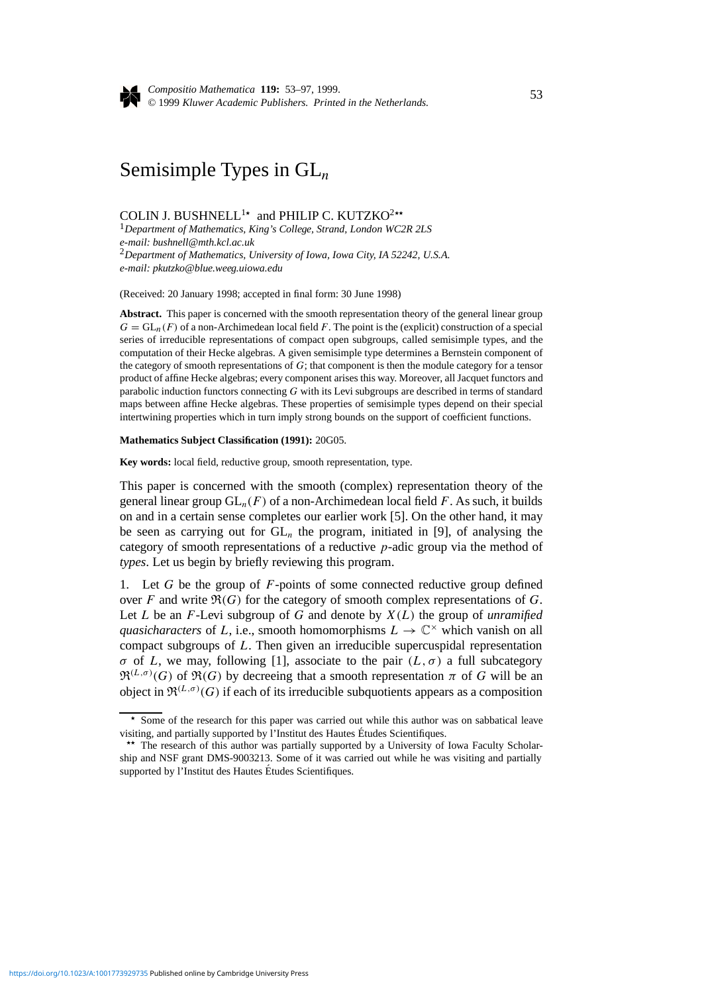

*Compositio Mathematica* **119:** 53–97, 1999. © 1999 *Kluwer Academic Publishers. Printed in the Netherlands.* <sup>53</sup>

# Semisimple Types in GL*<sup>n</sup>*

COLIN J. BUSHNELL<sup>1\*</sup> and PHILIP C. KUTZKO<sup>2\*\*</sup>

<sup>1</sup>*Department of Mathematics, King's College, Strand, London WC2R 2LS e-mail: bushnell@mth.kcl.ac.uk* <sup>2</sup>*Department of Mathematics, University of Iowa, Iowa City, IA 52242, U.S.A. e-mail: pkutzko@blue.weeg.uiowa.edu*

(Received: 20 January 1998; accepted in final form: 30 June 1998)

**Abstract.** This paper is concerned with the smooth representation theory of the general linear group  $G = GL_n(F)$  of a non-Archimedean local field *F*. The point is the (explicit) construction of a special series of irreducible representations of compact open subgroups, called semisimple types, and the computation of their Hecke algebras. A given semisimple type determines a Bernstein component of the category of smooth representations of *G*; that component is then the module category for a tensor product of affine Hecke algebras; every component arises this way. Moreover, all Jacquet functors and parabolic induction functors connecting *G* with its Levi subgroups are described in terms of standard maps between affine Hecke algebras. These properties of semisimple types depend on their special intertwining properties which in turn imply strong bounds on the support of coefficient functions.

#### **Mathematics Subject Classification (1991):** 20G05.

**Key words:** local field, reductive group, smooth representation, type.

This paper is concerned with the smooth (complex) representation theory of the general linear group  $GL_n(F)$  of a non-Archimedean local field F. As such, it builds on and in a certain sense completes our earlier work [5]. On the other hand, it may be seen as carrying out for GL*<sup>n</sup>* the program, initiated in [9], of analysing the category of smooth representations of a reductive *p*-adic group via the method of *types*. Let us begin by briefly reviewing this program.

1. Let *G* be the group of *F*-points of some connected reductive group defined over  $F$  and write  $\Re(G)$  for the category of smooth complex representations of  $G$ . Let *L* be an *F*-Levi subgroup of *G* and denote by *X(L)* the group of *unramified quasicharacters* of *L*, i.e., smooth homomorphisms  $L \to \mathbb{C}^\times$  which vanish on all compact subgroups of *L*. Then given an irreducible supercuspidal representation *σ* of *L*, we may, following [1], associate to the pair  $(L, σ)$  a full subcategory  $\mathfrak{R}^{(L,\sigma)}(G)$  of  $\mathfrak{R}(G)$  by decreeing that a smooth representation  $\pi$  of  $G$  will be an object in  $\mathfrak{R}^{(L,\sigma)}(G)$  if each of its irreducible subquotients appears as a composition

*<sup>?</sup>* Some of the research for this paper was carried out while this author was on sabbatical leave

visiting, and partially supported by l'Institut des Hautes Études Scientifiques.<br>
<sup>\*\*</sup> The research of this author was partially supported by a University of Iowa Faculty Scholarship and NSF grant DMS-9003213. Some of it was carried out while he was visiting and partially supported by l'Institut des Hautes Etudes Scientifiques. ´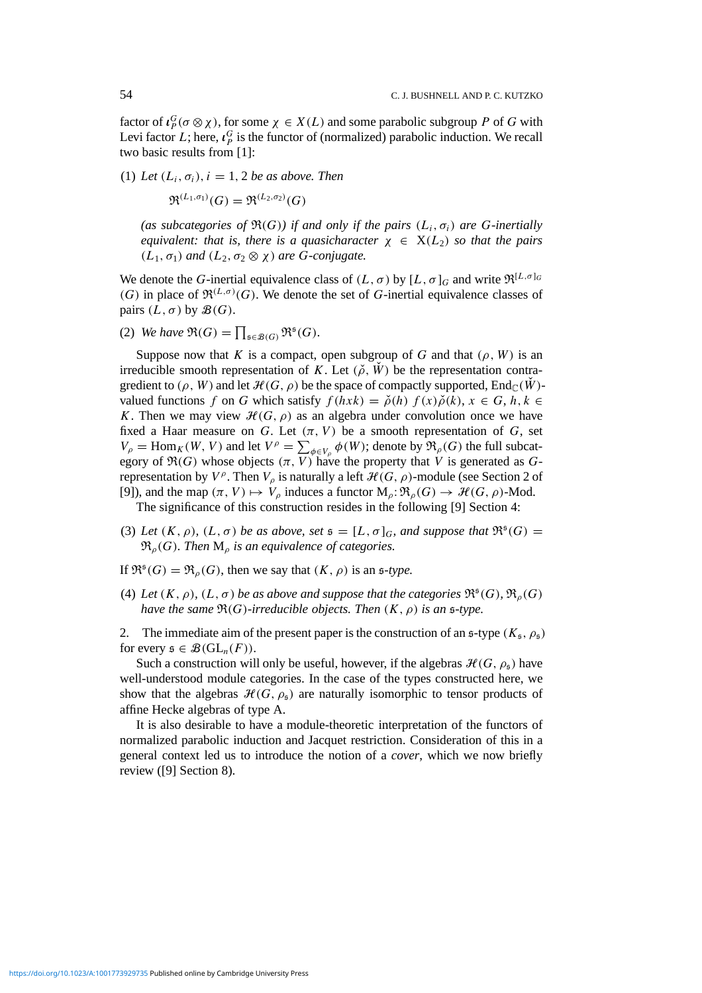factor of  $\iota_P^G$  ( $\sigma \otimes \chi$ ), for some  $\chi \in X(L)$  and some parabolic subgroup *P* of *G* with Levi factor *L*; here,  $\iota_p^G$  is the functor of (normalized) parabolic induction. We recall two basic results from [1]:

(1) Let  $(L_i, \sigma_i)$ ,  $i = 1, 2$  *be as above. Then* 

 $\mathfrak{R}^{(L_1,\sigma_1)}(G) = \mathfrak{R}^{(L_2,\sigma_2)}(G)$ 

*(as subcategories of*  $\Re(G)$ *) if and only if the pairs*  $(L_i, \sigma_i)$  *are G*-inertially *equivalent: that is, there is a quasicharacter*  $\chi \in X(L_2)$  *so that the pairs*  $(L_1, \sigma_1)$  *and*  $(L_2, \sigma_2 \otimes \chi)$  *are G-conjugate.* 

We denote the *G*-inertial equivalence class of  $(L, \sigma)$  by  $[L, \sigma]_G$  and write  $\mathfrak{R}^{[L, \sigma]_G}$ (G) in place of  $\mathfrak{R}^{(L,\sigma)}(G)$ . We denote the set of G-inertial equivalence classes of pairs  $(L, \sigma)$  by  $\mathcal{B}(G)$ .

(2) *We have*  $\mathfrak{R}(G) = \prod_{\mathfrak{s} \in \mathcal{B}(G)} \mathfrak{R}^{\mathfrak{s}}(G)$ .

Suppose now that *K* is a compact, open subgroup of *G* and that  $(\rho, W)$  is an irreducible smooth representation of *K*. Let  $(\check{\rho}, \check{W})$  be the representation contragredient to  $(\rho, W)$  and let  $\mathcal{H}(G, \rho)$  be the space of compactly supported, End<sub>C</sub>(W)valued functions *f* on *G* which satisfy  $f(hxk) = \check{\rho}(h) f(x)\check{\rho}(k), x \in G, h, k \in$ *K*. Then we may view  $\mathcal{H}(G, \rho)$  as an algebra under convolution once we have fixed a Haar measure on *G*. Let  $(\pi, V)$  be a smooth representation of *G*, set  $V_{\rho}$  = Hom<sub>*K*</sub>(*W*, *V*) and let  $V^{\rho} = \sum_{\phi \in V_{\rho}} \phi(W)$ ; denote by  $\Re_{\rho}(G)$  the full subcategory of  $\Re(G)$  whose objects  $(\pi, V)$  have the property that *V* is generated as *G*representation by  $V^{\rho}$ . Then  $V_{\rho}$  is naturally a left  $\mathcal{H}(G, \rho)$ -module (see Section 2 of [9]), and the map  $(\pi, V) \mapsto V_\rho$  induces a functor  $M_\rho: \mathfrak{R}_\rho(G) \to \mathcal{H}(G, \rho)$ -Mod.

The significance of this construction resides in the following [9] Section 4:

- (3) Let  $(K, \rho)$ ,  $(L, \sigma)$  be as above, set  $\mathfrak{s} = [L, \sigma]_G$ , and suppose that  $\mathfrak{R}^{\mathfrak{s}}(G) =$  $\mathfrak{R}_{\rho}(G)$ *. Then*  $M_{\rho}$  *is an equivalence of categories.*
- If  $\mathfrak{R}^{\mathfrak{s}}(G) = \mathfrak{R}_{\rho}(G)$ , then we say that  $(K, \rho)$  is an  $\mathfrak{s}\text{-type}$ .
- (4) *Let*  $(K, \rho)$ ,  $(L, \sigma)$  *be as above and suppose that the categories*  $\mathfrak{R}^{\mathfrak{s}}(G)$ *,*  $\mathfrak{R}_{\rho}(G)$ *have the same*  $\Re(G)$ *-irreducible objects. Then*  $(K, \rho)$  *is an*  $\sharp$ *-type.*
- 2. The immediate aim of the present paper is the construction of an  $\epsilon$ -type  $(K_{\epsilon}, \rho_{\epsilon})$ for every  $\mathfrak{s} \in \mathcal{B}(GL_n(F))$ .

Such a construction will only be useful, however, if the algebras  $\mathcal{H}(G, \rho_{\mathfrak{s}})$  have well-understood module categories. In the case of the types constructed here, we show that the algebras  $\mathcal{H}(G, \rho_{\rm s})$  are naturally isomorphic to tensor products of affine Hecke algebras of type A.

It is also desirable to have a module-theoretic interpretation of the functors of normalized parabolic induction and Jacquet restriction. Consideration of this in a general context led us to introduce the notion of a *cover*, which we now briefly review ([9] Section 8).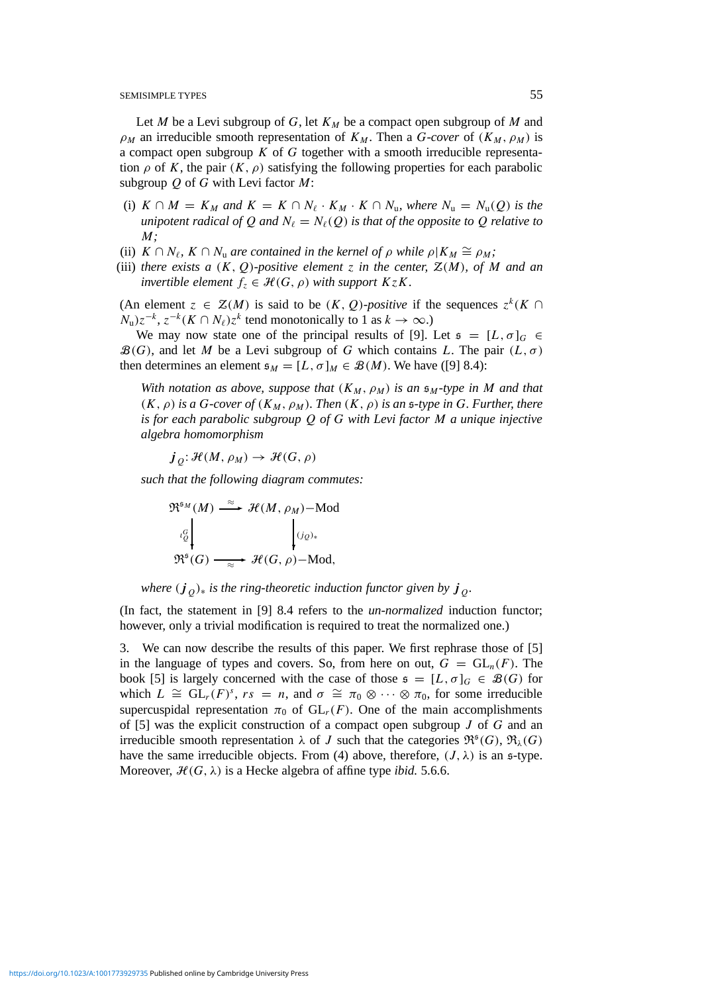Let *M* be a Levi subgroup of *G*, let  $K_M$  be a compact open subgroup of *M* and  $\rho_M$  an irreducible smooth representation of  $K_M$ . Then a *G-cover* of  $(K_M, \rho_M)$  is a compact open subgroup *K* of *G* together with a smooth irreducible representation  $\rho$  of K, the pair  $(K, \rho)$  satisfying the following properties for each parabolic subgroup *Q* of *G* with Levi factor *M*:

- (i)  $K \cap M = K_M$  and  $K = K \cap N_{\ell} \cdot K_M \cdot K \cap N_{\nu}$ , where  $N_{\nu} = N_{\nu}(\mathcal{Q})$  is the *unipotent radical of* Q *and*  $N_\ell = N_\ell(Q)$  *is that of the opposite to* Q *relative to M;*
- (ii)  $K \cap N_{\ell}$ ,  $K \cap N_{\nu}$  are contained in the kernel of  $\rho$  while  $\rho | K_M \cong \rho_M$ ;
- (iii) *there exists a*  $(K, 0)$ *-positive element z in the center,*  $\mathcal{Z}(M)$ *, of M and an invertible element*  $f_z \in \mathcal{H}(G, \rho)$  *with support*  $KzK$ *.*

(An element  $z \in \mathcal{Z}(M)$  is said to be  $(K, Q)$ *-positive* if the sequences  $z^k(K \cap$  $N_{\rm u}$ ) $z^{-k}$ ,  $z^{-k}(K \cap N_{\ell})z^{k}$  tend monotonically to 1 as  $k \to \infty$ .)

We may now state one of the principal results of [9]. Let  $\mathfrak{s} = [L, \sigma]_G \in$  $\mathcal{B}(G)$ , and let *M* be a Levi subgroup of *G* which contains *L*. The pair  $(L, \sigma)$ then determines an element  $\mathfrak{s}_M = [L, \sigma]_M \in \mathcal{B}(M)$ . We have ([9] 8.4):

*With notation as above, suppose that*  $(K_M, \rho_M)$  *is an*  $\mathfrak{s}_M$ -type *in M and that*  $(K, \rho)$  *is a G-cover of*  $(K_M, \rho_M)$ *. Then*  $(K, \rho)$  *is an s-type in G. Further, there is for each parabolic subgroup Q of G with Levi factor M a unique injective algebra homomorphism*

 $j_{\theta}: \mathcal{H}(M, \rho_M) \to \mathcal{H}(G, \rho)$ 

*such that the following diagram commutes:*

$$
\mathfrak{R}^{\mathfrak{s}_M}(M) \xrightarrow{\approx} \mathcal{H}(M, \rho_M)-\text{Mod}
$$
\n
$$
\downarrow^{G}_{Q}
$$
\n
$$
\downarrow^{G}_{Q}
$$
\n
$$
\mathfrak{R}^{\mathfrak{s}}(G) \xrightarrow{\approx} \mathcal{H}(G, \rho)-\text{Mod},
$$

*where*  $(j_0)_*$  *is the ring-theoretic induction functor given by*  $j_0$ *.* 

(In fact, the statement in [9] 8.4 refers to the *un-normalized* induction functor; however, only a trivial modification is required to treat the normalized one.)

3. We can now describe the results of this paper. We first rephrase those of [5] in the language of types and covers. So, from here on out,  $G = GL_n(F)$ . The book [5] is largely concerned with the case of those  $\mathfrak{s} = [L, \sigma]_G \in \mathcal{B}(G)$  for which  $L \cong GL_r(F)^s$ ,  $rs = n$ , and  $\sigma \cong \pi_0 \otimes \cdots \otimes \pi_0$ , for some irreducible supercuspidal representation  $\pi_0$  of  $GL_r(F)$ . One of the main accomplishments of [5] was the explicit construction of a compact open subgroup *J* of *G* and an irreducible smooth representation  $\lambda$  of *J* such that the categories  $\mathfrak{R}^{\mathfrak{s}}(G)$ ,  $\mathfrak{R}_{\lambda}(G)$ have the same irreducible objects. From (4) above, therefore,  $(J, \lambda)$  is an s-type. Moreover,  $\mathcal{H}(G, \lambda)$  is a Hecke algebra of affine type *ibid.* 5.6.6.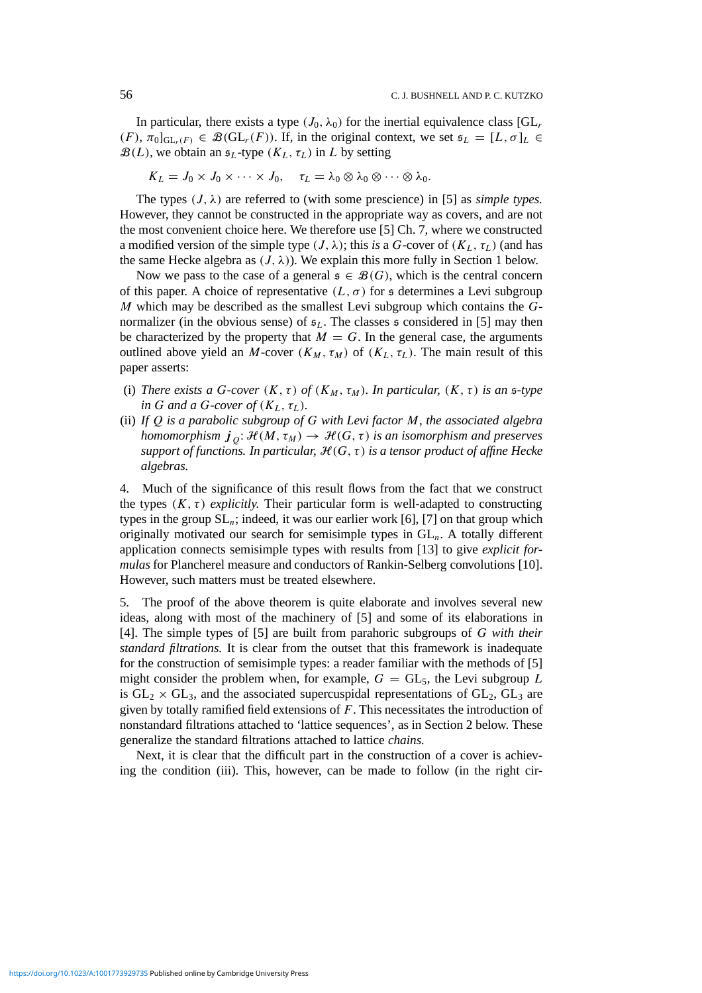In particular, there exists a type  $(J_0, \lambda_0)$  for the inertial equivalence class  $[GL_r]$  $(F)$ ,  $\pi_0|_{\mathrm{GL}_r(F)} \in \mathcal{B}(\mathrm{GL}_r(F))$ . If, in the original context, we set  $\mathfrak{s}_L = [L, \sigma]_L \in \mathcal{B}(\mathrm{GL}_r(F))$ .  $\mathcal{B}(L)$ , we obtain an  $\mathfrak{s}_L$ -type  $(K_L, \tau_L)$  in *L* by setting

 $K_L = J_0 \times J_0 \times \cdots \times J_0, \quad \tau_L = \lambda_0 \otimes \lambda_0 \otimes \cdots \otimes \lambda_0.$ 

The types  $(J, \lambda)$  are referred to (with some prescience) in [5] as *simple types*. However, they cannot be constructed in the appropriate way as covers, and are not the most convenient choice here. We therefore use [5] Ch. 7, where we constructed a modified version of the simple type  $(J, \lambda)$ ; this *is* a *G*-cover of  $(K_L, \tau_L)$  (and has the same Hecke algebra as  $(J, \lambda)$ ). We explain this more fully in Section 1 below.

Now we pass to the case of a general  $\mathfrak{s} \in \mathcal{B}(G)$ , which is the central concern of this paper. A choice of representative  $(L, \sigma)$  for s determines a Levi subgroup *M* which may be described as the smallest Levi subgroup which contains the *G*normalizer (in the obvious sense) of  $\mathfrak{s}_L$ . The classes  $\mathfrak{s}$  considered in [5] may then be characterized by the property that  $M = G$ . In the general case, the arguments outlined above yield an *M*-cover  $(K_M, \tau_M)$  of  $(K_L, \tau_L)$ . The main result of this paper asserts:

- (i) *There exists a G-cover*  $(K, \tau)$  *of*  $(K_M, \tau_M)$ *. In particular,*  $(K, \tau)$  *is an s-type in G and a G-cover of*  $(K_L, \tau_L)$ *.*
- (ii) *If Q is a parabolic subgroup of G with Levi factor M, the associated algebra homomorphism*  $j_{0}: \mathcal{H}(M, \tau_{M}) \to \mathcal{H}(G, \tau)$  *is an isomorphism and preserves support of functions. In particular,*  $H(G, \tau)$  *is a tensor product of affine Hecke algebras.*

4. Much of the significance of this result flows from the fact that we construct the types  $(K, \tau)$  *explicitly.* Their particular form is well-adapted to constructing types in the group  $SL_n$ ; indeed, it was our earlier work [6], [7] on that group which originally motivated our search for semisimple types in GL*n*. A totally different application connects semisimple types with results from [13] to give *explicit formulas* for Plancherel measure and conductors of Rankin-Selberg convolutions [10]. However, such matters must be treated elsewhere.

5. The proof of the above theorem is quite elaborate and involves several new ideas, along with most of the machinery of [5] and some of its elaborations in [4]. The simple types of [5] are built from parahoric subgroups of *G with their standard filtrations.* It is clear from the outset that this framework is inadequate for the construction of semisimple types: a reader familiar with the methods of [5] might consider the problem when, for example,  $G = GL_5$ , the Levi subgroup *L* is  $GL_2 \times GL_3$ , and the associated supercuspidal representations of  $GL_2$ ,  $GL_3$  are given by totally ramified field extensions of *F*. This necessitates the introduction of nonstandard filtrations attached to 'lattice sequences', as in Section 2 below. These generalize the standard filtrations attached to lattice *chains.*

Next, it is clear that the difficult part in the construction of a cover is achieving the condition (iii). This, however, can be made to follow (in the right cir-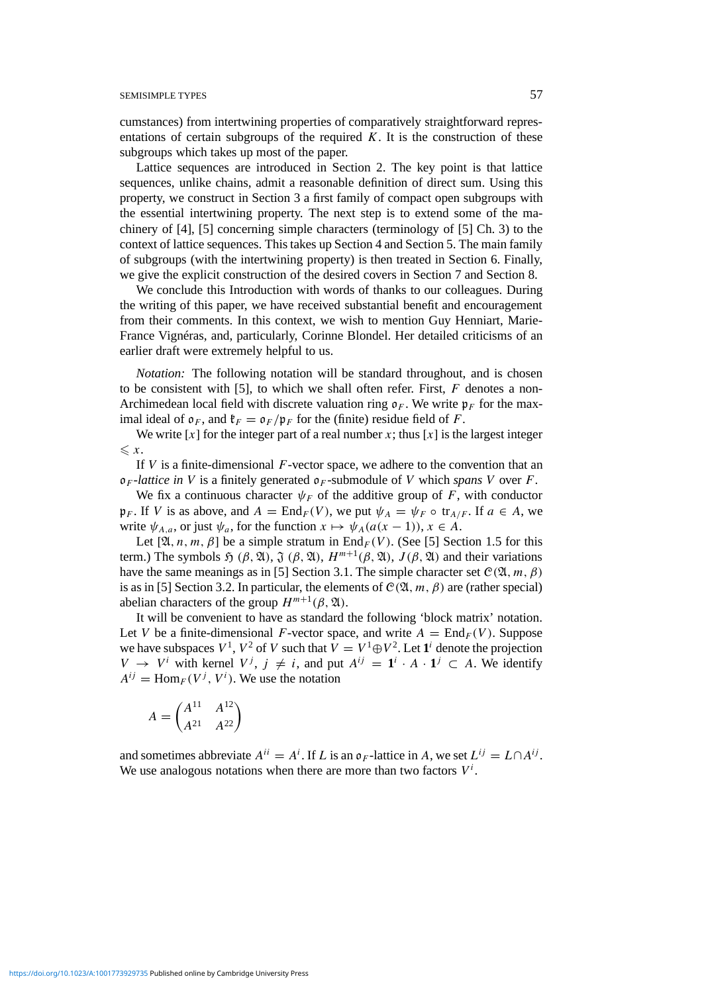cumstances) from intertwining properties of comparatively straightforward representations of certain subgroups of the required  $K$ . It is the construction of these subgroups which takes up most of the paper.

Lattice sequences are introduced in Section 2. The key point is that lattice sequences, unlike chains, admit a reasonable definition of direct sum. Using this property, we construct in Section 3 a first family of compact open subgroups with the essential intertwining property. The next step is to extend some of the machinery of [4], [5] concerning simple characters (terminology of [5] Ch. 3) to the context of lattice sequences. This takes up Section 4 and Section 5. The main family of subgroups (with the intertwining property) is then treated in Section 6. Finally, we give the explicit construction of the desired covers in Section 7 and Section 8.

We conclude this Introduction with words of thanks to our colleagues. During the writing of this paper, we have received substantial benefit and encouragement from their comments. In this context, we wish to mention Guy Henniart, Marie-France Vignéras, and, particularly, Corinne Blondel. Her detailed criticisms of an earlier draft were extremely helpful to us.

*Notation:* The following notation will be standard throughout, and is chosen to be consistent with [5], to which we shall often refer. First, *F* denotes a non-Archimedean local field with discrete valuation ring  $\rho_F$ . We write  $p_F$  for the maximal ideal of  $\mathfrak{o}_F$ , and  $\mathfrak{k}_F = \mathfrak{o}_F / \mathfrak{p}_F$  for the (finite) residue field of F.

We write  $[x]$  for the integer part of a real number x; thus  $[x]$  is the largest integer  $\leq x$ .

If *V* is a finite-dimensional *F*-vector space, we adhere to the convention that an  $\mathfrak{d}_F$ -*lattice in V* is a finitely generated  $\mathfrak{d}_F$ -submodule of *V* which *spans V* over *F*.

We fix a continuous character  $\psi_F$  of the additive group of *F*, with conductor  $\mathfrak{p}_F$ . If *V* is as above, and  $A = \text{End}_F(V)$ , we put  $\psi_A = \psi_F \circ \text{tr}_{A/F}$ . If  $a \in A$ , we write  $\psi_{A,a}$ , or just  $\psi_a$ , for the function  $x \mapsto \psi_A(a(x-1))$ ,  $x \in A$ .

Let  $[\mathfrak{A}, n, m, \beta]$  be a simple stratum in End<sub>*F*</sub>(*V*). (See [5] Section 1.5 for this term.) The symbols  $\mathfrak{H}(\beta, \mathfrak{A}), \mathfrak{J}(\beta, \mathfrak{A}), H^{m+1}(\beta, \mathfrak{A}), J(\beta, \mathfrak{A})$  and their variations have the same meanings as in [5] Section 3.1. The simple character set  $C(\mathfrak{A}, m, \beta)$ is as in [5] Section 3.2. In particular, the elements of  $C(\mathfrak{A}, m, \beta)$  are (rather special) abelian characters of the group  $H^{m+1}(\beta, \mathfrak{A})$ .

It will be convenient to have as standard the following 'block matrix' notation. Let *V* be a finite-dimensional *F*-vector space, and write  $A = \text{End}_F(V)$ . Suppose we have subspaces  $V^1$ ,  $V^2$  of *V* such that  $V = V^1 \oplus V^2$ . Let  $\mathbf{1}^i$  denote the projection *V* → *V<sup><i>i*</sup> with kernel *V<sup>j</sup>*,  $j \neq i$ , and put  $A^{ij} = \mathbf{1}^i \cdot A \cdot \mathbf{1}^j \subset A$ . We identify  $A^{ij}$  = Hom<sub>*F*</sub>( $V^j$ ,  $V^i$ ). We use the notation

$$
A = \begin{pmatrix} A^{11} & A^{12} \\ A^{21} & A^{22} \end{pmatrix}
$$

and sometimes abbreviate  $A^{ii} = A^i$ . If *L* is an  $\mathfrak{o}_F$ -lattice in *A*, we set  $L^{ij} = L \cap A^{ij}$ . We use analogous notations when there are more than two factors  $V^i$ .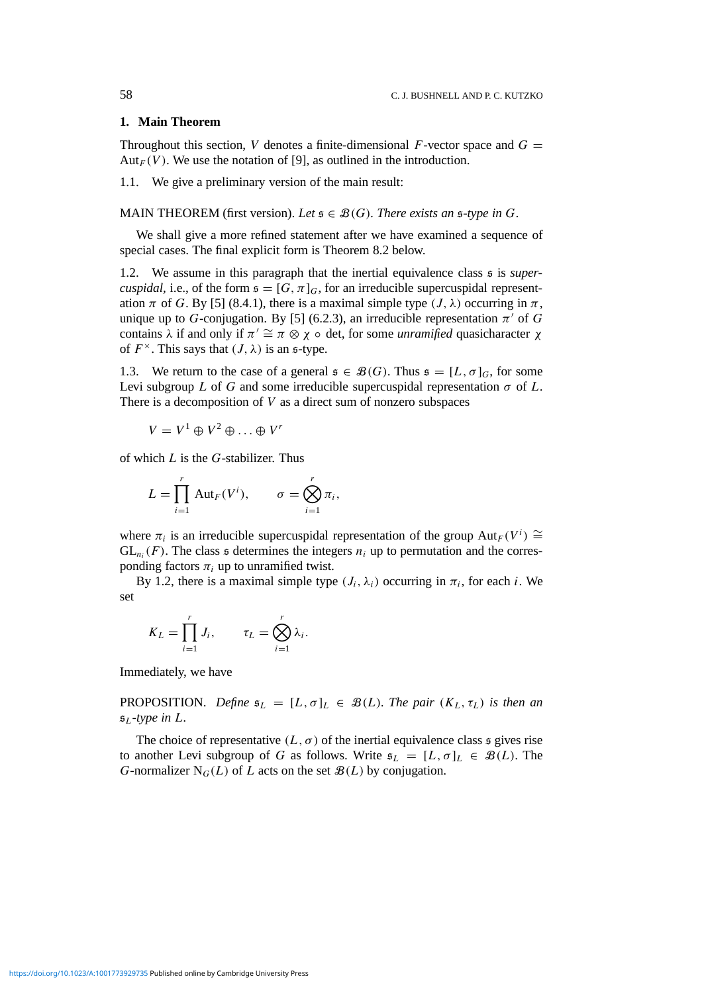## **1. Main Theorem**

Throughout this section, *V* denotes a finite-dimensional *F*-vector space and  $G =$ Aut<sub>*F*</sub>(*V*). We use the notation of [9], as outlined in the introduction.

1.1. We give a preliminary version of the main result:

MAIN THEOREM (first version). Let  $\mathfrak{s} \in \mathcal{B}(G)$ . There exists an  $\mathfrak{s}\text{-type}$  in G.

We shall give a more refined statement after we have examined a sequence of special cases. The final explicit form is Theorem 8.2 below.

1.2. We assume in this paragraph that the inertial equivalence class s is *supercuspidal,* i.e., of the form  $\mathfrak{s} = [G, \pi]_G$ , for an irreducible supercuspidal representation  $\pi$  of *G*. By [5] (8.4.1), there is a maximal simple type  $(J, \lambda)$  occurring in  $\pi$ , unique up to *G*-conjugation. By [5] (6.2.3), an irreducible representation  $\pi'$  of *G* contains  $\lambda$  if and only if  $\pi' \cong \pi \otimes \chi \circ \det$ , for some *unramified* quasicharacter  $\chi$ of  $F^{\times}$ . This says that  $(J, \lambda)$  is an s-type.

1.3. We return to the case of a general  $\mathfrak{s} \in \mathcal{B}(G)$ . Thus  $\mathfrak{s} = [L, \sigma]_G$ , for some Levi subgroup *L* of *G* and some irreducible supercuspidal representation  $\sigma$  of *L*. There is a decomposition of *V* as a direct sum of nonzero subspaces

$$
V = V^1 \oplus V^2 \oplus \ldots \oplus V^r
$$

of which *L* is the *G*-stabilizer. Thus

$$
L = \prod_{i=1}^r \mathrm{Aut}_F(V^i), \qquad \sigma = \bigotimes_{i=1}^r \pi_i,
$$

where  $\pi_i$  is an irreducible supercuspidal representation of the group  $Aut_F(V^i) \cong$  $GL_n(F)$ . The class  $\mathfrak s$  determines the integers  $n_i$  up to permutation and the corresponding factors  $\pi_i$  up to unramified twist.

By 1.2, there is a maximal simple type  $(J_i, \lambda_i)$  occurring in  $\pi_i$ , for each *i*. We set

$$
K_L = \prod_{i=1}^r J_i, \qquad \tau_L = \bigotimes_{i=1}^r \lambda_i.
$$

Immediately, we have

**PROPOSITION.** Define  $\mathfrak{s}_L = [L, \sigma]_L \in \mathcal{B}(L)$ *. The pair*  $(K_L, \tau_L)$  *is then an*  $5<sub>I</sub>$ -type in L.

The choice of representative  $(L, \sigma)$  of the inertial equivalence class s gives rise to another Levi subgroup of *G* as follows. Write  $\mathfrak{s}_L = [L, \sigma]_L \in \mathcal{B}(L)$ . The *G*-normalizer  $N_G(L)$  of *L* acts on the set  $\mathcal{B}(L)$  by conjugation.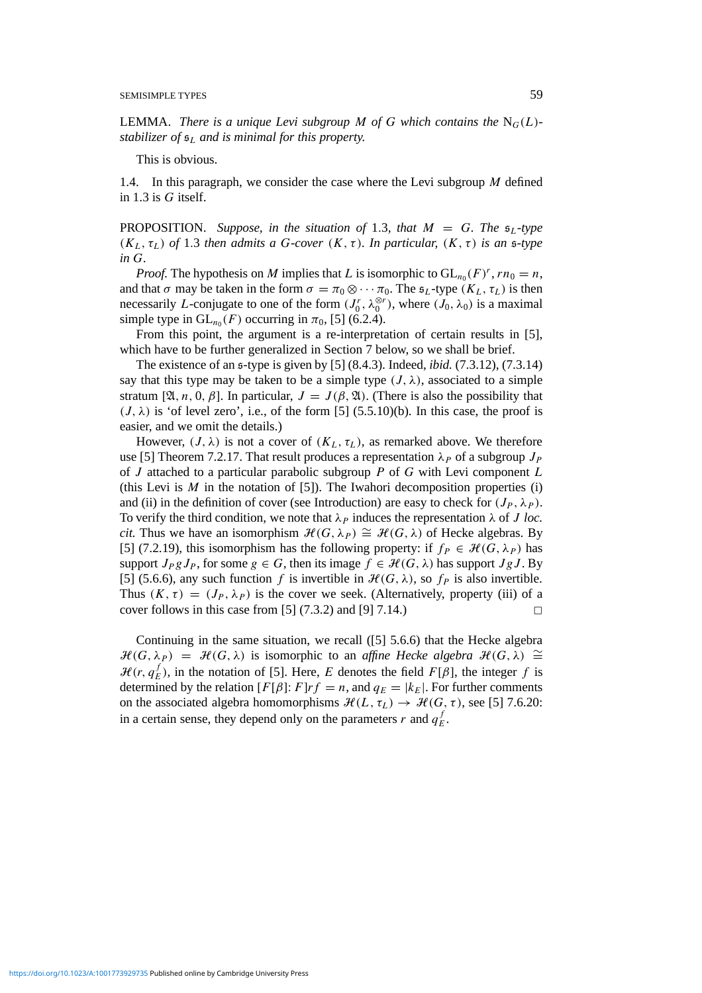**LEMMA.** *There is a unique Levi subgroup M of G which contains the*  $N_G(L)$ *stabilizer of* s*<sup>L</sup> and is minimal for this property.*

This is obvious.

1.4. In this paragraph, we consider the case where the Levi subgroup *M* defined in 1.3 is *G* itself.

**PROPOSITION.** Suppose, in the situation of 1.3, that  $M = G$ . The  $\mathfrak{s}_L$ -type  $(K_L, \tau_L)$  *of* 1.3 *then admits a G-cover*  $(K, \tau)$ *. In particular,*  $(K, \tau)$  *is an s-type in G.*

*Proof.* The hypothesis on *M* implies that *L* is isomorphic to  $GL_{n_0}(F)^r$ ,  $rn_0 = n$ , and that  $\sigma$  may be taken in the form  $\sigma = \pi_0 \otimes \cdots \pi_0$ . The  $\mathfrak{s}_L$ -type  $(K_L, \tau_L)$  is then necessarily *L*-conjugate to one of the form  $(J_0^r, \lambda_0^{\otimes r})$ , where  $(J_0, \lambda_0)$  is a maximal simple type in  $GL_{n_0}(F)$  occurring in  $\pi_0$ , [5] (6.2.4).

From this point, the argument is a re-interpretation of certain results in [5], which have to be further generalized in Section 7 below, so we shall be brief.

The existence of an s-type is given by [5] (8.4.3). Indeed, *ibid.* (7.3.12), (7.3.14) say that this type may be taken to be a simple type  $(J, \lambda)$ , associated to a simple stratum [ $\mathfrak{A}, n, 0, \beta$ ]. In particular,  $J = J(\beta, \mathfrak{A})$ . (There is also the possibility that  $(J, \lambda)$  is 'of level zero', i.e., of the form [5] (5.5.10)(b). In this case, the proof is easier, and we omit the details.)

However,  $(J, \lambda)$  is not a cover of  $(K_L, \tau_L)$ , as remarked above. We therefore use [5] Theorem 7.2.17. That result produces a representation  $\lambda_P$  of a subgroup  $J_P$ of *J* attached to a particular parabolic subgroup *P* of *G* with Levi component *L* (this Levi is  $M$  in the notation of [5]). The Iwahori decomposition properties (i) and (ii) in the definition of cover (see Introduction) are easy to check for  $(J_P, \lambda_P)$ . To verify the third condition, we note that  $\lambda_P$  induces the representation  $\lambda$  of *J loc. cit.* Thus we have an isomorphism  $\mathcal{H}(G, \lambda_P) \cong \mathcal{H}(G, \lambda)$  of Hecke algebras. By [5] (7.2.19), this isomorphism has the following property: if  $f_P \in \mathcal{H}(G, \lambda_P)$  has support  $J_P g J_P$ , for some  $g \in G$ , then its image  $f \in \mathcal{H}(G, \lambda)$  has support  $Jg J$ . By [5] (5.6.6), any such function *f* is invertible in  $H(G, \lambda)$ , so  $f_P$  is also invertible. Thus  $(K, \tau) = (J_P, \lambda_P)$  is the cover we seek. (Alternatively, property (iii) of a cover follows in this case from [5]  $(7.3.2)$  and [9]  $7.14$ .)

Continuing in the same situation, we recall ([5] 5.6.6) that the Hecke algebra  $\mathcal{H}(G, \lambda_P) = \mathcal{H}(G, \lambda)$  is isomorphic to an *affine Hecke algebra*  $\mathcal{H}(G, \lambda) \cong$  $\mathcal{H}(r, q_E^f)$ , in the notation of [5]. Here, *E* denotes the field  $F[\beta]$ , the integer *f* is determined by the relation  $[F[\beta]: F]rf = n$ , and  $q_E = |k_E|$ . For further comments on the associated algebra homomorphisms  $\mathcal{H}(L, \tau_L) \to \mathcal{H}(G, \tau)$ , see [5] 7.6.20: in a certain sense, they depend only on the parameters  $r$  and  $q_E^f$ .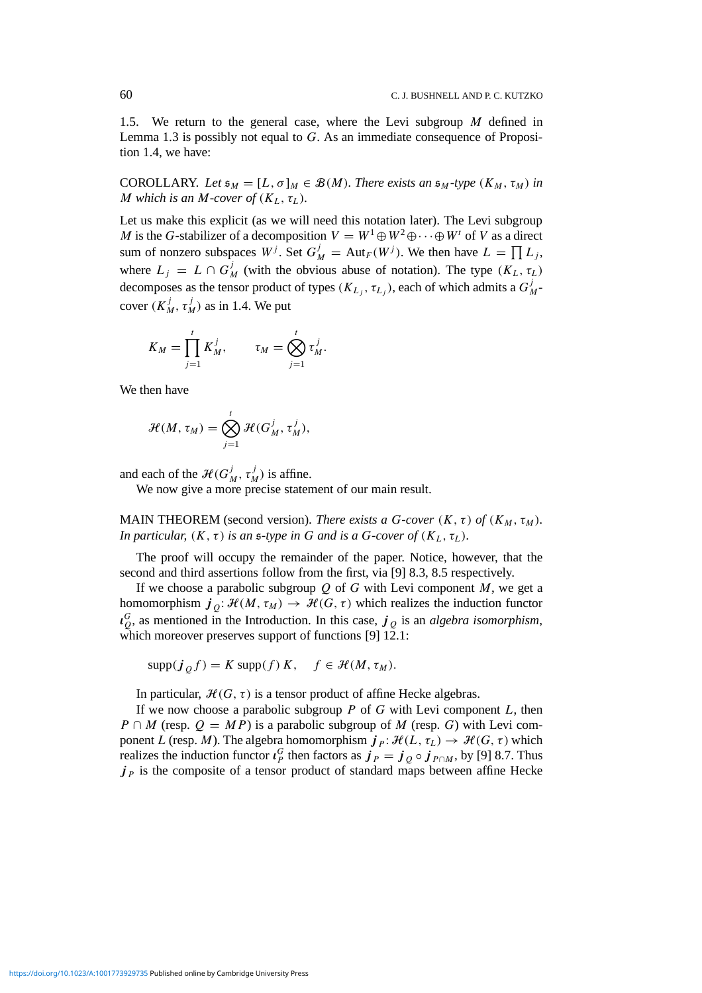1.5. We return to the general case, where the Levi subgroup *M* defined in Lemma 1.3 is possibly not equal to *G*. As an immediate consequence of Proposition 1.4, we have:

COROLLARY. Let  $\mathfrak{s}_M = [L, \sigma]_M \in \mathcal{B}(M)$ . There exists an  $\mathfrak{s}_M$ -type  $(K_M, \tau_M)$  in *M* which is an *M-cover of*  $(K_L, \tau_L)$ *.* 

Let us make this explicit (as we will need this notation later). The Levi subgroup *M* is the *G*-stabilizer of a decomposition  $V = W^1 \oplus W^2 \oplus \cdots \oplus W^t$  of *V* as a direct sum of nonzero subspaces  $W^j$ . Set  $G^j_M = \text{Aut}_F(W^j)$ . We then have  $L = \prod L_j$ , where  $L_j = L \cap G_M^j$  (with the obvious abuse of notation). The type  $(K_L, \tau_L)$ decomposes as the tensor product of types *(K<sub>L<sub>j</sub></sub>, τ<sub>L<sub>j</sub></sub>)*, each of which admits a *G*<sup>*j*</sup><sub>*M*</sub>cover  $(K_M^j, \tau_M^j)$  as in 1.4. We put

$$
K_M = \prod_{j=1}^t K_M^j, \qquad \tau_M = \bigotimes_{j=1}^t \tau_M^j.
$$

We then have

$$
\mathcal{H}(M, \tau_M) = \bigotimes_{j=1}^t \mathcal{H}(G_M^j, \tau_M^j),
$$

and each of the  $\mathcal{H}(G_M^j, \tau_M^j)$  is affine.

We now give a more precise statement of our main result.

MAIN THEOREM (second version). *There exists a G-cover*  $(K, \tau)$  of  $(K_M, \tau_M)$ *. In particular,*  $(K, \tau)$  *is an s-type in G and is a G-cover of*  $(K_L, \tau_L)$ *.* 

The proof will occupy the remainder of the paper. Notice, however, that the second and third assertions follow from the first, via [9] 8.3, 8.5 respectively.

If we choose a parabolic subgroup  $Q$  of  $G$  with Levi component  $M$ , we get a homomorphism  $j_{\theta} : \mathcal{H}(M, \tau_M) \to \mathcal{H}(G, \tau)$  which realizes the induction functor *ι G <sup>Q</sup>*, as mentioned in the Introduction. In this case, *j <sup>Q</sup>* is an *algebra isomorphism*, which moreover preserves support of functions [9]  $12.1$ :

 $\text{supp}(\boldsymbol{j}_0 f) = K \text{supp}(f) K$ ,  $f \in \mathcal{H}(M, \tau_M)$ .

In particular,  $H(G, \tau)$  is a tensor product of affine Hecke algebras.

If we now choose a parabolic subgroup *P* of *G* with Levi component *L*, then *P* ∩ *M* (resp.  $Q = MP$ ) is a parabolic subgroup of *M* (resp. *G*) with Levi component *L* (resp. *M*). The algebra homomorphism  $j_P: \mathcal{H}(L, \tau_L) \to \mathcal{H}(G, \tau)$  which realizes the induction functor  $\iota_p^G$  then factors as  $\dot{\mathbf{J}}_P = \dot{\mathbf{J}}_Q \circ \dot{\mathbf{J}}_{P \cap M}$ , by [9] 8.7. Thus  $j<sub>P</sub>$  is the composite of a tensor product of standard maps between affine Hecke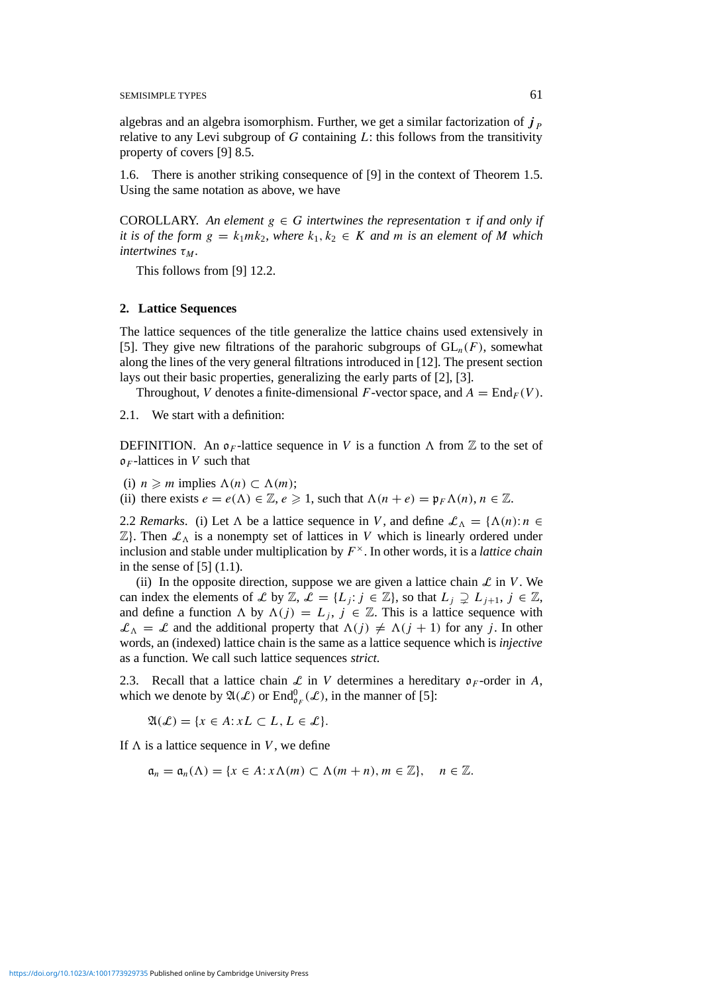algebras and an algebra isomorphism. Further, we get a similar factorization of  $j<sub>p</sub>$ relative to any Levi subgroup of *G* containing *L*: this follows from the transitivity property of covers [9] 8.5.

1.6. There is another striking consequence of [9] in the context of Theorem 1.5. Using the same notation as above, we have

COROLLARY. An element  $g \in G$  intertwines the representation  $\tau$  if and only if *it is of the form*  $g = k_1 m k_2$ , where  $k_1, k_2 \in K$  and *m is an element of M* which  $intertwines \tau_M$ .

This follows from [9] 12.2.

#### **2. Lattice Sequences**

The lattice sequences of the title generalize the lattice chains used extensively in [5]. They give new filtrations of the parahoric subgroups of  $GL_n(F)$ , somewhat along the lines of the very general filtrations introduced in [12]. The present section lays out their basic properties, generalizing the early parts of [2], [3].

Throughout, *V* denotes a finite-dimensional *F*-vector space, and  $A = \text{End}_F(V)$ .

2.1. We start with a definition:

DEFINITION. An  $\rho_F$ -lattice sequence in V is a function  $\Lambda$  from  $\mathbb Z$  to the set of o*<sup>F</sup>* -lattices in *V* such that

(i)  $n \ge m$  implies  $\Lambda(n) \subset \Lambda(m)$ ;

(ii) there exists  $e = e(\Lambda) \in \mathbb{Z}, e \geq 1$ , such that  $\Lambda(n + e) = \mathfrak{p}_F \Lambda(n)$ ,  $n \in \mathbb{Z}$ .

2.2 *Remarks*. (i) Let  $\Lambda$  be a lattice sequence in *V*, and define  $\mathcal{L}_{\Lambda} = {\Lambda(n): n \in \mathbb{C}}$  $\mathbb{Z}$ . Then  $\mathcal{L}_\Lambda$  is a nonempty set of lattices in *V* which is linearly ordered under inclusion and stable under multiplication by  $F^{\times}$ . In other words, it is a *lattice chain* in the sense of [5] (1.1).

(ii) In the opposite direction, suppose we are given a lattice chain  $\mathcal L$  in *V*. We can index the elements of L by Z,  $\mathcal{L} = \{L_i : j \in \mathbb{Z}\}\)$ , so that  $L_i \supsetneq L_{i+1}, j \in \mathbb{Z}\$ , and define a function *A* by  $\Lambda(j) = L_j$ ,  $j \in \mathbb{Z}$ . This is a lattice sequence with  $\mathcal{L}_{\Lambda} = \mathcal{L}$  and the additional property that  $\Lambda(j) \neq \Lambda(j + 1)$  for any *j*. In other words, an (indexed) lattice chain is the same as a lattice sequence which is *injective* as a function. We call such lattice sequences *strict.*

2.3. Recall that a lattice chain  $\mathcal L$  in *V* determines a hereditary  $\rho_F$ -order in *A*, which we denote by  $\mathfrak{A}(\mathcal{L})$  or  $\text{End}^0_{\mathfrak{o}_F}(\mathcal{L})$ , in the manner of [5]:

 $\mathfrak{A}(\mathcal{L}) = \{x \in A : xL \subset L, L \in \mathcal{L}\}.$ 

If  $\Lambda$  is a lattice sequence in *V*, we define

 $\mathfrak{a}_n = \mathfrak{a}_n(\Lambda) = \{x \in A : x \Lambda(m) \subset \Lambda(m+n), m \in \mathbb{Z}\}, \quad n \in \mathbb{Z}.$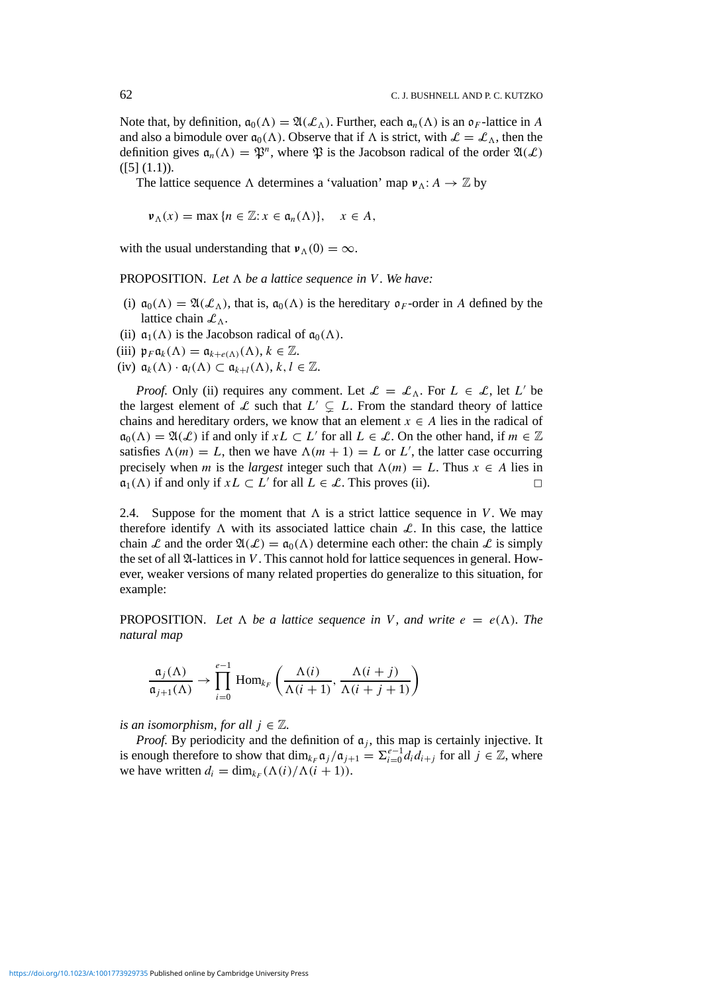Note that, by definition,  $\mathfrak{a}_0(\Lambda) = \mathfrak{A}(\mathcal{L}_\Lambda)$ . Further, each  $\mathfrak{a}_n(\Lambda)$  is an  $\mathfrak{o}_F$ -lattice in A and also a bimodule over  $\mathfrak{a}_0(\Lambda)$ . Observe that if  $\Lambda$  is strict, with  $\mathcal{L} = \mathcal{L}_{\Lambda}$ , then the definition gives  $a_n(\Lambda) = \mathfrak{P}^n$ , where  $\mathfrak{P}$  is the Jacobson radical of the order  $\mathfrak{A}(\mathcal{L})$  $([5] (1.1)).$ 

The lattice sequence  $\Lambda$  determines a 'valuation' map  $v_{\Lambda}: A \to \mathbb{Z}$  by

 $\nu_{\Lambda}(x) = \max \{ n \in \mathbb{Z} : x \in \mathfrak{a}_n(\Lambda) \}, \quad x \in A,$ 

with the usual understanding that  $v_A(0) = \infty$ .

**PROPOSITION.** Let  $\Lambda$  be a lattice sequence in V. We have:

- (i)  $\mathfrak{a}_0(\Lambda) = \mathfrak{A}(\mathcal{L}_{\Lambda})$ , that is,  $\mathfrak{a}_0(\Lambda)$  is the hereditary  $\mathfrak{o}_F$ -order in A defined by the lattice chain  $\mathcal{L}_\Lambda$ .
- (ii)  $\mathfrak{a}_1(\Lambda)$  is the Jacobson radical of  $\mathfrak{a}_0(\Lambda)$ .
- (iii)  $\mathfrak{p}_F \mathfrak{a}_k(\Lambda) = \mathfrak{a}_{k+e(\Lambda)}(\Lambda), k \in \mathbb{Z}$ .
- (iv)  $\mathfrak{a}_k(\Lambda) \cdot \mathfrak{a}_l(\Lambda) \subset \mathfrak{a}_{k+l}(\Lambda), k, l \in \mathbb{Z}$ .

*Proof.* Only (ii) requires any comment. Let  $\mathcal{L} = \mathcal{L}_{\Lambda}$ . For  $L \in \mathcal{L}$ , let  $L'$  be the largest element of L such that  $L' \subsetneq L$ . From the standard theory of lattice chains and hereditary orders, we know that an element  $x \in A$  lies in the radical of  $\mathfrak{a}_0(\Lambda) = \mathfrak{A}(\mathcal{L})$  if and only if  $xL \subset L'$  for all  $L \in \mathcal{L}$ . On the other hand, if  $m \in \mathbb{Z}$ satisfies  $\Lambda(m) = L$ , then we have  $\Lambda(m + 1) = L$  or L', the latter case occurring precisely when *m* is the *largest* integer such that  $\Lambda(m) = L$ . Thus  $x \in A$  lies in  $\mathfrak{a}_1(\Lambda)$  if and only if  $xL \subset L'$  for all  $L \in \mathcal{L}$ . This proves (ii).

2.4. Suppose for the moment that  $\Lambda$  is a strict lattice sequence in *V*. We may therefore identify  $\Lambda$  with its associated lattice chain  $\mathcal{L}$ . In this case, the lattice chain L and the order  $\mathfrak{A}(\mathcal{L}) = \mathfrak{a}_0(\Lambda)$  determine each other: the chain L is simply the set of all  $\mathfrak{A}$ -lattices in *V*. This cannot hold for lattice sequences in general. However, weaker versions of many related properties do generalize to this situation, for example:

**PROPOSITION.** Let  $\Lambda$  be a lattice sequence in V, and write  $e = e(\Lambda)$ . The *natural map*

$$
\frac{\mathfrak{a}_j(\Lambda)}{\mathfrak{a}_{j+1}(\Lambda)} \to \prod_{i=0}^{e-1} \text{Hom}_{k_F}\left(\frac{\Lambda(i)}{\Lambda(i+1)}, \frac{\Lambda(i+j)}{\Lambda(i+j+1)}\right)
$$

*is an isomorphism, for all*  $j \in \mathbb{Z}$ .

*Proof.* By periodicity and the definition of  $a_j$ , this map is certainly injective. It is enough therefore to show that  $\dim_{k_F} \mathfrak{a}_j / \mathfrak{a}_{j+1} = \sum_{i=0}^{e-1} d_i d_{i+j}$  for all  $j \in \mathbb{Z}$ , where we have written  $d_i = \dim_{k_F} (\Lambda(i)/\Lambda(i+1)).$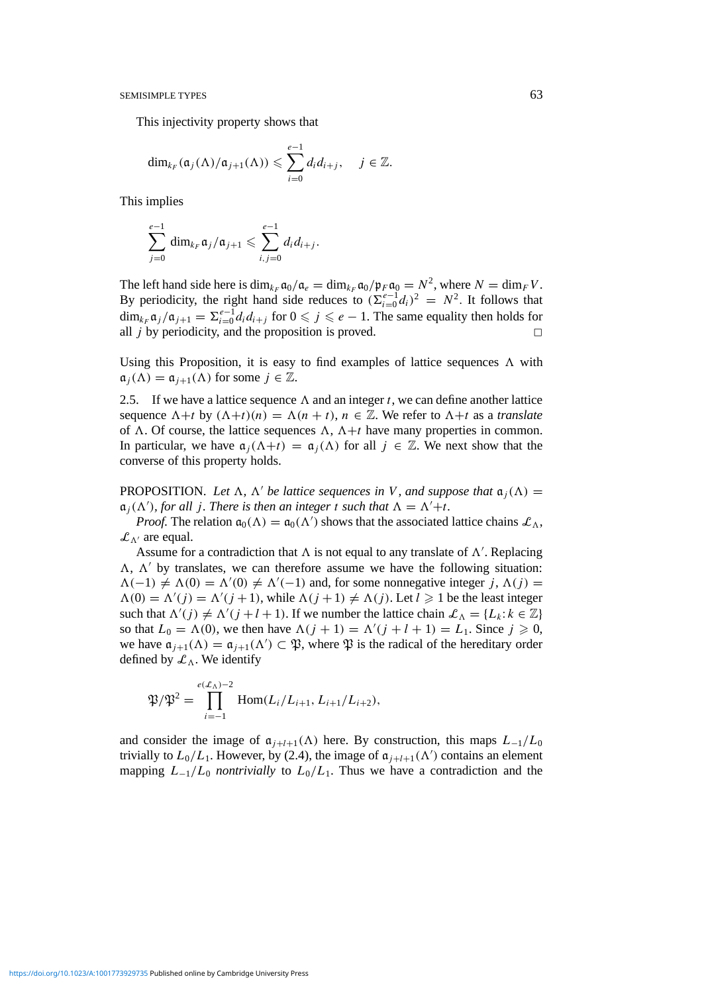This injectivity property shows that

$$
\dim_{k_F}(\mathfrak{a}_j(\Lambda)/\mathfrak{a}_{j+1}(\Lambda))\leqslant \sum_{i=0}^{e-1}d_id_{i+j},\quad j\in\mathbb{Z}.
$$

This implies

$$
\sum_{j=0}^{e-1} \dim_{k_F} \mathfrak{a}_j/\mathfrak{a}_{j+1} \leqslant \sum_{i,j=0}^{e-1} d_i d_{i+j}.
$$

The left hand side here is  $\dim_{k_F} \mathfrak{a}_0 / \mathfrak{a}_e = \dim_{k_F} \mathfrak{a}_0 / \mathfrak{p}_F \mathfrak{a}_0 = N^2$ , where  $N = \dim_F V$ . By periodicity, the right hand side reduces to  $(\sum_{i=0}^{e-1} d_i)^2 = N^2$ . It follows that  $\dim_{k_F} \mathfrak{a}_j / \mathfrak{a}_{j+1} = \sum_{i=0}^{e-1} d_i d_{i+j}$  for  $0 \leqslant j \leqslant e-1$ . The same equality then holds for all  $j$  by periodicity, and the proposition is proved.  $\Box$ 

Using this Proposition, it is easy to find examples of lattice sequences  $\Lambda$  with  $\mathfrak{a}_i(\Lambda) = \mathfrak{a}_{i+1}(\Lambda)$  for some  $j \in \mathbb{Z}$ .

2.5. If we have a lattice sequence  $\Lambda$  and an integer *t*, we can define another lattice sequence  $\Lambda + t$  by  $(\Lambda + t)(n) = \Lambda(n + t)$ ,  $n \in \mathbb{Z}$ . We refer to  $\Lambda + t$  as a *translate* of  $\Lambda$ . Of course, the lattice sequences  $\Lambda$ ,  $\Lambda$ +t have many properties in common. In particular, we have  $\alpha_i(\Lambda + t) = \alpha_i(\Lambda)$  for all  $j \in \mathbb{Z}$ . We next show that the converse of this property holds.

**PROPOSITION.** Let  $\Lambda$ ,  $\Lambda'$  be lattice sequences in V, and suppose that  $\mathfrak{a}_i(\Lambda)$  =  $\mathfrak{a}_j(\Lambda')$ *, for all j. There is then an integer t such that*  $\Lambda = \Lambda' + t$ *.* 

*Proof.* The relation  $\mathfrak{a}_0(\Lambda) = \mathfrak{a}_0(\Lambda')$  shows that the associated lattice chains  $\mathcal{L}_{\Lambda}$ ,  $\mathcal{L}_{\Lambda}$  are equal.

Assume for a contradiction that  $\Lambda$  is not equal to any translate of  $\Lambda'$ . Replacing  $\Lambda$ ,  $\Lambda'$  by translates, we can therefore assume we have the following situation:  $\Lambda(-1) \neq \Lambda(0) = \Lambda'(0) \neq \Lambda'(-1)$  and, for some nonnegative integer *j*,  $\Lambda(j) =$  $\Lambda(0) = \Lambda'(j) = \Lambda'(j+1)$ , while  $\Lambda(j+1) \neq \Lambda(j)$ . Let  $l \geq 1$  be the least integer such that  $\Lambda'(j) \neq \Lambda'(j + l + 1)$ . If we number the lattice chain  $\mathcal{L}_{\Lambda} = \{L_k : k \in \mathbb{Z}\}\$ so that  $L_0 = \Lambda(0)$ , we then have  $\Lambda(j + 1) = \Lambda'(j + l + 1) = L_1$ . Since  $j \ge 0$ , we have  $\mathfrak{a}_{j+1}(\Lambda) = \mathfrak{a}_{j+1}(\Lambda') \subset \mathfrak{P}$ , where  $\mathfrak{P}$  is the radical of the hereditary order defined by  $\mathcal{L}_\Lambda$ . We identify

$$
\mathfrak{P}/\mathfrak{P}^2 = \prod_{i=-1}^{e(\mathcal{L}_\Lambda)-2} \text{Hom}(L_i/L_{i+1}, L_{i+1}/L_{i+2}),
$$

and consider the image of  $\mathfrak{a}_{i+l+1}(\Lambda)$  here. By construction, this maps  $L_{-1}/L_0$ trivially to  $L_0/L_1$ . However, by (2.4), the image of  $\mathfrak{a}_{j+l+1}(\Lambda')$  contains an element mapping  $L_{-1}/L_0$  *nontrivially* to  $L_0/L_1$ . Thus we have a contradiction and the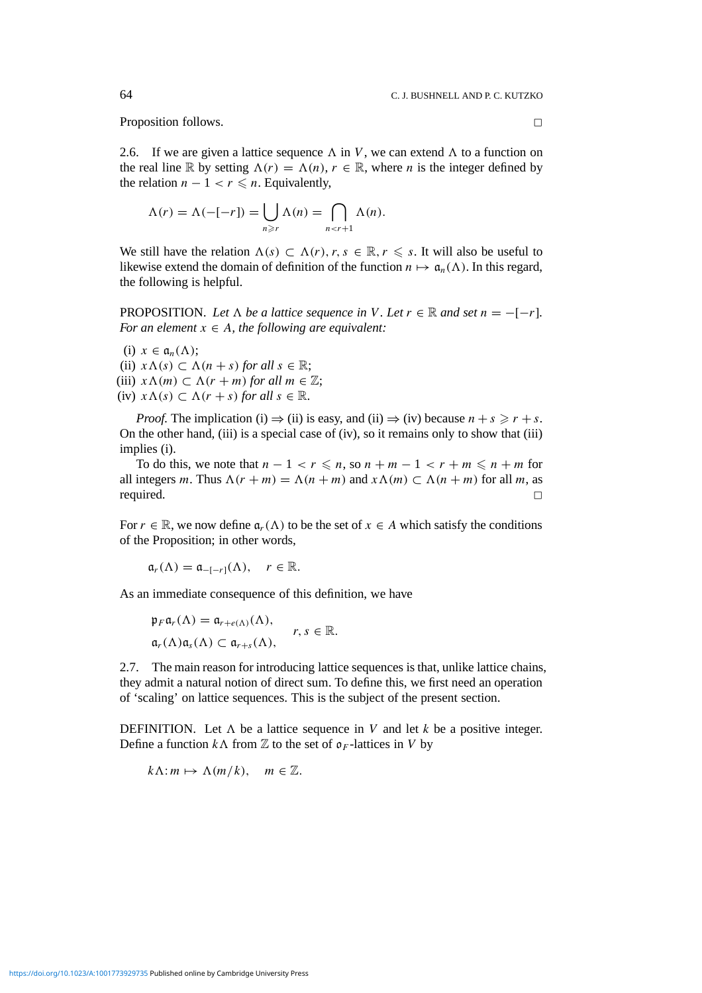Proposition follows.

2.6. If we are given a lattice sequence  $\Lambda$  in *V*, we can extend  $\Lambda$  to a function on the real line R by setting  $\Lambda(r) = \Lambda(n)$ ,  $r \in \mathbb{R}$ , where *n* is the integer defined by the relation  $n - 1 < r \leq n$ . Equivalently,

$$
\Lambda(r) = \Lambda(-[-r]) = \bigcup_{n \ge r} \Lambda(n) = \bigcap_{n < r+1} \Lambda(n).
$$

We still have the relation  $\Lambda(s) \subset \Lambda(r)$ ,  $r, s \in \mathbb{R}$ ,  $r \leq s$ . It will also be useful to likewise extend the domain of definition of the function  $n \mapsto \mathfrak{a}_n(\Lambda)$ . In this regard, the following is helpful.

PROPOSITION. Let  $\Lambda$  be a lattice sequence in V. Let  $r \in \mathbb{R}$  and set  $n = -[-r]$ . *For an element*  $x \in A$ *, the following are equivalent:* 

- (i)  $x \in \mathfrak{a}_n(\Lambda)$ ; (ii)  $x \Lambda(s) \subset \Lambda(n+s)$  *for all*  $s \in \mathbb{R}$ ; (iii)  $x \Lambda(m) \subset \Lambda(r+m)$  *for all*  $m \in \mathbb{Z}$ ;
- (iv)  $x \Lambda(s) \subset \Lambda(r+s)$  *for all*  $s \in \mathbb{R}$ .

*Proof.* The implication (i)  $\Rightarrow$  (ii) is easy, and (ii)  $\Rightarrow$  (iv) because  $n + s \ge r + s$ . On the other hand, (iii) is a special case of (iv), so it remains only to show that (iii) implies (i).

To do this, we note that  $n - 1 < r \le n$ , so  $n + m - 1 < r + m \le n + m$  for all integers *m*. Thus  $\Lambda(r + m) = \Lambda(n + m)$  and  $x \Lambda(m) \subset \Lambda(n + m)$  for all *m*, as required.  $\Box$ 

For  $r \in \mathbb{R}$ , we now define  $a_r(\Lambda)$  to be the set of  $x \in A$  which satisfy the conditions of the Proposition; in other words,

$$
\mathfrak{a}_r(\Lambda)=\mathfrak{a}_{-[-r]}(\Lambda),\quad r\in\mathbb{R}.
$$

As an immediate consequence of this definition, we have

$$
\begin{aligned}\n\mathfrak{p}_F \mathfrak{a}_r(\Lambda) &= \mathfrak{a}_{r+e(\Lambda)}(\Lambda), \\
\mathfrak{a}_r(\Lambda)\mathfrak{a}_s(\Lambda) &\subset \mathfrak{a}_{r+s}(\Lambda),\n\end{aligned}\n\quad r, s \in \mathbb{R}.
$$

2.7. The main reason for introducing lattice sequences is that, unlike lattice chains, they admit a natural notion of direct sum. To define this, we first need an operation of 'scaling' on lattice sequences. This is the subject of the present section.

DEFINITION. Let  $\Lambda$  be a lattice sequence in *V* and let *k* be a positive integer. Define a function  $k\Lambda$  from  $\mathbb{Z}$  to the set of  $\mathfrak{o}_F$ -lattices in *V* by

$$
k\Lambda: m \mapsto \Lambda(m/k), \quad m \in \mathbb{Z}.
$$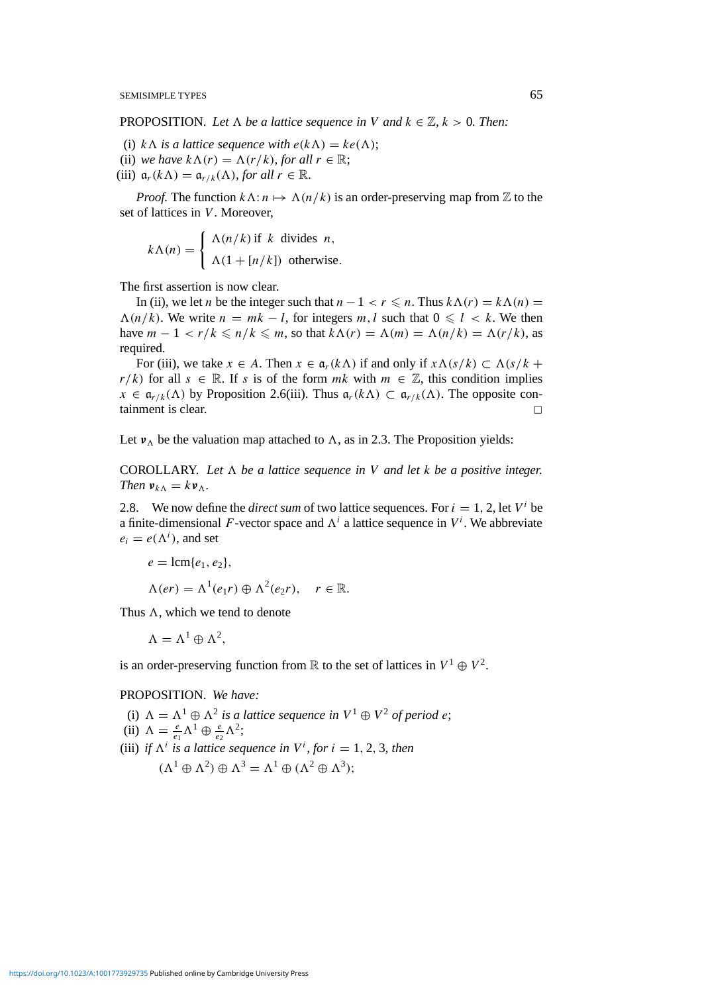**PROPOSITION.** Let  $\Lambda$  be a lattice sequence in V and  $k \in \mathbb{Z}$ ,  $k > 0$ . Then:

- (i)  $k\Lambda$  *is a lattice sequence with*  $e(k\Lambda) = ke(\Lambda)$ ;
- (ii) *we have*  $k\Lambda(r) = \Lambda(r/k)$ *, for all*  $r \in \mathbb{R}$ ;
- (iii)  $\mathfrak{a}_r(k\Lambda) = \mathfrak{a}_{r/k}(\Lambda)$ *, for all*  $r \in \mathbb{R}$ *.*

*Proof.* The function  $k\Lambda$ :  $n \mapsto \Lambda(n/k)$  is an order-preserving map from Z to the set of lattices in *V*. Moreover,

$$
k\Lambda(n) = \begin{cases} \Lambda(n/k) & \text{if } k \text{ divides } n, \\ \Lambda(1 + [n/k]) & \text{otherwise.} \end{cases}
$$

The first assertion is now clear.

In (ii), we let *n* be the integer such that  $n - 1 < r \le n$ . Thus  $k\Lambda(r) = k\Lambda(n)$  $\Lambda(n/k)$ . We write  $n = mk - l$ , for integers  $m, l$  such that  $0 \le l \le k$ . We then have  $m - 1 < r/k \le n/k \le m$ , so that  $k\Lambda(r) = \Lambda(m) = \Lambda(n/k) = \Lambda(r/k)$ , as required.

For (iii), we take  $x \in A$ . Then  $x \in \mathfrak{a}_r(k\Lambda)$  if and only if  $x \Lambda(s/k) \subset \Lambda(s/k +$ *r/k)* for all *s* ∈ R. If *s* is of the form *mk* with  $m \in \mathbb{Z}$ , this condition implies  $x \in \mathfrak{a}_{r/k}(\Lambda)$  by Proposition 2.6(iii). Thus  $\mathfrak{a}_r(k\Lambda) \subset \mathfrak{a}_{r/k}(\Lambda)$ . The opposite containment is clear.

Let  $v_{\Lambda}$  be the valuation map attached to  $\Lambda$ , as in 2.3. The Proposition yields:

COROLLARY. Let  $\Lambda$  be a lattice sequence in V and let  $k$  be a positive integer. *Then*  $v_{kA} = kv_{\Delta}$ .

2.8. We now define the *direct sum* of two lattice sequences. For  $i = 1, 2$ , let  $V^i$  be a finite-dimensional *F*-vector space and  $\Lambda^i$  a lattice sequence in  $V^i$ . We abbreviate  $e_i = e(\Lambda^i)$ , and set

$$
e = \operatorname{lcm}\{e_1, e_2\},
$$
  
 
$$
\Lambda(er) = \Lambda^1(e_1r) \oplus \Lambda^2(e_2r), \quad r \in \mathbb{R}.
$$

Thus  $\Lambda$ , which we tend to denote

 $\Lambda = \Lambda^1 \oplus \Lambda^2$ ,

is an order-preserving function from  $\mathbb R$  to the set of lattices in  $V^1 \oplus V^2$ .

PROPOSITION. *We have:*

- (i)  $\Lambda = \Lambda^1 \oplus \Lambda^2$  *is a lattice sequence in*  $V^1 \oplus V^2$  *of period e*;
- (ii)  $\Lambda = \frac{e}{e_1} \Lambda^1 \oplus \frac{e}{e_2} \Lambda^2;$
- (iii) *if*  $\Lambda^i$  *is a lattice sequence in*  $V^i$ *, for*  $i = 1, 2, 3$ *, then*

$$
(\Lambda^1 \oplus \Lambda^2) \oplus \Lambda^3 = \Lambda^1 \oplus (\Lambda^2 \oplus \Lambda^3);
$$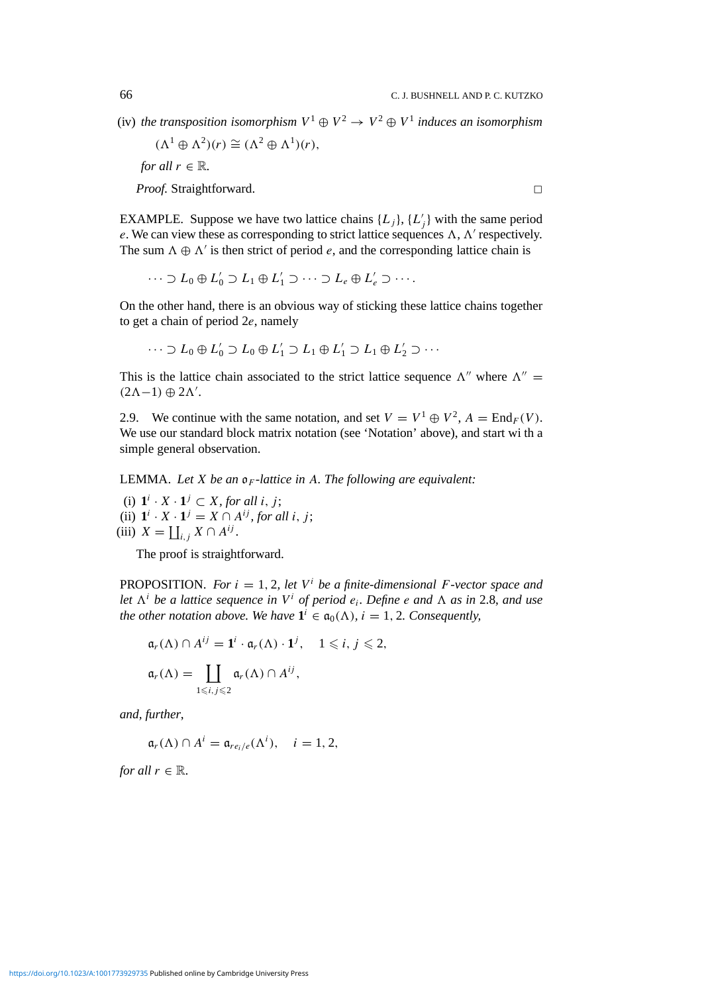(iv) *the transposition isomorphism*  $V^1 \oplus V^2 \rightarrow V^2 \oplus V^1$  *induces an isomorphism* 

 $(\Lambda^1 \oplus \Lambda^2)(r) \cong (\Lambda^2 \oplus \Lambda^1)(r)$ , *for all*  $r \in \mathbb{R}$ *.* 

*Proof.* Straightforward. □

EXAMPLE. Suppose we have two lattice chains  $\{L_j\}$ ,  $\{L'_j\}$  with the same period *e*. We can view these as corresponding to strict lattice sequences  $\Lambda$ ,  $\Lambda'$  respectively. The sum  $\Lambda \oplus \Lambda'$  is then strict of period *e*, and the corresponding lattice chain is

 $\cdots \supset L_0 \oplus L'_0 \supset L_1 \oplus L'_1 \supset \cdots \supset L_e \oplus L'_e \supset \cdots$ 

On the other hand, there is an obvious way of sticking these lattice chains together to get a chain of period 2*e*, namely

$$
\cdots \supset L_0 \oplus L'_0 \supset L_0 \oplus L'_1 \supset L_1 \oplus L'_1 \supset L_1 \oplus L'_2 \supset \cdots
$$

This is the lattice chain associated to the strict lattice sequence  $\Lambda''$  where  $\Lambda'' =$  $(2\Lambda-1) \oplus 2\Lambda'.$ 

2.9. We continue with the same notation, and set  $V = V^1 \oplus V^2$ ,  $A = \text{End}_F(V)$ . We use our standard block matrix notation (see 'Notation' above), and start wi th a simple general observation.

LEMMA. *Let X be an* o*<sup>F</sup> -lattice in A. The following are equivalent:*

(i)  $\mathbf{1}^i \cdot X \cdot \mathbf{1}^j \subset X$ , for all *i*, *j*; (ii)  $\mathbf{1}^i \cdot X \cdot \mathbf{1}^j = X \cap A^{ij}$ , for all *i*, *j*; (iii)  $X = \coprod_{i,j} X \cap A^{ij}$ .

The proof is straightforward.

**PROPOSITION.** For  $i = 1, 2$ , let  $V^i$  be a finite-dimensional F-vector space and *let*  $\Lambda^i$  *be a lattice sequence in*  $V^i$  *of period e<sub>i</sub>. Define e and*  $\Lambda$  *as in* 2.8, *and use the other notation above. We have*  $\mathbf{1}^i \in \mathfrak{a}_0(\Lambda)$ ,  $i = 1, 2$ . Consequently,

$$
\mathfrak{a}_r(\Lambda) \cap A^{ij} = \mathbf{1}^i \cdot \mathfrak{a}_r(\Lambda) \cdot \mathbf{1}^j, \quad 1 \leq i, j \leq 2,
$$
  

$$
\mathfrak{a}_r(\Lambda) = \coprod_{1 \leq i, j \leq 2} \mathfrak{a}_r(\Lambda) \cap A^{ij},
$$

*and, further*,

 $a_r(\Lambda) \cap A^i = a_{re_i/e}(\Lambda^i), \quad i = 1, 2,$ 

*for all*  $r \in \mathbb{R}$ *.*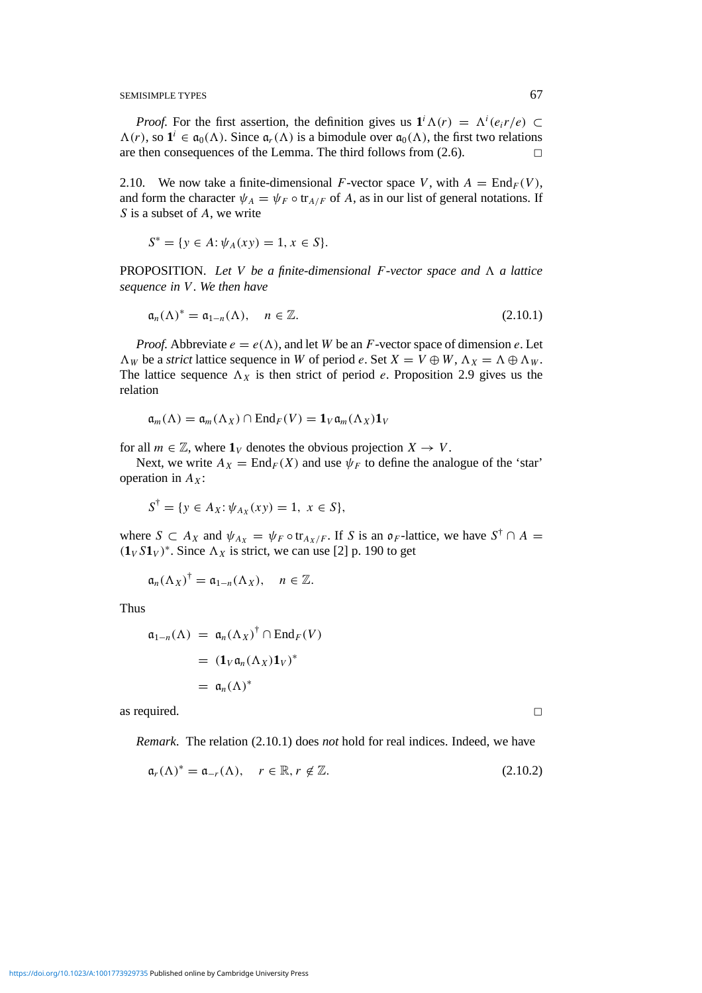*Proof.* For the first assertion, the definition gives us  $\mathbf{1}^i \Lambda(r) = \Lambda^i(e_i r/e) \subset$  $\Lambda(r)$ , so  $\mathbf{1}^i \in \mathfrak{a}_0(\Lambda)$ . Since  $\mathfrak{a}_r(\Lambda)$  is a bimodule over  $\mathfrak{a}_0(\Lambda)$ , the first two relations are then consequences of the Lemma. The third follows from  $(2.6)$ .

2.10. We now take a finite-dimensional *F*-vector space *V*, with  $A = \text{End}_F(V)$ , and form the character  $\psi_A = \psi_F \circ \text{tr}_{A/F}$  of *A*, as in our list of general notations. If *S* is a subset of *A*, we write

$$
S^* = \{ y \in A : \psi_A(xy) = 1, x \in S \}.
$$

**PROPOSITION.** Let V be a finite-dimensional  $F$ -vector space and  $\Lambda$  a lattice *sequence in V . We then have*

$$
\mathfrak{a}_n(\Lambda)^* = \mathfrak{a}_{1-n}(\Lambda), \quad n \in \mathbb{Z}.\tag{2.10.1}
$$

*Proof.* Abbreviate  $e = e(\Lambda)$ , and let *W* be an *F*-vector space of dimension *e*. Let  $\Lambda_W$  be a *strict* lattice sequence in *W* of period *e*. Set  $X = V \oplus W$ ,  $\Lambda_X = \Lambda \oplus \Lambda_W$ . The lattice sequence  $\Lambda_X$  is then strict of period *e*. Proposition 2.9 gives us the relation

$$
\mathfrak{a}_m(\Lambda) = \mathfrak{a}_m(\Lambda_X) \cap \mathrm{End}_F(V) = \mathbf{1}_V \mathfrak{a}_m(\Lambda_X) \mathbf{1}_V
$$

for all  $m \in \mathbb{Z}$ , where  $\mathbf{1}_V$  denotes the obvious projection  $X \to V$ .

Next, we write  $A_X = \text{End}_F(X)$  and use  $\psi_F$  to define the analogue of the 'star' operation in  $A_X$ :

$$
S^{\dagger} = \{ y \in A_X : \psi_{A_X}(xy) = 1, \ x \in S \},
$$

where  $S \subset A_X$  and  $\psi_{A_X} = \psi_F \circ \text{tr}_{A_X/F}$ . If *S* is an  $\mathfrak{o}_F$ -lattice, we have  $S^{\dagger} \cap A =$  $(\mathbf{1}_V S \mathbf{1}_V)^*$ . Since  $\Lambda_X$  is strict, we can use [2] p. 190 to get

$$
\mathfrak{a}_n(\Lambda_X)^{\dagger}=\mathfrak{a}_{1-n}(\Lambda_X), \quad n\in\mathbb{Z}.
$$

Thus

$$
\mathfrak{a}_{1-n}(\Lambda) = \mathfrak{a}_n(\Lambda_X)^\dagger \cap \text{End}_F(V)
$$
  
=  $(\mathbf{1}_V \mathfrak{a}_n(\Lambda_X) \mathbf{1}_V)^*$   
=  $\mathfrak{a}_n(\Lambda)^*$ 

as required.  $\Box$ 

*Remark*. The relation (2.10.1) does *not* hold for real indices. Indeed, we have

$$
\mathfrak{a}_r(\Lambda)^* = \mathfrak{a}_{-r}(\Lambda), \quad r \in \mathbb{R}, r \notin \mathbb{Z}.
$$
 (2.10.2)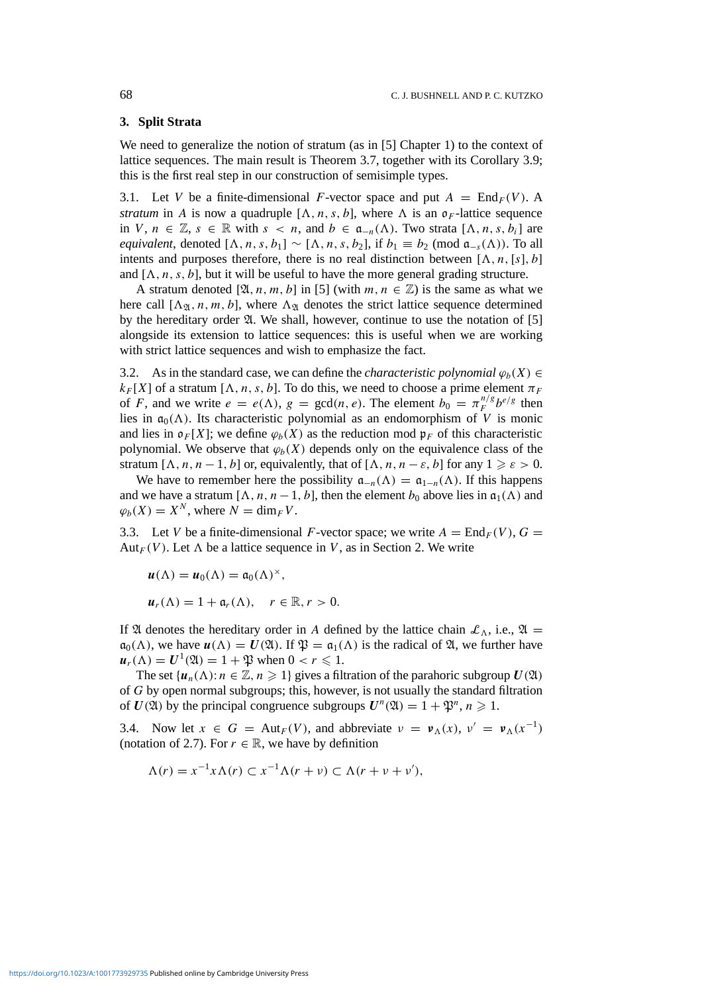## **3. Split Strata**

We need to generalize the notion of stratum (as in [5] Chapter 1) to the context of lattice sequences. The main result is Theorem 3.7, together with its Corollary 3.9; this is the first real step in our construction of semisimple types.

3.1. Let *V* be a finite-dimensional *F*-vector space and put  $A = \text{End}_F(V)$ . A *stratum* in *A* is now a quadruple  $[\Lambda, n, s, b]$ , where  $\Lambda$  is an  $\mathfrak{o}_F$ -lattice sequence in *V*, *n* ∈  $\mathbb{Z}, s$  ∈  $\mathbb{R}$  with  $s < n$ , and  $b \in \mathfrak{a}_{-n}(\Lambda)$ . Two strata [ $\Lambda, n, s, b_i$ ] are *equivalent*, denoted  $[\Lambda, n, s, b_1] \sim [\Lambda, n, s, b_2]$ , if  $b_1 \equiv b_2 \pmod{\mathfrak{a}_{-s}(\Lambda)}$ . To all intents and purposes therefore, there is no real distinction between  $[\Lambda, n, [s], b]$ and  $[\Lambda, n, s, b]$ , but it will be useful to have the more general grading structure.

A stratum denoted [ $\mathfrak{A}, n, m, b$ ] in [5] (with  $m, n \in \mathbb{Z}$ ) is the same as what we here call  $[\Lambda_{\mathfrak{A}}, n, m, b]$ , where  $\Lambda_{\mathfrak{A}}$  denotes the strict lattice sequence determined by the hereditary order  $\mathfrak{A}$ . We shall, however, continue to use the notation of [5] alongside its extension to lattice sequences: this is useful when we are working with strict lattice sequences and wish to emphasize the fact.

3.2. As in the standard case, we can define the *characteristic polynomial*  $\varphi_b(X) \in$  $k_F[X]$  of a stratum  $[\Lambda, n, s, b]$ . To do this, we need to choose a prime element  $\pi_F$ of *F*, and we write  $e = e(\Lambda)$ ,  $g = \gcd(n, e)$ . The element  $b_0 = \pi_F^{n/g} b^{e/g}$  then lies in  $\mathfrak{a}_0(\Lambda)$ . Its characteristic polynomial as an endomorphism of *V* is monic and lies in  $\mathfrak{o}_F[X]$ ; we define  $\varphi_b(X)$  as the reduction mod  $\mathfrak{p}_F$  of this characteristic polynomial. We observe that  $\varphi_b(X)$  depends only on the equivalence class of the stratum  $[\Lambda, n, n-1, b]$  or, equivalently, that of  $[\Lambda, n, n-\varepsilon, b]$  for any  $1 \geq \varepsilon > 0$ .

We have to remember here the possibility  $\mathfrak{a}_{-n}(\Lambda) = \mathfrak{a}_{1-n}(\Lambda)$ . If this happens and we have a stratum  $[\Lambda, n, n-1, b]$ , then the element  $b_0$  above lies in  $\mathfrak{a}_1(\Lambda)$  and  $\varphi_b(X) = X^N$ , where  $N = \dim_F V$ .

3.3. Let *V* be a finite-dimensional *F*-vector space; we write  $A = \text{End}_F(V)$ ,  $G =$ Aut<sub>*F*</sub>(*V*). Let  $\Lambda$  be a lattice sequence in *V*, as in Section 2. We write

$$
\begin{aligned} \mathbf{u}(\Lambda) &= \mathbf{u}_0(\Lambda) = \mathfrak{a}_0(\Lambda)^\times, \\ \mathbf{u}_r(\Lambda) &= 1 + \mathfrak{a}_r(\Lambda), \quad r \in \mathbb{R}, r > 0. \end{aligned}
$$

If  $\mathfrak A$  denotes the hereditary order in *A* defined by the lattice chain  $\mathcal L_\Lambda$ , i.e.,  $\mathfrak A$  =  $a_0(\Lambda)$ , we have  $u(\Lambda) = U(\mathfrak{A})$ . If  $\mathfrak{P} = a_1(\Lambda)$  is the radical of  $\mathfrak{A}$ , we further have  $u_r(\Lambda) = U^1(\mathfrak{A}) = 1 + \mathfrak{P}$  when  $0 < r \leq 1$ .

The set  $\{u_n(\Lambda): n \in \mathbb{Z}, n \geq 1\}$  gives a filtration of the parahoric subgroup  $U(\mathfrak{A})$ of *G* by open normal subgroups; this, however, is not usually the standard filtration of  $U(\mathfrak{A})$  by the principal congruence subgroups  $U^n(\mathfrak{A}) = 1 + \mathfrak{P}^n, n \geq 1$ .

3.4. Now let  $x \in G = \text{Aut}_F(V)$ , and abbreviate  $v = \mathbf{v}_\Lambda(x)$ ,  $v' = \mathbf{v}_\Lambda(x^{-1})$ (notation of 2.7). For  $r \in \mathbb{R}$ , we have by definition

$$
\Lambda(r) = x^{-1} x \Lambda(r) \subset x^{-1} \Lambda(r + v) \subset \Lambda(r + v + v'),
$$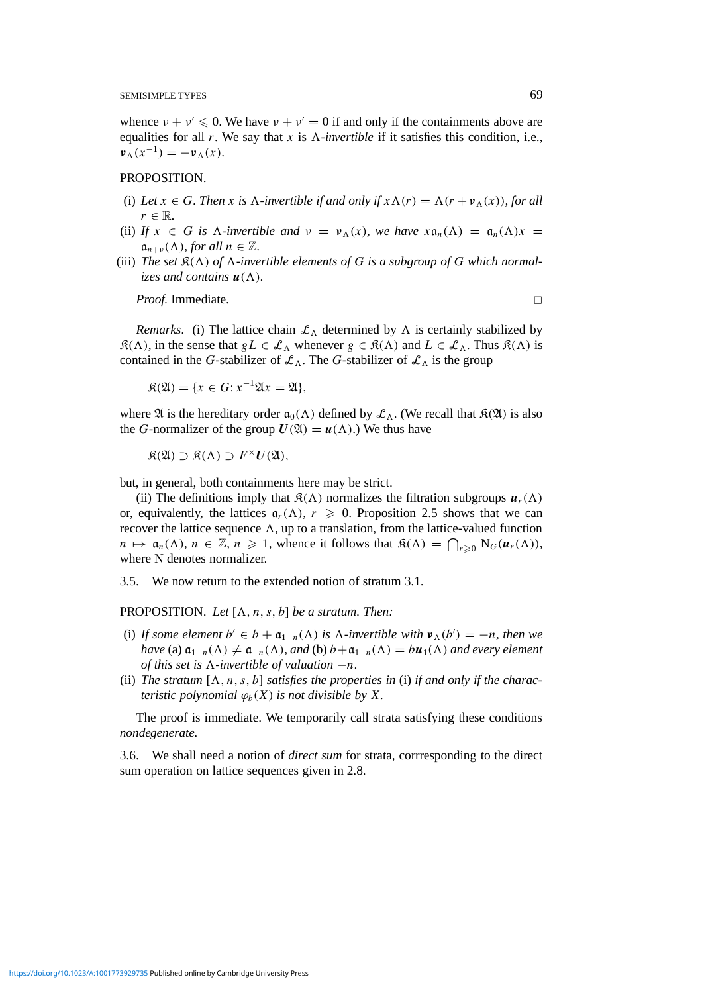whence  $v + v' \le 0$ . We have  $v + v' = 0$  if and only if the containments above are equalities for all  $r$ . We say that  $x$  is  $\Lambda$ -invertible if it satisfies this condition, i.e.,  $v_A(x^{-1}) = -v_A(x)$ .

## PROPOSITION.

- (i) Let  $x \in G$ . Then x is  $\Lambda$ -invertible if and only if  $x \Lambda(r) = \Lambda(r + v_{\Lambda}(x))$ , for all  $r \in \mathbb{R}$ .
- (ii) *If*  $x \in G$  *is*  $\Lambda$ -*invertible and*  $v = v_{\Lambda}(x)$ *, we have*  $x a_n(\Lambda) = a_n(\Lambda)x$  $\mathfrak{a}_{n+\nu}(\Lambda)$ *, for all*  $n \in \mathbb{Z}$ *.*
- (iii) The set  $\mathcal{R}(\Lambda)$  of  $\Lambda$ -invertible elements of G is a subgroup of G which normal*izes and contains*  $u(\Lambda)$ *.*

*Proof.* Immediate. □

*Remarks.* (i) The lattice chain  $\mathcal{L}_{\Lambda}$  determined by  $\Lambda$  is certainly stabilized by  $\mathfrak{K}(\Lambda)$ , in the sense that  $gL \in \mathcal{L}_{\Lambda}$  whenever  $g \in \mathfrak{K}(\Lambda)$  and  $L \in \mathcal{L}_{\Lambda}$ . Thus  $\mathfrak{K}(\Lambda)$  is contained in the *G*-stabilizer of  $\mathcal{L}_{\Lambda}$ . The *G*-stabilizer of  $\mathcal{L}_{\Lambda}$  is the group

$$
\mathfrak{K}(\mathfrak{A}) = \{x \in G : x^{-1}\mathfrak{A}x = \mathfrak{A}\},
$$

where  $\mathfrak A$  is the hereditary order  $\mathfrak a_0(\Lambda)$  defined by  $\mathcal L_\Lambda$ . (We recall that  $\mathfrak K(\mathfrak A)$  is also the *G*-normalizer of the group  $U(\mathfrak{A}) = u(\Lambda)$ .) We thus have

 $R(\mathfrak{A}) \supset R(\Lambda) \supset F^{\times}U(\mathfrak{A})$ ,

but, in general, both containments here may be strict.

(ii) The definitions imply that  $\mathcal{R}(\Lambda)$  normalizes the filtration subgroups  $u_r(\Lambda)$ or, equivalently, the lattices  $\mathfrak{a}_r(\Lambda)$ ,  $r \geq 0$ . Proposition 2.5 shows that we can recover the lattice sequence  $\Lambda$ , up to a translation, from the lattice-valued function  $n \mapsto \mathfrak{a}_n(\Lambda), n \in \mathbb{Z}, n \geq 1$ , whence it follows that  $\mathfrak{K}(\Lambda) = \bigcap_{r \geq 0} N_G(\mathbf{u}_r(\Lambda)),$ where N denotes normalizer.

3.5. We now return to the extended notion of stratum 3.1.

PROPOSITION. Let  $[\Lambda, n, s, b]$  be a stratum. Then:

- (i) If some element  $b' \in b + \mathfrak{a}_{1-n}(\Lambda)$  is  $\Lambda$ -invertible with  $v_{\Lambda}(b') = -n$ , then we *have* (a)  $\mathfrak{a}_{1-n}(\Lambda) \neq \mathfrak{a}_{-n}(\Lambda)$ , *and* (b)  $b + \mathfrak{a}_{1-n}(\Lambda) = b\mathfrak{u}_1(\Lambda)$  *and every element of this set is*  $\Lambda$ -*invertible of valuation*  $-n$ .
- (ii) The stratum  $[\Lambda, n, s, b]$  satisfies the properties in (i) if and only if the charac*teristic polynomial*  $\varphi_b(X)$  *is not divisible by X.*

The proof is immediate. We temporarily call strata satisfying these conditions *nondegenerate.*

3.6. We shall need a notion of *direct sum* for strata, corrresponding to the direct sum operation on lattice sequences given in 2.8.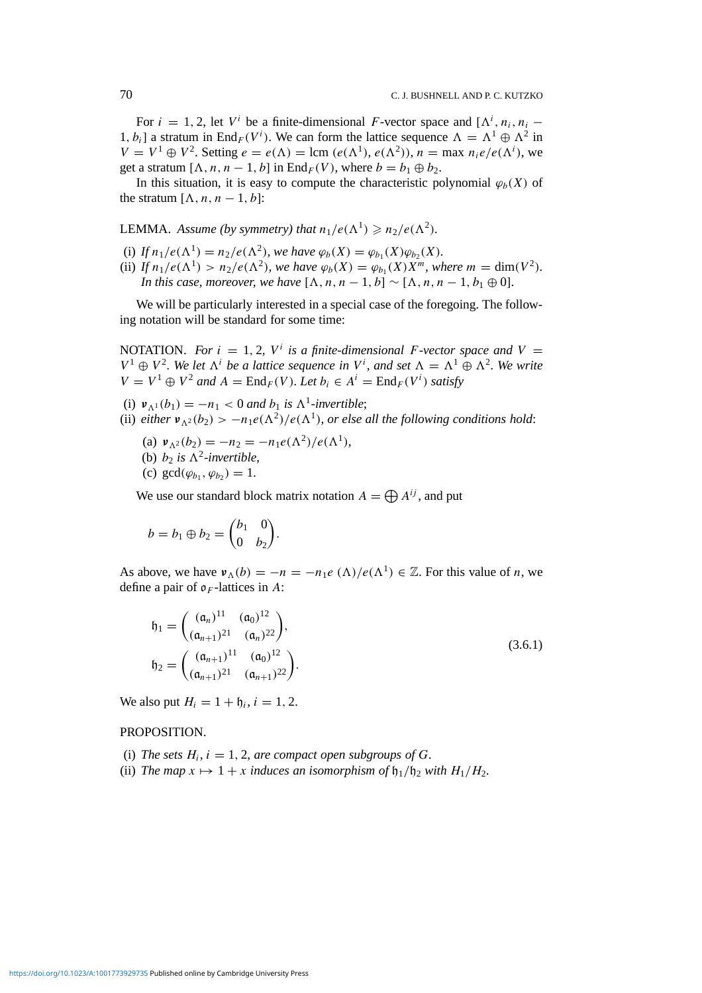For  $i = 1, 2$ , let  $V^i$  be a finite-dimensional *F*-vector space and  $[\Lambda^i, n_i, n_i -$ 1,  $b_i$  a stratum in End<sub>F</sub> (V<sup>*i*</sup>). We can form the lattice sequence  $\Lambda = \Lambda^1 \oplus \Lambda^2$  in  $V = V^1 \oplus V^2$ . Setting  $e = e(\Lambda) = \text{lcm} (e(\Lambda^1), e(\Lambda^2))$ ,  $n = \text{max } n_i e/e(\Lambda^i)$ , we get a stratum  $[A, n, n-1, b]$  in  $\text{End}_F(V)$ , where  $b = b_1 \oplus b_2$ .

In this situation, it is easy to compute the characteristic polynomial  $\varphi_b(X)$  of the stratum  $[\Lambda, n, n-1, b]$ :

**LEMMA.** Assume (by symmetry) that  $n_1/e(\Lambda^1) \geq n_2/e(\Lambda^2)$ .

- (i) *If*  $n_1/e(\Lambda^1) = n_2/e(\Lambda^2)$ *, we have*  $\varphi_b(X) = \varphi_{b_1}(X)\varphi_{b_2}(X)$ *.*
- (ii) *If*  $n_1/e(\Lambda^1) > n_2/e(\Lambda^2)$ *, we have*  $\varphi_b(X) = \varphi_b(X)X^m$ *, where*  $m = \dim(V^2)$ *. In this case, moreover, we have*  $[\Lambda, n, n-1, b] \sim [\Lambda, n, n-1, b] \oplus 0$ .

We will be particularly interested in a special case of the foregoing. The following notation will be standard for some time:

NOTATION. For  $i = 1, 2, V^i$  is a finite-dimensional F-vector space and  $V =$  $V^1 \oplus V^2$ . We let  $\Lambda^i$  be a lattice sequence in  $V^i$ , and set  $\Lambda = \Lambda^1 \oplus \Lambda^2$ . We write *V* =  $V^1$  ⊕  $V^2$  *and*  $A = \text{End}_F(V)$ *. Let*  $b_i \in A^i = \text{End}_F(V^i)$  *satisfy* 

- (i)  $v_{\Lambda^1}(b_1) = -n_1 < 0$  *and*  $b_1$  *is*  $\Lambda^1$ *-invertible*;
- (ii) *either*  $v_{\Lambda^2}(b_2) > -n_1e(\Lambda^2)/e(\Lambda^1)$ *, or else all the following conditions hold:* 
	- (a)  $v_{\Lambda^2}(b_2) = -n_2 = -n_1 e(\Lambda^2)/e(\Lambda^1)$ ,
	- (b)  $b_2$  *is*  $\Lambda^2$ *-invertible*,
	- (c)  $gcd(\varphi_h, \varphi_h) = 1$ .

We use our standard block matrix notation  $A = \bigoplus A^{ij}$ , and put

$$
b = b_1 \oplus b_2 = \begin{pmatrix} b_1 & 0 \\ 0 & b_2 \end{pmatrix}.
$$

As above, we have  $v_A(b) = -n = -n_1e(\Lambda)/e(\Lambda^1) \in \mathbb{Z}$ . For this value of *n*, we define a pair of  $\rho_F$ -lattices in A:

$$
\mathfrak{h}_1 = \begin{pmatrix} (\mathfrak{a}_n)^{11} & (\mathfrak{a}_0)^{12} \\ (\mathfrak{a}_{n+1})^{21} & (\mathfrak{a}_n)^{22} \end{pmatrix},
$$
  
\n
$$
\mathfrak{h}_2 = \begin{pmatrix} (\mathfrak{a}_{n+1})^{11} & (\mathfrak{a}_0)^{12} \\ (\mathfrak{a}_{n+1})^{21} & (\mathfrak{a}_{n+1})^{22} \end{pmatrix}.
$$
\n(3.6.1)

We also put  $H_i = 1 + \mathfrak{h}_i, i = 1, 2$ .

### PROPOSITION.

- (i) *The sets*  $H_i$ ,  $i = 1, 2$ , are compact open subgroups of G.
- (ii) *The map*  $x \mapsto 1 + x$  *induces an isomorphism of*  $h_1/h_2$  *with*  $H_1/H_2$ .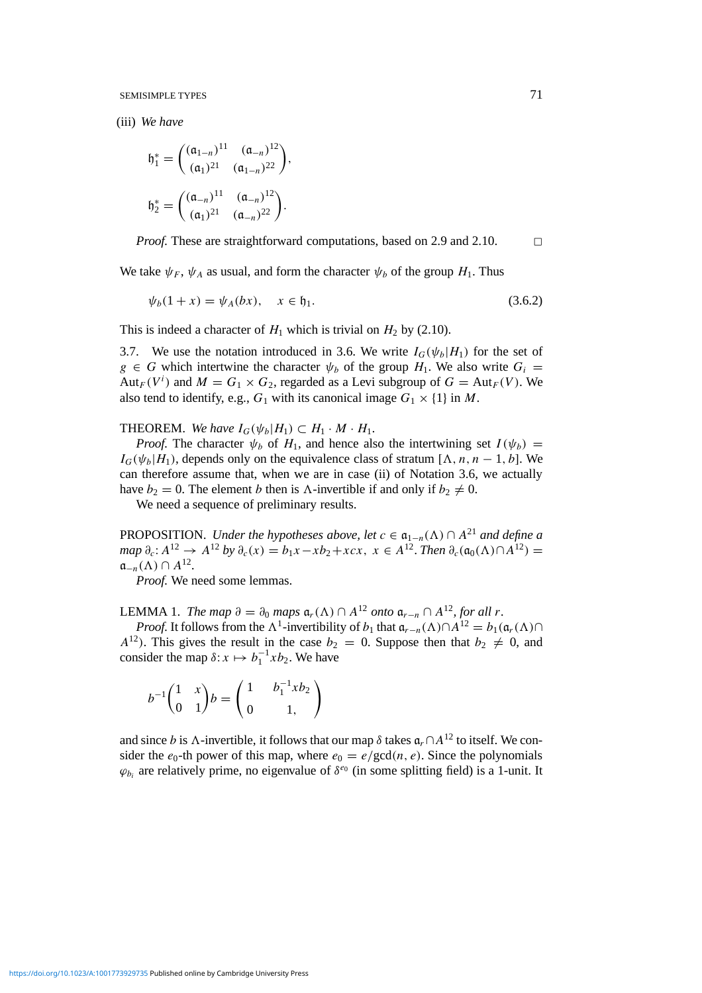(iii) *We have*

$$
b_1^* = \begin{pmatrix} (\mathfrak{a}_{1-n})^{11} & (\mathfrak{a}_{-n})^{12} \\ (\mathfrak{a}_1)^{21} & (\mathfrak{a}_{1-n})^{22} \end{pmatrix},
$$

$$
b_2^* = \begin{pmatrix} (\mathfrak{a}_{-n})^{11} & (\mathfrak{a}_{-n})^{12} \\ (\mathfrak{a}_1)^{21} & (\mathfrak{a}_{-n})^{22} \end{pmatrix}.
$$

*Proof.* These are straightforward computations, based on 2.9 and 2.10.  $\Box$ 

We take  $\psi_F$ ,  $\psi_A$  as usual, and form the character  $\psi_b$  of the group  $H_1$ . Thus

$$
\psi_b(1+x) = \psi_A(bx), \quad x \in \mathfrak{h}_1. \tag{3.6.2}
$$

This is indeed a character of  $H_1$  which is trivial on  $H_2$  by (2.10).

3.7. We use the notation introduced in 3.6. We write  $I_G(\psi_b|H_1)$  for the set of  $g \in G$  which intertwine the character  $\psi_b$  of the group  $H_1$ . We also write  $G_i$ Aut<sub>*F*</sub>( $V^i$ ) and  $M = G_1 \times G_2$ , regarded as a Levi subgroup of  $G = Aut_F(V)$ . We also tend to identify, e.g.,  $G_1$  with its canonical image  $G_1 \times \{1\}$  in M.

**THEOREM.** We have  $I_G(\psi_b|H_1) \subset H_1 \cdot M \cdot H_1$ .

*Proof.* The character  $\psi_b$  of  $H_1$ , and hence also the intertwining set  $I(\psi_b)$  =  $I_G(\psi_b|H_1)$ , depends only on the equivalence class of stratum [ $\Lambda$ ,  $n, n-1, b$ ]. We can therefore assume that, when we are in case (ii) of Notation 3.6, we actually have  $b_2 = 0$ . The element *b* then is *A*-invertible if and only if  $b_2 \neq 0$ .

We need a sequence of preliminary results.

PROPOSITION. *Under the hypotheses above, let*  $c \in \mathfrak{a}_{1-n}(\Lambda) \cap A^{21}$  *and define a*  $map \ \partial_c: A^{12} \to A^{12} \ by \ \partial_c(x) = b_1x - xb_2 + xcx, \ x \in A^{12}.$  *Then*  $\partial_c(\mathfrak{a}_0(\Lambda) \cap A^{12}) =$  $\mathfrak{a}_{-n}(\Lambda) \cap A^{12}$ .

*Proof.* We need some lemmas.

LEMMA 1. *The map*  $\partial = \partial_0$  *maps*  $\mathfrak{a}_r(\Lambda) \cap A^{12}$  *onto*  $\mathfrak{a}_{r-n} \cap A^{12}$ *, for all r*.

*Proof.* It follows from the  $\Lambda^1$ -invertibility of *b*<sub>1</sub> that  $\mathfrak{a}_{r-n}(\Lambda) \cap A^{12} = b_1(\mathfrak{a}_r(\Lambda) \cap A^{12} = b_r(\Lambda)$  $A^{12}$ ). This gives the result in the case  $b_2 = 0$ . Suppose then that  $b_2 \neq 0$ , and consider the map  $\delta: x \mapsto b_1^{-1}x b_2$ . We have

$$
b^{-1} \begin{pmatrix} 1 & x \\ 0 & 1 \end{pmatrix} b = \begin{pmatrix} 1 & b_1^{-1} x b_2 \\ 0 & 1 \end{pmatrix}
$$

and since *b* is  $\Lambda$ -invertible, it follows that our map  $\delta$  takes  $\mathfrak{a}_r \cap A^{12}$  to itself. We consider the  $e_0$ -th power of this map, where  $e_0 = e/\text{gcd}(n, e)$ . Since the polynomials  $\varphi_{b_i}$  are relatively prime, no eigenvalue of  $\delta^{e_0}$  (in some splitting field) is a 1-unit. It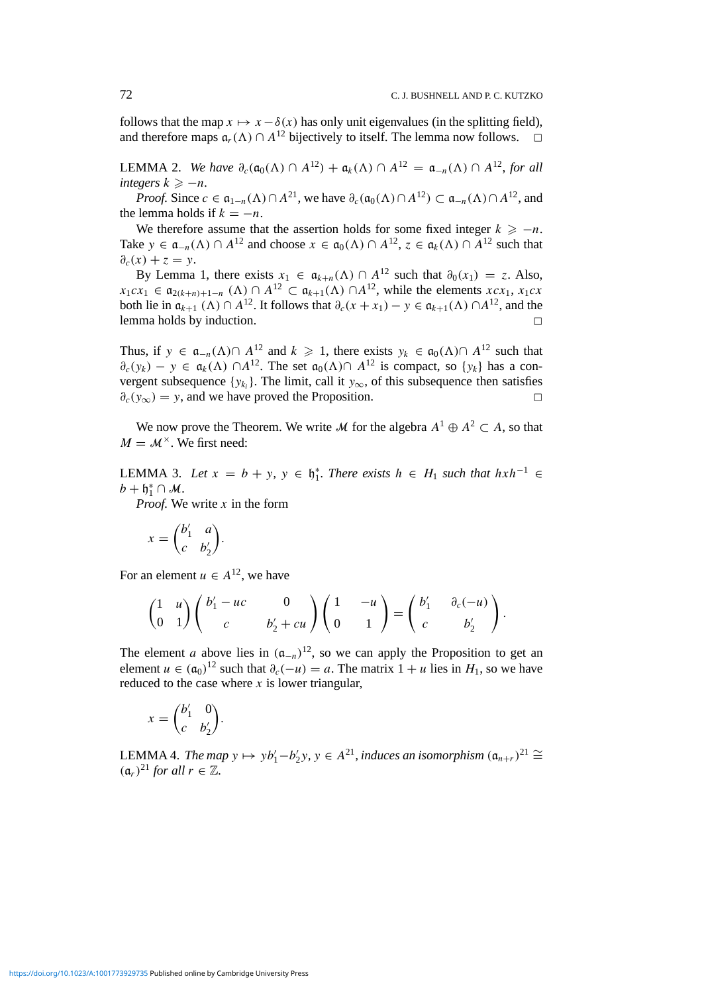follows that the map  $x \mapsto x - \delta(x)$  has only unit eigenvalues (in the splitting field), and therefore maps  $\mathfrak{a}_r(\Lambda) \cap A^{12}$  bijectively to itself. The lemma now follows.  $\square$ 

LEMMA 2. *We have*  $\partial_c(\mathfrak{a}_0(\Lambda) \cap A^{12}) + \mathfrak{a}_k(\Lambda) \cap A^{12} = \mathfrak{a}_{-n}(\Lambda) \cap A^{12}$ , for all *integers*  $k \ge -n$ *.* 

*Proof.* Since  $c \in \mathfrak{a}_{1-n}(\Lambda) \cap A^{21}$ , we have  $\partial_c(\mathfrak{a}_0(\Lambda) \cap A^{12}) \subset \mathfrak{a}_{-n}(\Lambda) \cap A^{12}$ , and the lemma holds if  $k = -n$ .

We therefore assume that the assertion holds for some fixed integer  $k \ge -n$ . Take  $y \in \mathfrak{a}_{-n}(\Lambda) \cap A^{12}$  and choose  $x \in \mathfrak{a}_0(\Lambda) \cap A^{12}$ ,  $z \in \mathfrak{a}_k(\Lambda) \cap A^{12}$  such that  $\partial_c(x) + z = y$ .

By Lemma 1, there exists  $x_1 \in \mathfrak{a}_{k+n}(\Lambda) \cap A^{12}$  such that  $\partial_0(x_1) = z$ . Also,  $x_1 c x_1 \in \mathfrak{a}_{2(k+n)+1-n}$  ( $\Lambda$ ) ∩  $A^{12} \subset \mathfrak{a}_{k+1}(\Lambda)$  ∩  $A^{12}$ , while the elements  $x c x_1, x_1 c x$ both lie in  $\mathfrak{a}_{k+1}(\Lambda) \cap A^{12}$ . It follows that  $\partial_c(x + x_1) - y \in \mathfrak{a}_{k+1}(\Lambda) \cap A^{12}$ , and the lemma holds by induction. <sup>2</sup>

Thus, if *y* ∈  $\mathfrak{a}_{-n}(\Lambda) \cap A^{12}$  and  $k \ge 1$ , there exists  $y_k \in \mathfrak{a}_0(\Lambda) \cap A^{12}$  such that  $\partial_c(y_k) - y \in \mathfrak{a}_k(\Lambda) \cap A^{12}$ . The set  $\mathfrak{a}_0(\Lambda) \cap A^{12}$  is compact, so  $\{y_k\}$  has a convergent subsequence {*y<sub>ki</sub>*}. The limit, call it *y*<sub>∞</sub>, of this subsequence then satisfies  $\partial_c(y_\infty) = y$ , and we have proved the Proposition.

We now prove the Theorem. We write *M* for the algebra  $A^1 \oplus A^2 \subset A$ , so that  $M = M^{\times}$ . We first need:

LEMMA 3. Let  $x = b + y$ ,  $y \in \mathfrak{h}_1^*$ . There exists  $h \in H_1$  such that  $hxh^{-1} \in$  $b + \mathfrak{h}_1^* \cap M$ .

*Proof.* We write *x* in the form

$$
x = \begin{pmatrix} b'_1 & a \\ c & b'_2 \end{pmatrix}.
$$

For an element  $u \in A^{12}$ , we have

$$
\begin{pmatrix} 1 & u \ 0 & 1 \end{pmatrix} \begin{pmatrix} b'_1 - uc & 0 \ c & b'_2 + cu \end{pmatrix} \begin{pmatrix} 1 & -u \ 0 & 1 \end{pmatrix} = \begin{pmatrix} b'_1 & \partial_c(-u) \ c & b'_2 \end{pmatrix}.
$$

The element *a* above lies in  $(a_{-n})^{12}$ , so we can apply the Proposition to get an element  $u \in (\mathfrak{a}_0)^{12}$  such that  $\partial_c(-u) = a$ . The matrix  $1 + u$  lies in  $H_1$ , so we have reduced to the case where *x* is lower triangular,

$$
x = \begin{pmatrix} b'_1 & 0 \\ c & b'_2 \end{pmatrix}.
$$

LEMMA 4. *The map*  $y \mapsto yb'_1-b'_2y, y \in A^{21}$ , *induces an isomorphism*  $(a_{n+r})^{21}$  ≅  $(a_r)^{21}$  *for all*  $r \in \mathbb{Z}$ *.*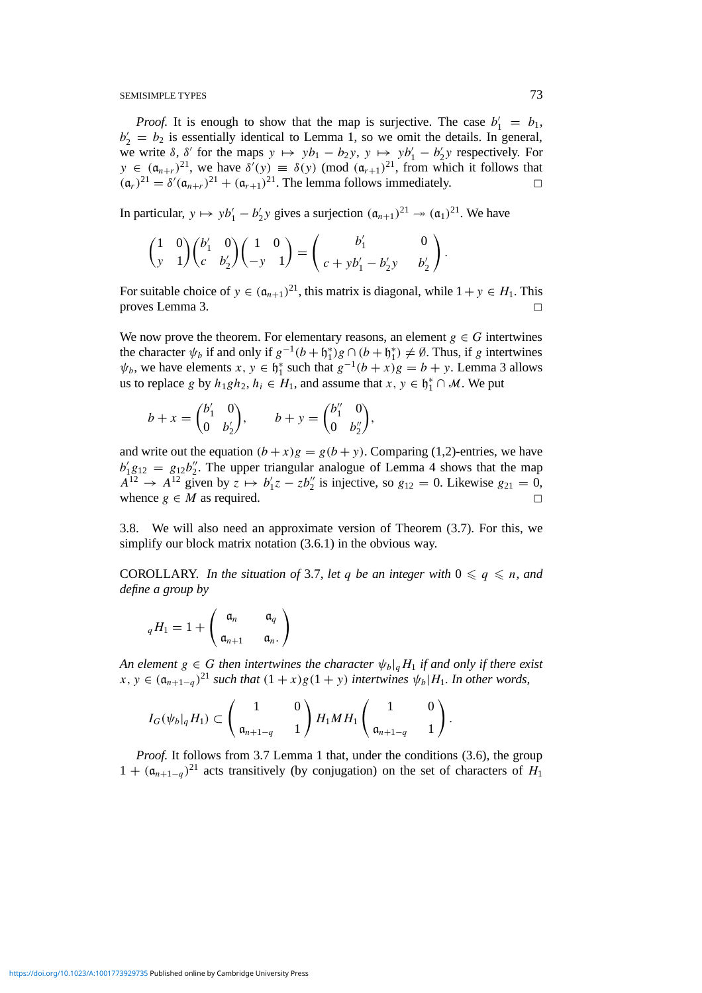*Proof.* It is enough to show that the map is surjective. The case  $b'_1 = b_1$ ,  $b_2' = b_2$  is essentially identical to Lemma 1, so we omit the details. In general, we write  $\delta$ ,  $\delta'$  for the maps  $y \mapsto yb_1 - b_2y$ ,  $y \mapsto yb_1' - b_2'y$  respectively. For  $y \in (\mathfrak{a}_{n+r})^{21}$ , we have  $\delta'(y) \equiv \delta(y) \pmod{(\mathfrak{a}_{r+1})^{21}}$ , from which it follows that  $(\mathfrak{a}_r)^{21} = \delta'(\mathfrak{a}_{n+r})^{21} + (\mathfrak{a}_{r+1})^{21}$ . The lemma follows immediately.

In particular,  $y \mapsto y b'_1 - b'_2 y$  gives a surjection  $(a_{n+1})^{21} \rightarrow (a_1)^{21}$ . We have

$$
\begin{pmatrix} 1 & 0 \\ y & 1 \end{pmatrix} \begin{pmatrix} b'_1 & 0 \\ c & b'_2 \end{pmatrix} \begin{pmatrix} 1 & 0 \\ -y & 1 \end{pmatrix} = \begin{pmatrix} b'_1 & 0 \\ c + yb'_1 - b'_2y & b'_2 \end{pmatrix}.
$$

For suitable choice of  $y \in (\mathfrak{a}_{n+1})^{21}$ , this matrix is diagonal, while  $1 + y \in H_1$ . This proves Lemma 3.

We now prove the theorem. For elementary reasons, an element  $g \in G$  intertwines the character  $\psi_b$  if and only if  $g^{-1}(b + \mathfrak{h}_1^*)g \cap (b + \mathfrak{h}_1^*) \neq \emptyset$ . Thus, if *g* intertwines  $\psi_b$ , we have elements  $x, y \in \mathfrak{h}_1^*$  such that  $g^{-1}(b + x)g = b + y$ . Lemma 3 allows us to replace *g* by  $h_1gh_2$ ,  $h_i \in H_1$ , and assume that  $x, y \in \mathfrak{h}_1^* \cap \mathcal{M}$ . We put

$$
b + x = \begin{pmatrix} b'_1 & 0 \\ 0 & b'_2 \end{pmatrix}, \qquad b + y = \begin{pmatrix} b''_1 & 0 \\ 0 & b''_2 \end{pmatrix},
$$

and write out the equation  $(b + x)g = g(b + y)$ . Comparing (1,2)-entries, we have  $b'_1 g_{12} = g_{12} b''_2$ . The upper triangular analogue of Lemma 4 shows that the map  $A^{12} \rightarrow A^{12}$  given by  $z \mapsto b'_1 z - z b''_2$  is injective, so  $g_{12} = 0$ . Likewise  $g_{21} = 0$ , whence  $g \in M$  as required.

3.8. We will also need an approximate version of Theorem (3.7). For this, we simplify our block matrix notation  $(3.6.1)$  in the obvious way.

COROLLARY. *In the situation of* 3.7, *let q be an integer with*  $0 \le q \le n$ *, and define a group by*

$$
_{q}H_{1}=1+\left(\begin{array}{cc}\mathfrak{a}_{n} & \mathfrak{a}_{q}\\ \mathfrak{a}_{n+1} & \mathfrak{a}_{n}.\end{array}\right)
$$

*An element*  $g \in G$  *then intertwines the character*  $\psi_b|_g H_1$  *if and only if there exist x*, *y* ∈  $(a_{n+1-q})^{21}$  *such that*  $(1+x)g(1+y)$  *intertwines*  $\psi_b|H_1$ *. In other words,* 

$$
I_G(\psi_b|_q H_1) \subset \begin{pmatrix} 1 & 0 \ \mathfrak{a}_{n+1-q} & 1 \end{pmatrix} H_1 M H_1 \begin{pmatrix} 1 & 0 \ \mathfrak{a}_{n+1-q} & 1 \end{pmatrix}.
$$

*Proof.* It follows from 3.7 Lemma 1 that, under the conditions (3.6), the group  $1 + (\mathfrak{a}_{n+1-q})^{21}$  acts transitively (by conjugation) on the set of characters of *H*<sub>1</sub>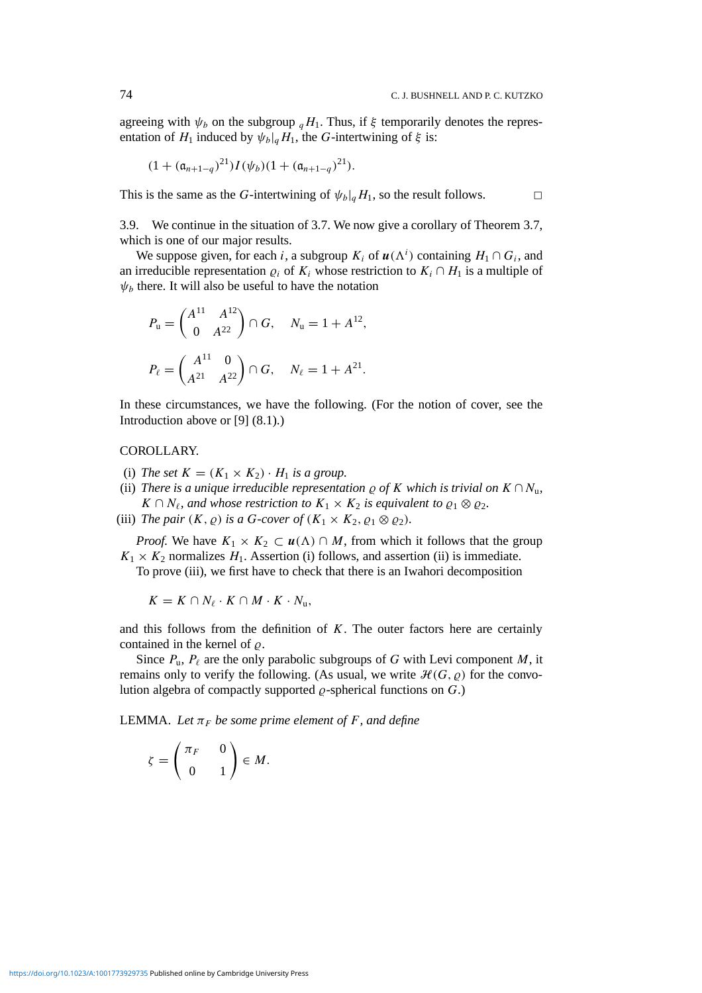agreeing with  $\psi_b$  on the subgroup  $_qH_1$ . Thus, if  $\xi$  temporarily denotes the representation of  $H_1$  induced by  $\psi_b|_qH_1$ , the *G*-intertwining of  $\xi$  is:

$$
(1+(\mathfrak{a}_{n+1-q})^{21})I(\psi_b)(1+(\mathfrak{a}_{n+1-q})^{21}).
$$

This is the same as the *G*-intertwining of  $\psi_b|_qH_1$ , so the result follows.

3.9. We continue in the situation of 3.7. We now give a corollary of Theorem 3.7, which is one of our major results.

We suppose given, for each *i*, a subgroup  $K_i$  of  $u(\Lambda^i)$  containing  $H_1 \cap G_i$ , and an irreducible representation  $\varrho_i$  of  $K_i$  whose restriction to  $K_i \cap H_1$  is a multiple of  $\psi_b$  there. It will also be useful to have the notation

$$
P_{\mathbf{u}} = \begin{pmatrix} A^{11} & A^{12} \\ 0 & A^{22} \end{pmatrix} \cap G, \quad N_{\mathbf{u}} = 1 + A^{12},
$$
\n
$$
P_{\ell} = \begin{pmatrix} A^{11} & 0 \\ A^{21} & A^{22} \end{pmatrix} \cap G, \quad N_{\ell} = 1 + A^{21}.
$$

In these circumstances, we have the following. (For the notion of cover, see the Introduction above or [9] (8.1).)

#### COROLLARY.

- (i) *The set*  $K = (K_1 \times K_2) \cdot H_1$  *is a group.*
- (ii) *There is a unique irreducible representation*  $\rho$  *of K which is trivial on*  $K \cap N_u$ ,  $K \cap N_{\ell}$ , and whose restriction to  $K_1 \times K_2$  is equivalent to  $\varrho_1 \otimes \varrho_2$ .
- (iii) *The pair*  $(K, \varrho)$  *is a G-cover of*  $(K_1 \times K_2, \varrho_1 \otimes \varrho_2)$ *.*

*Proof.* We have  $K_1 \times K_2 \subset u(\Lambda) \cap M$ , from which it follows that the group  $K_1 \times K_2$  normalizes  $H_1$ . Assertion (i) follows, and assertion (ii) is immediate. To prove (iii), we first have to check that there is an Iwahori decomposition

 $K = K \cap N_{\ell} \cdot K \cap M \cdot K \cdot N_{\mathfrak{u}},$ 

and this follows from the definition of *K*. The outer factors here are certainly contained in the kernel of  $\rho$ .

Since  $P_u$ ,  $P_\ell$  are the only parabolic subgroups of *G* with Levi component *M*, it remains only to verify the following. (As usual, we write  $\mathcal{H}(G, \rho)$  for the convolution algebra of compactly supported  $\rho$ -spherical functions on  $G$ .)

**LEMMA.** Let  $\pi_F$  be some prime element of F, and define

$$
\zeta = \begin{pmatrix} \pi_F & 0 \\ 0 & 1 \end{pmatrix} \in M.
$$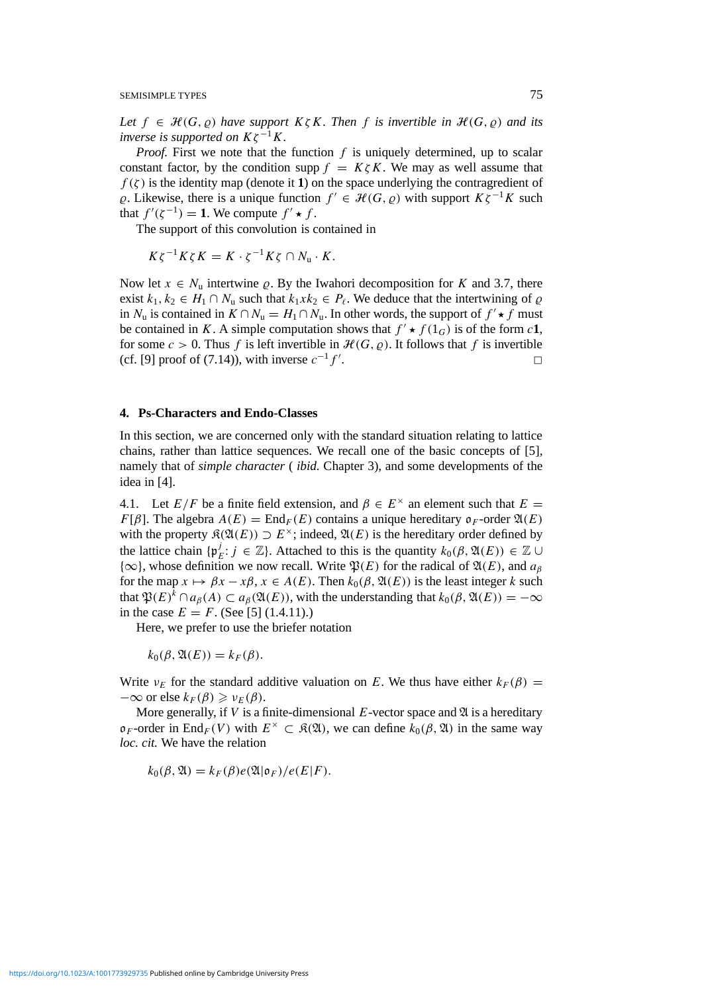*Let*  $f \in \mathcal{H}(G, \varrho)$  *have support*  $K \zeta K$ *. Then f is invertible in*  $\mathcal{H}(G, \varrho)$  *and its inverse is supported on*  $K\zeta^{-1}K$ *.* 

*Proof.* First we note that the function f is uniquely determined, up to scalar constant factor, by the condition supp  $f = K \zeta K$ . We may as well assume that  $f(\zeta)$  is the identity map (denote it **1**) on the space underlying the contragredient of  $\varrho$ . Likewise, there is a unique function *f*  $'$  ∈  $\mathcal{H}(G, \varrho)$  with support  $K\zeta^{-1}K$  such that  $f'(\zeta^{-1}) = 1$ . We compute  $f' \star f$ .

The support of this convolution is contained in

$$
K\zeta^{-1}K\zeta K = K \cdot \zeta^{-1}K\zeta \cap N_{\mathbf{u}} \cdot K.
$$

Now let  $x \in N_u$  intertwine  $\varrho$ . By the Iwahori decomposition for *K* and 3.7, there exist  $k_1, k_2 \text{ ∈ } H_1 \cap N$ u such that  $k_1 x k_2 \in P$ <sub>ℓ</sub>. We deduce that the intertwining of  $\varrho$ in  $N_u$  is contained in  $K \cap N_u = H_1 \cap N_u$ . In other words, the support of  $f' \star f$  must be contained in *K*. A simple computation shows that  $f' \star f(1_G)$  is of the form *c***1**, for some  $c > 0$ . Thus f is left invertible in  $\mathcal{H}(G, \rho)$ . It follows that f is invertible (cf. [9] proof of (7.14)), with inverse  $c^{-1}f'$ . .  $\Box$ 

#### **4. Ps-Characters and Endo-Classes**

In this section, we are concerned only with the standard situation relating to lattice chains, rather than lattice sequences. We recall one of the basic concepts of [5], namely that of *simple character* ( *ibid.* Chapter 3), and some developments of the idea in [4].

4.1. Let  $E/F$  be a finite field extension, and  $\beta \in E^{\times}$  an element such that  $E =$ *F*[*β*]. The algebra  $A(E) = \text{End}_F(E)$  contains a unique hereditary  $\mathfrak{o}_F$ -order  $\mathfrak{A}(E)$ with the property  $\mathfrak{K}(\mathfrak{A}(E)) \supset E^{\times}$ ; indeed,  $\mathfrak{A}(E)$  is the hereditary order defined by the lattice chain  $\{ \mathfrak{p}_E^j : j \in \mathbb{Z} \}$ . Attached to this is the quantity  $k_0(\beta, \mathfrak{A}(E)) \in \mathbb{Z} \cup$  ${\infty}$ , whose definition we now recall. Write  $\mathfrak{P}(E)$  for the radical of  $\mathfrak{A}(E)$ , and  $a_{\beta}$ for the map  $x \mapsto \beta x - x\beta$ ,  $x \in A(E)$ . Then  $k_0(\beta, \mathfrak{A}(E))$  is the least integer *k* such that  $\mathfrak{P}(E)^k \cap a_{\beta}(A) \subset a_{\beta}(\mathfrak{A}(E))$ , with the understanding that  $k_0(\beta, \mathfrak{A}(E)) = -\infty$ in the case  $E = F$ . (See [5] (1.4.11).)

Here, we prefer to use the briefer notation

 $k_0(\beta, \mathfrak{A}(E)) = k_F(\beta).$ 

Write  $v_E$  for the standard additive valuation on *E*. We thus have either  $k_F(\beta)$  =  $-\infty$  or else  $k_F(\beta) \geq v_F(\beta)$ .

More generally, if  $V$  is a finite-dimensional  $E$ -vector space and  $\mathfrak A$  is a hereditary  $o_F$ -order in End<sub>F</sub>(V) with  $E^{\times} \subset \mathcal{R}(\mathfrak{A})$ , we can define  $k_0(\beta, \mathfrak{A})$  in the same way *loc. cit.* We have the relation

 $k_0(\beta, \mathfrak{A}) = k_F(\beta)e(\mathfrak{A}|\mathfrak{o}_F)/e(E|F).$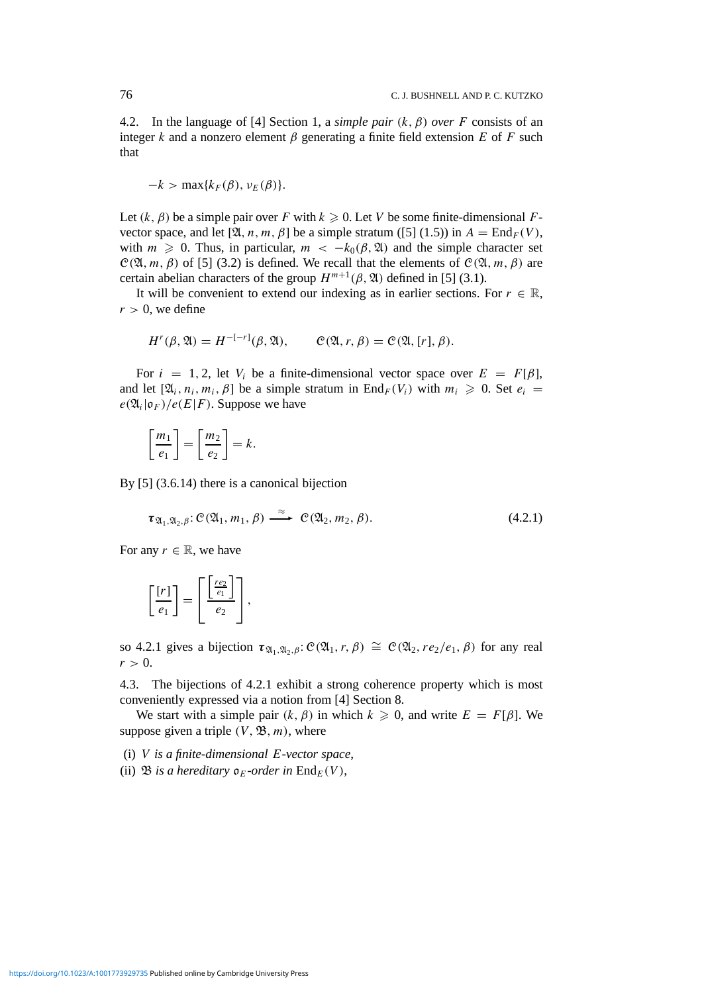4.2. In the language of [4] Section 1, a *simple pair*  $(k, \beta)$  *over F* consists of an integer *k* and a nonzero element  $\beta$  generating a finite field extension *E* of *F* such that

$$
-k > \max\{k_F(\beta), \nu_E(\beta)\}.
$$

Let  $(k, \beta)$  be a simple pair over *F* with  $k \ge 0$ . Let *V* be some finite-dimensional *F*vector space, and let  $[\mathfrak{A}, n, m, \beta]$  be a simple stratum ([5] (1.5)) in  $A = \text{End}_F(V)$ , with  $m \geq 0$ . Thus, in particular,  $m < -k_0(\beta, \mathfrak{A})$  and the simple character set  $C(\mathfrak{A}, m, \beta)$  of [5] (3.2) is defined. We recall that the elements of  $C(\mathfrak{A}, m, \beta)$  are certain abelian characters of the group  $H^{m+1}(\beta, \mathfrak{A})$  defined in [5] (3.1).

It will be convenient to extend our indexing as in earlier sections. For  $r \in \mathbb{R}$ ,  $r > 0$ , we define

$$
H^{r}(\beta, \mathfrak{A}) = H^{-[-r]}(\beta, \mathfrak{A}), \qquad \mathcal{C}(\mathfrak{A}, r, \beta) = \mathcal{C}(\mathfrak{A}, [r], \beta).
$$

For  $i = 1, 2$ , let  $V_i$  be a finite-dimensional vector space over  $E = F[\beta]$ , and let  $[\mathfrak{A}_i, n_i, m_i, \beta]$  be a simple stratum in  $\text{End}_F(V_i)$  with  $m_i \geq 0$ . Set  $e_i =$  $e(\mathfrak{A}_i|\mathfrak{o}_F)/e(E|F)$ . Suppose we have

$$
\left[\frac{m_1}{e_1}\right] = \left[\frac{m_2}{e_2}\right] = k.
$$

By [5] (3.6.14) there is a canonical bijection

$$
\tau_{\mathfrak{A}_1,\mathfrak{A}_2,\beta}: \mathcal{C}(\mathfrak{A}_1,m_1,\beta) \xrightarrow{\approx} \mathcal{C}(\mathfrak{A}_2,m_2,\beta).
$$
 (4.2.1)

For any  $r \in \mathbb{R}$ , we have

$$
\left[\frac{[r]}{e_1}\right] = \left[\frac{\left[\frac{re_2}{e_1}\right]}{e_2}\right],
$$

so 4.2.1 gives a bijection  $\tau_{\mathfrak{A}_1,\mathfrak{A}_2,\beta}$ :  $\mathcal{C}(\mathfrak{A}_1,r,\beta) \cong \mathcal{C}(\mathfrak{A}_2, re_2/e_1,\beta)$  for any real  $r > 0$ .

4.3. The bijections of 4.2.1 exhibit a strong coherence property which is most conveniently expressed via a notion from [4] Section 8.

We start with a simple pair  $(k, \beta)$  in which  $k \geq 0$ , and write  $E = F[\beta]$ . We suppose given a triple  $(V, \mathfrak{B}, m)$ , where

(i) *V is a finite-dimensional E-vector space*,

(ii)  $\mathfrak{B}$  *is a hereditary*  $\mathfrak{o}_F$ *-order in*  $\text{End}_F(V)$ ,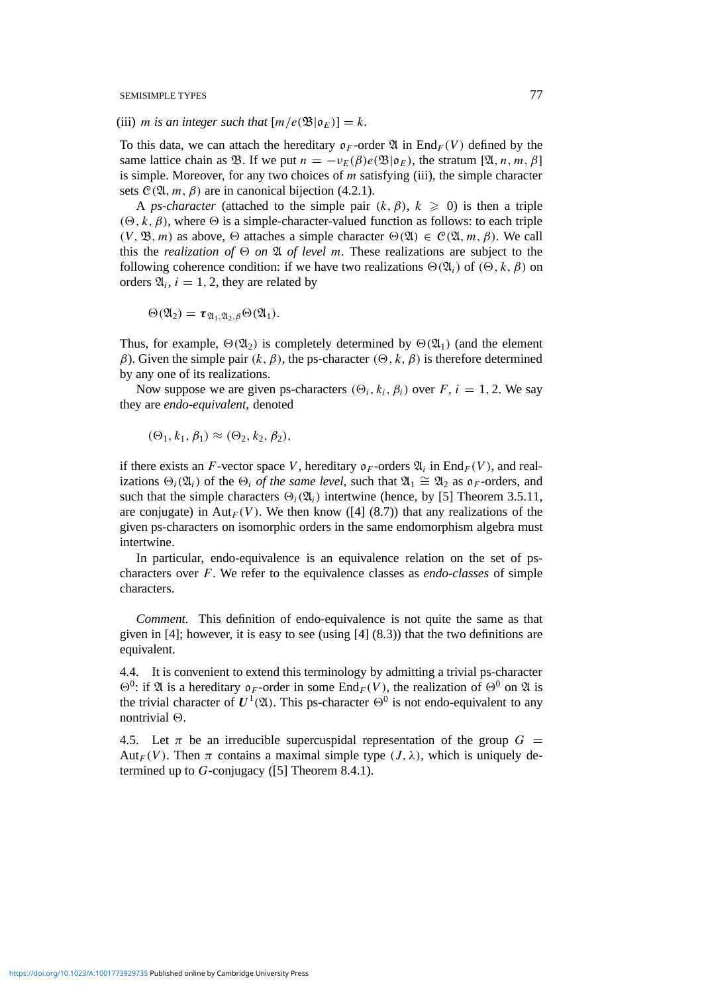(iii) *m* is an integer such that  $[m/e(\mathfrak{B}|\mathfrak{o}_E)] = k$ .

To this data, we can attach the hereditary  $\mathfrak{o}_F$ -order  $\mathfrak{A}$  in End<sub>F</sub>(V) defined by the same lattice chain as  $\mathfrak{B}$ . If we put  $n = -v_E(\beta)e(\mathfrak{B}|\mathfrak{o}_E)$ , the stratum  $[\mathfrak{A}, n, m, \beta]$ is simple. Moreover, for any two choices of *m* satisfying (iii), the simple character sets  $C(\mathfrak{A}, m, \beta)$  are in canonical bijection (4.2.1).

A *ps-character* (attached to the simple pair  $(k, \beta)$ ,  $k \ge 0$ ) is then a triple  $(\Theta, k, \beta)$ , where  $\Theta$  is a simple-character-valued function as follows: to each triple  $(V, \mathfrak{B}, m)$  as above,  $\Theta$  attaches a simple character  $\Theta(\mathfrak{A}) \in C(\mathfrak{A}, m, \beta)$ . We call this the *realization of*  $\Theta$  *on*  $\mathfrak A$  *of level m.* These realizations are subject to the following coherence condition: if we have two realizations  $\Theta(\mathfrak{A}_i)$  of  $(\Theta, k, \beta)$  on orders  $\mathfrak{A}_i$ ,  $i = 1, 2$ , they are related by

$$
\Theta(\mathfrak{A}_2)=\tau_{\mathfrak{A}_1,\mathfrak{A}_2,\beta}\Theta(\mathfrak{A}_1).
$$

Thus, for example,  $\Theta(\mathfrak{A}_2)$  is completely determined by  $\Theta(\mathfrak{A}_1)$  (and the element *β*). Given the simple pair  $(k, β)$ , the ps-character  $(Θ, k, β)$  is therefore determined by any one of its realizations.

Now suppose we are given ps-characters  $(\Theta_i, k_i, \beta_i)$  over *F*, *i* = 1, 2. We say they are *endo-equivalent,* denoted

$$
(\Theta_1, k_1, \beta_1) \approx (\Theta_2, k_2, \beta_2),
$$

if there exists an *F*-vector space *V*, hereditary  $\mathfrak{o}_F$ -orders  $\mathfrak{A}_i$  in End<sub>*F*</sub>(*V*), and realizations  $\Theta_i(\mathfrak{A}_i)$  of the  $\Theta_i$  *of the same level*, such that  $\mathfrak{A}_1 \cong \mathfrak{A}_2$  as  $\mathfrak{o}_F$ -orders, and such that the simple characters  $\Theta_i(\mathfrak{A}_i)$  intertwine (hence, by [5] Theorem 3.5.11, are conjugate) in  $Aut_F(V)$ . We then know ([4] (8.7)) that any realizations of the given ps-characters on isomorphic orders in the same endomorphism algebra must intertwine.

In particular, endo-equivalence is an equivalence relation on the set of pscharacters over *F*. We refer to the equivalence classes as *endo-classes* of simple characters.

*Comment.* This definition of endo-equivalence is not quite the same as that given in  $[4]$ ; however, it is easy to see (using  $[4]$   $(8.3)$ ) that the two definitions are equivalent.

4.4. It is convenient to extend this terminology by admitting a trivial ps-character  $\Theta^0$ : if  $\mathfrak A$  is a hereditary  $\mathfrak o_F$ -order in some End<sub>*F*</sub>(*V*), the realization of  $\Theta^0$  on  $\mathfrak A$  is the trivial character of  $U^1(\mathfrak{A})$ . This ps-character  $\Theta^0$  is not endo-equivalent to any nontrivial  $\Theta$ .

4.5. Let  $\pi$  be an irreducible supercuspidal representation of the group  $G =$ Aut<sub>*F*</sub>(*V*). Then  $\pi$  contains a maximal simple type  $(J, \lambda)$ , which is uniquely determined up to *G*-conjugacy ([5] Theorem 8.4.1).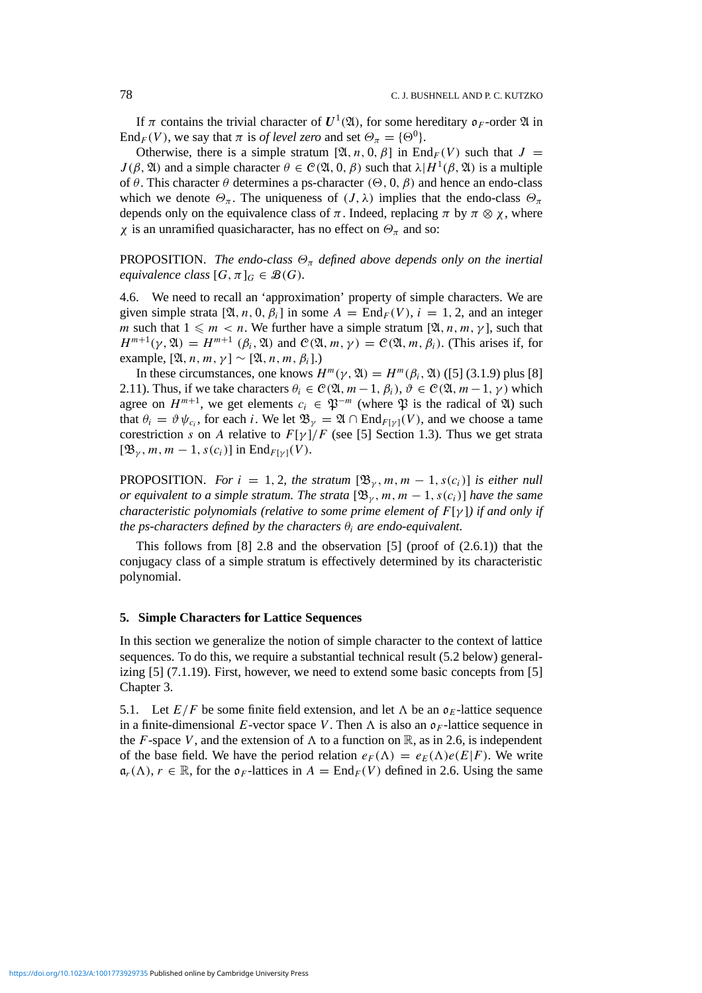If  $\pi$  contains the trivial character of  $U^1(\mathfrak{A})$ , for some hereditary  $\mathfrak{o}_F$ -order  $\mathfrak{A}$  in End<sub>*F*</sub>(*V*), we say that  $\pi$  is *of level zero* and set  $\Theta_{\pi} = {\Theta^0}$ .

Otherwise, there is a simple stratum  $[\mathfrak{A}, n, 0, \beta]$  in End<sub>*F*</sub>(*V*) such that  $J =$ *J*(*β*,  $\mathfrak{A}$ *)* and a simple character  $\theta \in \mathcal{C}(\mathfrak{A}, 0, \beta)$  such that  $\lambda | H^1(\beta, \mathfrak{A})$  is a multiple of *θ*. This character *θ* determines a ps-character  $(Θ, 0, β)$  and hence an endo-class which we denote  $\Theta_{\pi}$ . The uniqueness of  $(J, \lambda)$  implies that the endo-class  $\Theta_{\pi}$ depends only on the equivalence class of  $\pi$ . Indeed, replacing  $\pi$  by  $\pi \otimes \chi$ , where *χ* is an unramified quasicharacter, has no effect on  $\Theta_{\pi}$  and so:

**PROPOSITION.** *The endo-class*  $\Theta_{\pi}$  *defined above depends only on the inertial equivalence class*  $[G, \pi]_G \in \mathcal{B}(G)$ *.* 

4.6. We need to recall an 'approximation' property of simple characters. We are given simple strata  $[\mathfrak{A}, n, 0, \beta_i]$  in some  $A = \text{End}_F(V)$ ,  $i = 1, 2$ , and an integer *m* such that  $1 \leq m < n$ . We further have a simple stratum [ $\mathfrak{A}, n, m, \gamma$ ], such that  $H^{m+1}(\gamma, \mathfrak{A}) = H^{m+1}(\beta_i, \mathfrak{A})$  and  $C(\mathfrak{A}, m, \gamma) = C(\mathfrak{A}, m, \beta_i)$ . (This arises if, for example,  $[\mathfrak{A}, n, m, \gamma] \sim [\mathfrak{A}, n, m, \beta_i]$ .)

In these circumstances, one knows  $H^m(\gamma, \mathfrak{A}) = H^m(\beta_i, \mathfrak{A})$  ([5] (3.1.9) plus [8] 2.11). Thus, if we take characters  $\theta_i \in \mathcal{C}(\mathfrak{A}, m-1, \beta_i), \vartheta \in \mathcal{C}(\mathfrak{A}, m-1, \gamma)$  which agree on  $H^{m+1}$ , we get elements  $c_i \in \mathfrak{P}^{-m}$  (where  $\mathfrak{P}$  is the radical of  $\mathfrak{A}$ ) such that  $\theta_i = \vartheta \psi_{c_i}$ , for each *i*. We let  $\mathfrak{B}_{\gamma} = \mathfrak{A} \cap \text{End}_{F[\gamma]}(V)$ , and we choose a tame corestriction *s* on *A* relative to  $F[\gamma]/F$  (see [5] Section 1.3). Thus we get strata  $[\mathfrak{B}_{\gamma}, m, m-1, s(c_i)]$  in End<sub>*F*[*γ*]</sub>(*V*).

**PROPOSITION.** *For*  $i = 1, 2$ *, the stratum*  $[\mathfrak{B}_{\gamma}, m, m - 1, s(c_i)]$  *is either null or equivalent to a simple stratum. The strata*  $[\mathfrak{B}_{\gamma}, m, m-1, s(c_i)]$  have the same *characteristic polynomials (relative to some prime element of F*[*γ* ]*) if and only if the ps-characters defined by the characters*  $\theta_i$  *are endo-equivalent.* 

This follows from  $[8]$  2.8 and the observation  $[5]$  (proof of  $(2.6.1)$ ) that the conjugacy class of a simple stratum is effectively determined by its characteristic polynomial.

#### **5. Simple Characters for Lattice Sequences**

In this section we generalize the notion of simple character to the context of lattice sequences. To do this, we require a substantial technical result (5.2 below) generalizing  $[5]$  (7.1.19). First, however, we need to extend some basic concepts from  $[5]$ Chapter 3.

5.1. Let  $E/F$  be some finite field extension, and let  $\Lambda$  be an  $\mathfrak{o}_E$ -lattice sequence in a finite-dimensional *E*-vector space *V*. Then  $\Lambda$  is also an  $\mathfrak{o}_F$ -lattice sequence in the *F*-space *V*, and the extension of  $\Lambda$  to a function on  $\mathbb{R}$ , as in 2.6, is independent of the base field. We have the period relation  $e_F(\Lambda) = e_F(\Lambda)e(E|F)$ . We write  $\mathfrak{a}_r(\Lambda)$ ,  $r \in \mathbb{R}$ , for the  $\mathfrak{d}_F$ -lattices in  $A = \text{End}_F(V)$  defined in 2.6. Using the same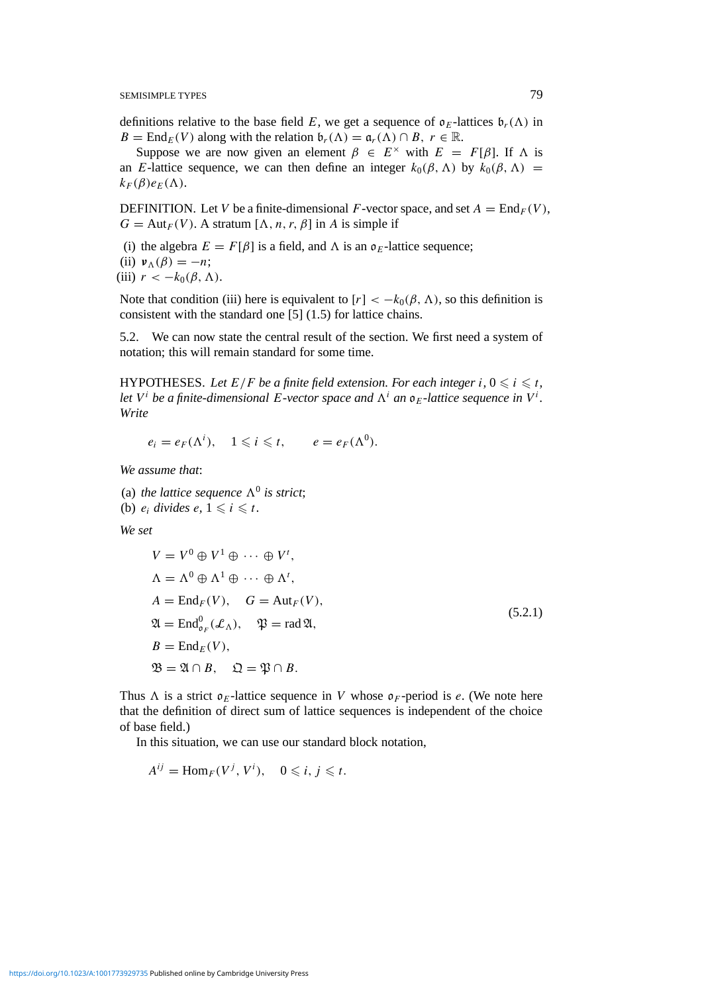definitions relative to the base field *E*, we get a sequence of  $\mathfrak{o}_E$ -lattices  $\mathfrak{b}_r(\Lambda)$  in *B* = End<sub>*E*</sub>(*V*) along with the relation  $\mathfrak{b}_r(\Lambda) = \mathfrak{a}_r(\Lambda) \cap B$ ,  $r \in \mathbb{R}$ .

Suppose we are now given an element  $\beta \in E^{\times}$  with  $E = F[\beta]$ . If  $\Lambda$  is an *E*-lattice sequence, we can then define an integer  $k_0(\beta, \Lambda)$  by  $k_0(\beta, \Lambda)$  =  $k_F(\beta)e_E(\Lambda)$ .

DEFINITION. Let *V* be a finite-dimensional *F*-vector space, and set  $A = \text{End}_F(V)$ ,  $G = Aut_F(V)$ . A stratum  $[\Lambda, n, r, \beta]$  in *A* is simple if

- (i) the algebra  $E = F[\beta]$  is a field, and  $\Lambda$  is an  $\mathfrak{o}_E$ -lattice sequence;
- (ii)  $\nu_{\Lambda}(\beta) = -n;$

(iii)  $r < -k_0(\beta, \Lambda)$ .

Note that condition (iii) here is equivalent to  $[r] < -k_0(\beta, \Lambda)$ , so this definition is consistent with the standard one [5] (1.5) for lattice chains.

5.2. We can now state the central result of the section. We first need a system of notation; this will remain standard for some time.

HYPOTHESES. Let  $E/F$  be a finite field extension. For each integer  $i, 0 \leq i \leq t$ , *let*  $V^i$  *be a finite-dimensional E-vector space and*  $\Lambda^i$  *an*  $\mathfrak{o}_E$ -lattice sequence in  $V^i$ . *Write*

$$
e_i = e_F(\Lambda^i), \quad 1 \leqslant i \leqslant t, \qquad e = e_F(\Lambda^0).
$$

*We assume that*:

- (a) *the lattice sequence*  $\Lambda^0$  *is strict*;
- (b)  $e_i$  *divides*  $e, 1 \leq i \leq t$ .

*We set*

$$
V = V^{0} \oplus V^{1} \oplus \cdots \oplus V^{t},
$$
  
\n
$$
\Lambda = \Lambda^{0} \oplus \Lambda^{1} \oplus \cdots \oplus \Lambda^{t},
$$
  
\n
$$
A = \text{End}_{F}(V), \quad G = \text{Aut}_{F}(V),
$$
  
\n
$$
\mathfrak{A} = \text{End}_{\mathfrak{a}_{F}}(\mathcal{L}_{\Lambda}), \quad \mathfrak{P} = \text{rad}\,\mathfrak{A},
$$
  
\n
$$
B = \text{End}_{E}(V),
$$
  
\n
$$
\mathfrak{B} = \mathfrak{A}_{E}(V), \quad \mathfrak{Q} = \mathfrak{P} \cap B.
$$
  
\n(5.2.1)

Thus  $\Lambda$  is a strict  $\mathfrak{o}_E$ -lattice sequence in *V* whose  $\mathfrak{o}_F$ -period is *e*. (We note here that the definition of direct sum of lattice sequences is independent of the choice of base field.)

In this situation, we can use our standard block notation,

$$
A^{ij} = \operatorname{Hom}_F(V^j, V^i), \quad 0 \leq i, j \leq t.
$$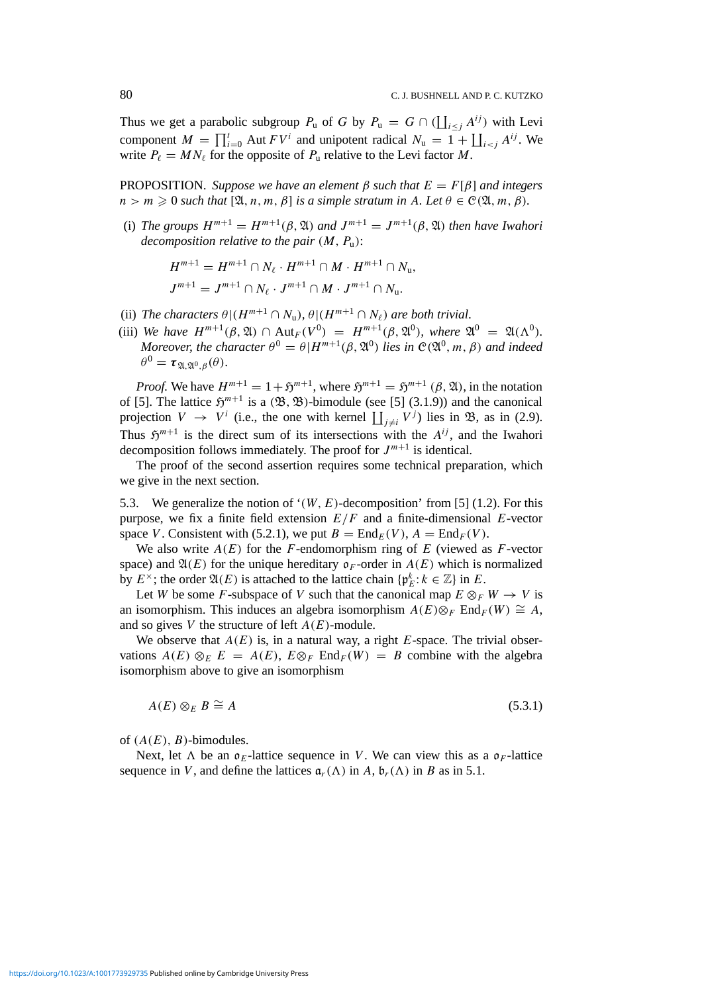Thus we get a parabolic subgroup  $P_u$  of *G* by  $P_u = G \cap (\coprod_{i \leq j} A^{ij})$  with Levi component  $M = \prod_{i=0}^{t}$  Aut  $F V^{i}$  and unipotent radical  $N_{u} = 1 + \prod_{i < j} A^{ij}$ . We write  $P_\ell = M N_\ell$  for the opposite of  $P_\text{u}$  relative to the Levi factor *M*.

PROPOSITION. *Suppose we have an element β such that E* = *F*[*β*] *and integers*  $n > m \geq 0$  *such that*  $[\mathfrak{A}, n, m, \beta]$  *is a simple stratum in A. Let*  $\theta \in \mathcal{C}(\mathfrak{A}, m, \beta)$ *.* 

(i) *The groups*  $H^{m+1} = H^{m+1}(\beta, \mathfrak{A})$  *and*  $J^{m+1} = J^{m+1}(\beta, \mathfrak{A})$  *then have Iwahori decomposition relative to the pair (M, P*u*)*:

$$
H^{m+1} = H^{m+1} \cap N_{\ell} \cdot H^{m+1} \cap M \cdot H^{m+1} \cap N_{\mathfrak{u}},
$$
  

$$
J^{m+1} = J^{m+1} \cap N_{\ell} \cdot J^{m+1} \cap M \cdot J^{m+1} \cap N_{\mathfrak{u}}.
$$

- (ii) *The characters*  $\theta | (H^{m+1} \cap N_u), \theta | (H^{m+1} \cap N_\ell)$  *are both trivial.*
- (iii) *We have*  $H^{m+1}(\beta, \mathfrak{A}) \cap Aut_F(V^0) = H^{m+1}(\beta, \mathfrak{A}^0)$ *, where*  $\mathfrak{A}^0 = \mathfrak{A}(\Lambda^0)$ *. Moreover, the character*  $\theta^0 = \theta | H^{m+1}(\beta, \mathfrak{A}^0)$  *lies in*  $\mathcal{C}(\mathfrak{A}^0, m, \beta)$  *and indeed*  $\theta^0 = \tau_{\mathfrak{A} \mathfrak{A}^0 \mathfrak{A}^0}(\theta).$

*Proof.* We have  $H^{m+1} = 1 + \mathfrak{H}^{m+1}$ , where  $\mathfrak{H}^{m+1} = \mathfrak{H}^{m+1}$  ( $\beta$ ,  $\mathfrak{A}$ ), in the notation of [5]. The lattice  $\mathfrak{H}^{m+1}$  is a  $(\mathfrak{B}, \mathfrak{B})$ -bimodule (see [5] (3.1.9)) and the canonical projection  $V \rightarrow V^i$  (i.e., the one with kernel  $\prod_{j \neq i} V^j$ ) lies in  $\mathfrak{B}$ , as in (2.9). Thus  $\mathfrak{H}^{m+1}$  is the direct sum of its intersections with the  $A^{ij}$ , and the Iwahori decomposition follows immediately. The proof for  $J^{m+1}$  is identical.

The proof of the second assertion requires some technical preparation, which we give in the next section.

5.3. We generalize the notion of '*(W, E)*-decomposition' from [5] (1.2). For this purpose, we fix a finite field extension  $E/F$  and a finite-dimensional  $E$ -vector space *V*. Consistent with (5.2.1), we put  $B = \text{End}_E(V)$ ,  $A = \text{End}_F(V)$ .

We also write  $A(E)$  for the *F*-endomorphism ring of *E* (viewed as *F*-vector space) and  $\mathfrak{A}(E)$  for the unique hereditary  $\mathfrak{o}_F$ -order in  $A(E)$  which is normalized by  $E^{\times}$ ; the order  $\mathfrak{A}(E)$  is attached to the lattice chain  $\{ \mathfrak{p}_E^k : k \in \mathbb{Z} \}$  in  $E$ .

Let *W* be some *F*-subspace of *V* such that the canonical map  $E \otimes_F W \to V$  is an isomorphism. This induces an algebra isomorphism  $A(E) \otimes_F \text{End}_F(W) \cong A$ , and so gives *V* the structure of left *A(E)*-module.

We observe that  $A(E)$  is, in a natural way, a right  $E$ -space. The trivial observations  $A(E) \otimes_E E = A(E)$ ,  $E \otimes_F \text{End}_F(W) = B$  combine with the algebra isomorphism above to give an isomorphism

$$
A(E) \otimes_E B \cong A \tag{5.3.1}
$$

of  $(A(E), B)$ -bimodules.

Next, let  $\Lambda$  be an  $\mathfrak{o}_E$ -lattice sequence in *V*. We can view this as a  $\mathfrak{o}_F$ -lattice sequence in *V*, and define the lattices  $\mathfrak{a}_r(\Lambda)$  in *A*,  $\mathfrak{b}_r(\Lambda)$  in *B* as in 5.1.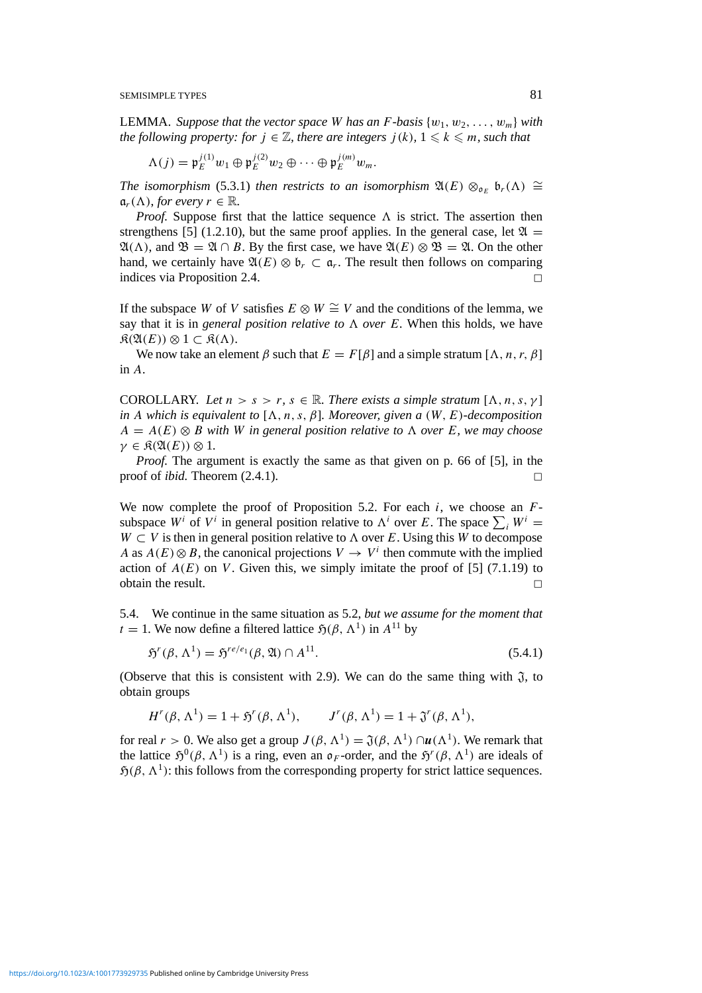**LEMMA.** *Suppose that the vector space W has an F*-basis  $\{w_1, w_2, \ldots, w_m\}$  *with the following property: for*  $j \in \mathbb{Z}$ *, there are integers*  $j(k)$ ,  $1 \leq k \leq m$ *, such that* 

$$
\Lambda(j) = \mathfrak{p}_E^{j(1)} w_1 \oplus \mathfrak{p}_E^{j(2)} w_2 \oplus \cdots \oplus \mathfrak{p}_E^{j(m)} w_m.
$$

*The isomorphism* (5.3.1) *then restricts to an isomorphism*  $\mathfrak{A}(E) \otimes_{\mathfrak{o}_E} \mathfrak{b}_r(\Lambda) \cong$  $\mathfrak{a}_r(\Lambda)$ , *for every*  $r \in \mathbb{R}$ .

*Proof.* Suppose first that the lattice sequence  $\Lambda$  is strict. The assertion then strengthens [5] (1.2.10), but the same proof applies. In the general case, let  $\mathfrak{A} =$  $\mathfrak{A}(\Lambda)$ , and  $\mathfrak{B} = \mathfrak{A} \cap B$ . By the first case, we have  $\mathfrak{A}(E) \otimes \mathfrak{B} = \mathfrak{A}$ . On the other hand, we certainly have  $\mathfrak{A}(E) \otimes \mathfrak{b}_r \subset \mathfrak{a}_r$ . The result then follows on comparing indices via Proposition 2.4.

If the subspace *W* of *V* satisfies  $E \otimes W \cong V$  and the conditions of the lemma, we say that it is in *general position relative to*  $\Lambda$  *over*  $\mathbf{E}$ . When this holds, we have  $\mathfrak{K}(\mathfrak{A}(E)) \otimes 1 \subset \mathfrak{K}(\Lambda).$ 

We now take an element *β* such that  $E = F[\beta]$  and a simple stratum  $[\Lambda, n, r, \beta]$ in *A*.

**COROLLARY.** Let  $n > s > r$ ,  $s \in \mathbb{R}$ . There exists a simple stratum  $[\Lambda, n, s, \gamma]$ *in A which is equivalent to*  $[\Lambda, n, s, \beta]$ *. Moreover, given a*  $(W, E)$ *-decomposition A* =  $A(E)$  ⊗ *B with W in general position relative to*  $\Lambda$  *over E, we may choose*  $\gamma \in \mathfrak{K}(\mathfrak{A}(E)) \otimes 1$ .

*Proof.* The argument is exactly the same as that given on p. 66 of [5], in the proof of *ibid.* Theorem  $(2.4.1)$ .

We now complete the proof of Proposition 5.2. For each *i*, we choose an *F*subspace  $W^i$  of  $V^i$  in general position relative to  $\Lambda^i$  over *E*. The space  $\sum_i W^i$  = *W* ⊂ *V* is then in general position relative to  $\Lambda$  over *E*. Using this *W* to decompose *A* as  $A(E) \otimes B$ , the canonical projections  $V \to V^i$  then commute with the implied action of  $A(E)$  on *V*. Given this, we simply imitate the proof of [5] (7.1.19) to obtain the result.  $\Box$ 

5.4. We continue in the same situation as 5.2, *but we assume for the moment that*  $t = 1$ . We now define a filtered lattice  $\mathfrak{H}(\beta, \Lambda^1)$  in  $A^{11}$  by

$$
\mathfrak{H}^r(\beta, \Lambda^1) = \mathfrak{H}^{re/e_1}(\beta, \mathfrak{A}) \cap A^{11}.
$$
\n(5.4.1)

(Observe that this is consistent with 2.9). We can do the same thing with  $\mathfrak{J}$ , to obtain groups

$$
H^r(\beta, \Lambda^1) = 1 + \mathfrak{H}^r(\beta, \Lambda^1), \qquad J^r(\beta, \Lambda^1) = 1 + \mathfrak{J}^r(\beta, \Lambda^1),
$$

for real  $r > 0$ . We also get a group  $J(\beta, \Lambda^1) = \mathfrak{J}(\beta, \Lambda^1) \cap u(\Lambda^1)$ . We remark that the lattice  $\mathfrak{H}^0(\beta, \Lambda^1)$  is a ring, even an  $\mathfrak{o}_F$ -order, and the  $\mathfrak{H}^r(\beta, \Lambda^1)$  are ideals of  $\mathfrak{H}(\beta, \Lambda^1)$ : this follows from the corresponding property for strict lattice sequences.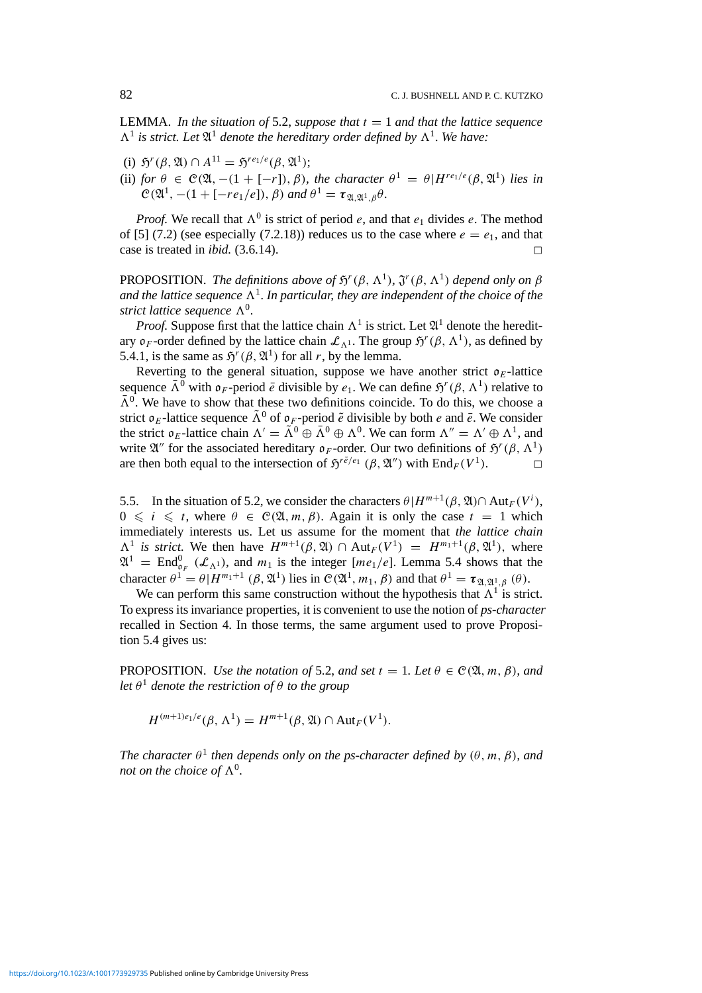LEMMA. *In the situation of* 5.2, *suppose that*  $t = 1$  *and that the lattice sequence*  $\Lambda^1$  *is strict. Let*  $\mathfrak{A}^1$  *denote the hereditary order defined by*  $\Lambda^1$ *. We have:* 

- (i)  $\mathfrak{H}^r(\beta, \mathfrak{A}) \cap A^{11} = \mathfrak{H}^{re_1/e}(\beta, \mathfrak{A}^1);$
- (ii) *for*  $\theta \in C(\mathfrak{A}, -(1+[-r]), \beta)$ *, the character*  $\theta^1 = \theta | H^{re_1/e}(\beta, \mathfrak{A}^1)$  *lies in*  $C(\mathfrak{A}^1, -(1+[-re_1/e]), \beta)$  *and*  $\theta^1 = \tau_{\mathfrak{A},\mathfrak{A}^1,\beta}\theta$ *.*

*Proof.* We recall that  $\Lambda^0$  is strict of period *e*, and that  $e_1$  divides *e*. The method of [5] (7.2) (see especially (7.2.18)) reduces us to the case where  $e = e_1$ , and that case is treated in *ibid.* (3.6.14).

PROPOSITION. *The definitions above of*  $\mathfrak{H}^r(\beta, \Lambda^1)$ *,*  $\mathfrak{J}^r(\beta, \Lambda^1)$  *depend only on*  $\beta$ *and the lattice sequence*  $\Lambda^1$ *. In particular, they are independent of the choice of the strict lattice sequence*  $\Lambda^0$ .

*Proof.* Suppose first that the lattice chain  $\Lambda^1$  is strict. Let  $\mathfrak{A}^1$  denote the hereditary  $\mathfrak{o}_F$ -order defined by the lattice chain  $\mathcal{L}_{\Lambda^1}$ . The group  $\mathfrak{H}^r(\beta, \Lambda^1)$ , as defined by 5.4.1, is the same as  $\mathfrak{H}^r(\beta, \mathfrak{A}^1)$  for all *r*, by the lemma.

Reverting to the general situation, suppose we have another strict  $\rho_E$ -lattice sequence  $\bar{\Lambda}^0$  with  $\sigma_F$ -period  $\bar{e}$  divisible by  $e_1$ . We can define  $\mathfrak{H}^r(\beta, \Lambda^1)$  relative to  $\bar{\Lambda}^0$ . We have to show that these two definitions coincide. To do this, we choose a strict  $\mathfrak{o}_E$ -lattice sequence  $\tilde{\Lambda}^0$  of  $\mathfrak{o}_F$ -period  $\tilde{e}$  divisible by both *e* and  $\tilde{e}$ . We consider the strict  $\mathfrak{o}_E$ -lattice chain  $\Lambda' = \tilde{\Lambda}^0 \oplus \tilde{\Lambda}^0 \oplus \Lambda^0$ . We can form  $\Lambda'' = \Lambda' \oplus \Lambda^1$ , and write  $\mathfrak{A}^{\prime\prime}$  for the associated hereditary  $\mathfrak{o}_F$ -order. Our two definitions of  $\mathfrak{H}^r(\beta, \Lambda^1)$ are then both equal to the intersection of  $\mathfrak{H}^{r\tilde{e}/e_1}$  ( $\beta$ ,  $\mathfrak{A}''$ ) with End<sub>*F*</sub>( $V^1$ ).

5.5. In the situation of 5.2, we consider the characters  $\theta | H^{m+1}(\beta, \mathfrak{A}) \cap Aut_F(V^i)$ ,  $0 \le i \le t$ , where  $\theta \in C(\mathfrak{A}, m, \beta)$ . Again it is only the case  $t = 1$  which immediately interests us. Let us assume for the moment that *the lattice chain*  $\Lambda^1$  *is strict.* We then have  $H^{m+1}(\beta, \mathfrak{A}) \cap Aut_F(V^1) = H^{m_1+1}(\beta, \mathfrak{A}^1)$ , where  $\mathfrak{A}^1$  = End<sub>o<sub>F</sub></sub> ( $\mathcal{L}_{\Lambda^1}$ ), and  $m_1$  is the integer [ $me_1/e$ ]. Lemma 5.4 shows that the character  $\theta^1 = \theta | H^{m_1+1} (\beta, \mathfrak{A}^1)$  lies in  $\mathcal{C}(\mathfrak{A}^1, m_1, \beta)$  and that  $\theta^1 = \tau_{\mathfrak{A}, \mathfrak{A}^1, \beta} (\theta)$ .

We can perform this same construction without the hypothesis that  $\Lambda^1$  is strict. To express its invariance properties, it is convenient to use the notion of *ps-character* recalled in Section 4. In those terms, the same argument used to prove Proposition 5.4 gives us:

**PROPOSITION.** Use the notation of 5.2, and set  $t = 1$ . Let  $\theta \in \mathcal{C}(\mathfrak{A}, m, \beta)$ , and *let*  $\theta$ <sup>1</sup> *denote the restriction of*  $\theta$  *to the group* 

 $H^{(m+1)e_1/e}(\beta, \Lambda^1) = H^{m+1}(\beta, \mathfrak{A}) \cap \text{Aut}_F(V^1).$ 

*The character*  $\theta^1$  *then depends only on the ps-character defined by*  $(\theta, m, \beta)$ *, and not on the choice of*  $\Lambda^0$ .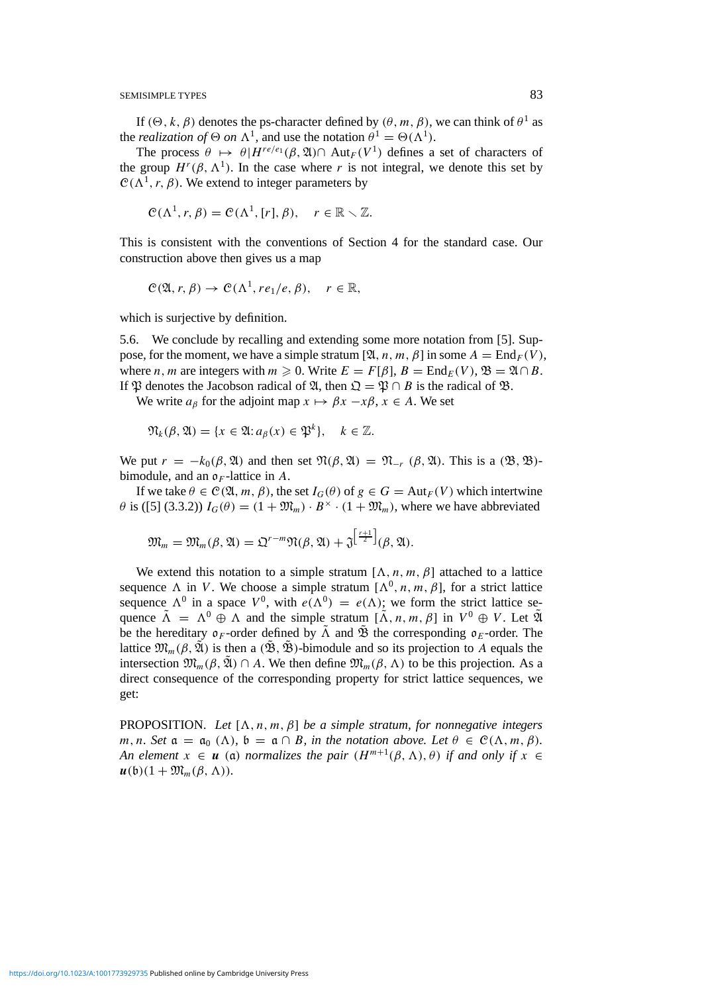If  $(\Theta, k, \beta)$  denotes the ps-character defined by  $(\theta, m, \beta)$ , we can think of  $\theta^1$  as the *realization of*  $\Theta$  *on*  $\Lambda^1$ , and use the notation  $\theta^1 = \Theta(\Lambda^1)$ .

The process  $\theta \mapsto \theta | H^{re/e_1}(\beta, \mathfrak{A}) \cap \text{Aut}_F(V^1)$  defines a set of characters of the group  $H^r(\beta, \Lambda^1)$ . In the case where *r* is not integral, we denote this set by  $C(\Lambda^1, r, \beta)$ . We extend to integer parameters by

$$
\mathcal{C}(\Lambda^1,r,\beta)=\mathcal{C}(\Lambda^1,[r],\beta),\quad r\in\mathbb{R}\setminus\mathbb{Z}.
$$

This is consistent with the conventions of Section 4 for the standard case. Our construction above then gives us a map

$$
C(\mathfrak{A}, r, \beta) \to C(\Lambda^1, re_1/e, \beta), \quad r \in \mathbb{R},
$$

which is surjective by definition.

5.6. We conclude by recalling and extending some more notation from [5]. Suppose, for the moment, we have a simple stratum  $[\mathfrak{A}, n, m, \beta]$  in some  $A = \text{End}_F(V)$ , where *n, m* are integers with  $m \ge 0$ . Write  $E = F[\beta], B = \text{End}_F(V), \mathfrak{B} = \mathfrak{A} \cap B$ . If  $\mathfrak P$  denotes the Jacobson radical of  $\mathfrak A$ , then  $\mathfrak Q = \mathfrak P \cap B$  is the radical of  $\mathfrak B$ .

We write  $a_{\beta}$  for the adjoint map  $x \mapsto \beta x - x\beta$ ,  $x \in A$ . We set

$$
\mathfrak{N}_{k}(\beta,\mathfrak{A}) = \{x \in \mathfrak{A} : a_{\beta}(x) \in \mathfrak{P}^{k}\}, \quad k \in \mathbb{Z}.
$$

We put  $r = -k_0(\beta, \mathfrak{A})$  and then set  $\mathfrak{N}(\beta, \mathfrak{A}) = \mathfrak{N}_{-r}(\beta, \mathfrak{A})$ . This is a  $(\mathfrak{B}, \mathfrak{B})$ bimodule, and an  $\rho_F$ -lattice in A.

If we take  $\theta \in \mathcal{C}(\mathfrak{A}, m, \beta)$ , the set  $I_G(\theta)$  of  $g \in G = \text{Aut}_F(V)$  which intertwine  $\theta$  is ([5] (3.3.2))  $I_G(\theta) = (1 + \mathfrak{M}_m) \cdot B^\times \cdot (1 + \mathfrak{M}_m)$ , where we have abbreviated

$$
\mathfrak{M}_m = \mathfrak{M}_m(\beta, \mathfrak{A}) = \mathfrak{Q}^{r-m} \mathfrak{N}(\beta, \mathfrak{A}) + \mathfrak{J}^{\left[\frac{r+1}{2}\right]}(\beta, \mathfrak{A}).
$$

We extend this notation to a simple stratum  $[\Lambda, n, m, \beta]$  attached to a lattice sequence *A* in *V*. We choose a simple stratum  $[A^0, n, m, \beta]$ , for a strict lattice sequence  $\Lambda^0$  in a space  $V^0$ , with  $e(\Lambda^0) = e(\Lambda)$ ; we form the strict lattice sequence  $\tilde{\Lambda} = \Lambda^0 \oplus \Lambda$  and the simple stratum  $[\tilde{\Lambda}, n, m, \beta]$  in  $V^0 \oplus V$ . Let  $\tilde{\mathfrak{A}}$ be the hereditary  $\mathfrak{o}_F$ -order defined by  $\tilde{\Lambda}$  and  $\tilde{\mathfrak{B}}$  the corresponding  $\mathfrak{o}_E$ -order. The lattice  $\mathfrak{M}_m(\beta, \mathfrak{A})$  is then a  $(\mathfrak{B}, \mathfrak{B})$ -bimodule and so its projection to A equals the intersection  $\mathfrak{M}_m(\beta, \tilde{\mathfrak{A}}) \cap A$ . We then define  $\mathfrak{M}_m(\beta, \Lambda)$  to be this projection. As a direct consequence of the corresponding property for strict lattice sequences, we get:

PROPOSITION. Let  $[\Lambda, n, m, \beta]$  be a simple stratum, for nonnegative integers *m, n.* Set  $\mathfrak{a} = \mathfrak{a}_0 (\Lambda)$ ,  $\mathfrak{b} = \mathfrak{a} \cap B$ , in the notation above. Let  $\theta \in \mathcal{C}(\Lambda, m, \beta)$ . *An element*  $x \in u$  (a) *normalizes the pair*  $(H^{m+1}(\beta, \Lambda), \theta)$  *if and only if*  $x \in$  $u(\mathfrak{b})(1+\mathfrak{M}_m(\beta,\Lambda)).$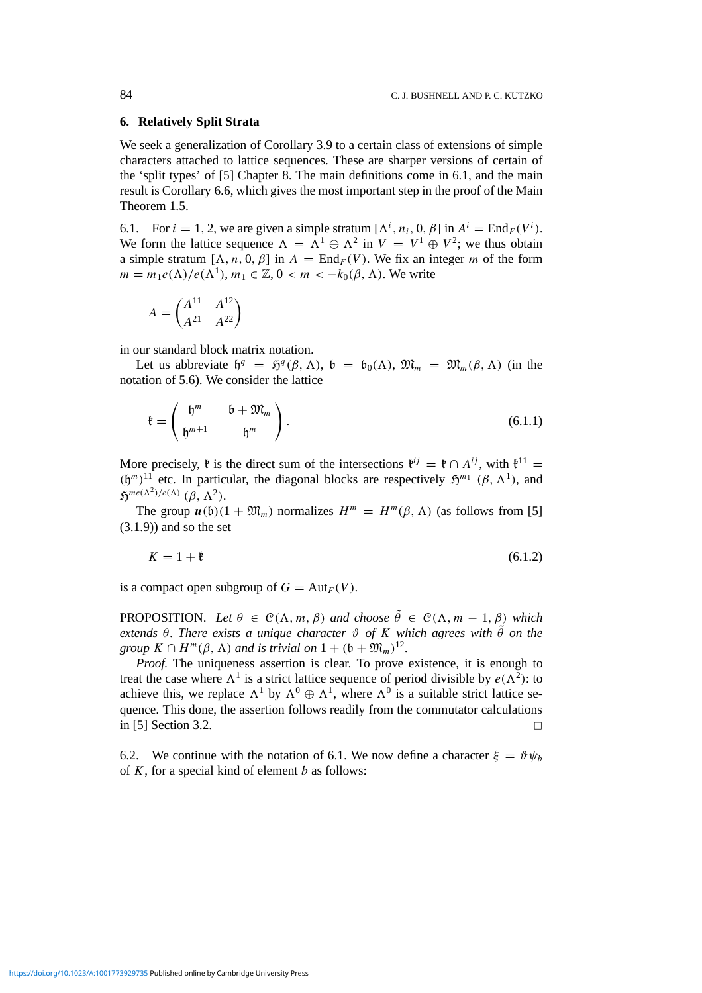## **6. Relatively Split Strata**

We seek a generalization of Corollary 3.9 to a certain class of extensions of simple characters attached to lattice sequences. These are sharper versions of certain of the 'split types' of [5] Chapter 8. The main definitions come in 6.1, and the main result is Corollary 6.6, which gives the most important step in the proof of the Main Theorem 1.5.

6.1. For  $i = 1, 2$ , we are given a simple stratum  $[\Lambda^i, n_i, 0, \beta]$  in  $A^i = \text{End}_F(V^i)$ . We form the lattice sequence  $\Lambda = \Lambda^1 \oplus \Lambda^2$  in  $V = V^1 \oplus V^2$ ; we thus obtain a simple stratum  $[\Lambda, n, 0, \beta]$  in  $A = \text{End}_F(V)$ . We fix an integer *m* of the form  $m = m_1 e(\Lambda)/e(\Lambda^1)$ ,  $m_1 \in \mathbb{Z}$ ,  $0 < m < -k_0(\beta, \Lambda)$ . We write

$$
A = \begin{pmatrix} A^{11} & A^{12} \\ A^{21} & A^{22} \end{pmatrix}
$$

in our standard block matrix notation.

Let us abbreviate  $\mathfrak{h}^q = \mathfrak{H}^q(\beta, \Lambda)$ ,  $\mathfrak{b} = \mathfrak{b}_0(\Lambda)$ ,  $\mathfrak{M}_m = \mathfrak{M}_m(\beta, \Lambda)$  (in the notation of 5.6). We consider the lattice

$$
\mathfrak{k} = \begin{pmatrix} \mathfrak{h}^m & \mathfrak{b} + \mathfrak{M}_m \\ \mathfrak{h}^{m+1} & \mathfrak{h}^m \end{pmatrix}.
$$
 (6.1.1)

More precisely,  $\mathfrak{k}$  is the direct sum of the intersections  $\mathfrak{k}^{ij} = \mathfrak{k} \cap A^{ij}$ , with  $\mathfrak{k}^{11} =$  $(h^m)^{11}$  etc. In particular, the diagonal blocks are respectively  $\mathfrak{H}^{m_1}(\beta, \Lambda^1)$ , and  $\mathfrak{H}^{me(\Lambda^2)/e(\Lambda)}$   $(\beta, \Lambda^2)$ .

The group  $u(b)(1 + \mathfrak{M}_m)$  normalizes  $H^m = H^m(\beta, \Lambda)$  (as follows from [5]  $(3.1.9)$  and so the set

$$
K = 1 + \mathfrak{k} \tag{6.1.2}
$$

is a compact open subgroup of  $G = Aut_F(V)$ .

PROPOSITION. Let  $\theta \in \mathcal{C}(\Lambda, m, \beta)$  and choose  $\tilde{\theta} \in \mathcal{C}(\Lambda, m-1, \beta)$  which *extends θ. There exists a unique character ϑ of K which agrees with θ*˜ *on the group*  $K \cap H^m(\beta, \Lambda)$  *and is trivial on*  $1 + (b + \mathfrak{M}_m)^{12}$ .

*Proof.* The uniqueness assertion is clear. To prove existence, it is enough to treat the case where  $\Lambda^1$  is a strict lattice sequence of period divisible by  $e(\Lambda^2)$ : to achieve this, we replace  $\Lambda^1$  by  $\Lambda^0 \oplus \Lambda^1$ , where  $\Lambda^0$  is a suitable strict lattice sequence. This done, the assertion follows readily from the commutator calculations in [5] Section 3.2.  $\Box$ 

6.2. We continue with the notation of 6.1. We now define a character  $\xi = \vartheta \psi_b$ of *K*, for a special kind of element *b* as follows: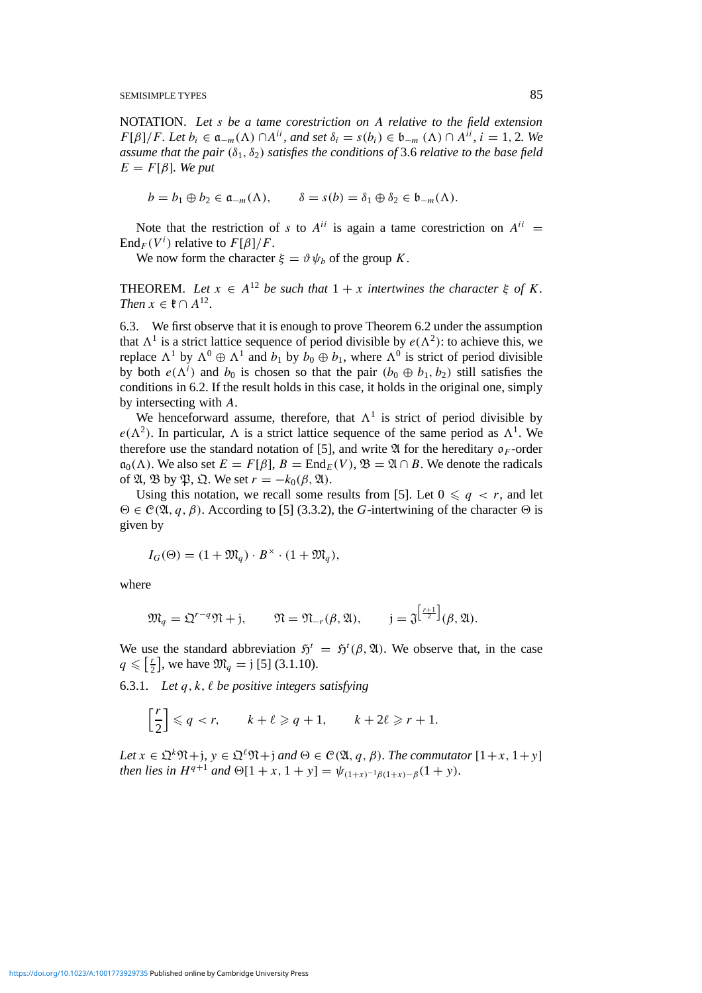NOTATION. *Let s be a tame corestriction on A relative to the field extension F*[ $\beta$ ]/*F. Let*  $b_i \in \mathfrak{a}_{-m}(\Lambda) \cap A^{ii}$ *, and set*  $\delta_i = s(b_i) \in \mathfrak{b}_{-m}(\Lambda) \cap A^{ii}$ *, i* = 1*,* 2*. We assume that the pair (δ*1*, δ*2*) satisfies the conditions of* 3.6 *relative to the base field*  $E = F[\beta]$ *. We put* 

$$
b = b_1 \oplus b_2 \in \mathfrak{a}_{-m}(\Lambda), \qquad \delta = s(b) = \delta_1 \oplus \delta_2 \in \mathfrak{b}_{-m}(\Lambda).
$$

Note that the restriction of *s* to  $A^{ii}$  is again a tame corestriction on  $A^{ii}$  =  $\text{End}_F(V^i)$  relative to  $F[\beta]/F$ .

We now form the character  $\xi = \vartheta \psi_b$  of the group *K*.

THEOREM. Let  $x \in A^{12}$  be such that  $1 + x$  intertwines the character  $\xi$  of K. *Then*  $x \in \mathfrak{k} \cap A^{12}$ .

6.3. We first observe that it is enough to prove Theorem 6.2 under the assumption that  $\Lambda^1$  is a strict lattice sequence of period divisible by  $e(\Lambda^2)$ : to achieve this, we replace  $\Lambda^1$  by  $\Lambda^0 \oplus \Lambda^1$  and  $b_1$  by  $b_0 \oplus b_1$ , where  $\Lambda^0$  is strict of period divisible by both  $e(\Lambda^i)$  and  $b_0$  is chosen so that the pair  $(b_0 \oplus b_1, b_2)$  still satisfies the conditions in 6.2. If the result holds in this case, it holds in the original one, simply by intersecting with *A*.

We henceforward assume, therefore, that  $\Lambda^1$  is strict of period divisible by  $e(\Lambda^2)$ . In particular,  $\Lambda$  is a strict lattice sequence of the same period as  $\Lambda^1$ . We therefore use the standard notation of [5], and write  $\mathfrak A$  for the hereditary  $\mathfrak o_F$ -order  $\mathfrak{a}_0(\Lambda)$ . We also set  $E = F[\beta], B = \text{End}_E(V), \mathfrak{B} = \mathfrak{A} \cap B$ . We denote the radicals of  $\mathfrak{A}, \mathfrak{B}$  by  $\mathfrak{P}, \mathfrak{Q}$ . We set  $r = -k_0(\beta, \mathfrak{A})$ .

Using this notation, we recall some results from [5]. Let  $0 \leq q \leq r$ , and let  $\Theta \in \mathcal{C}(\mathfrak{A}, q, \beta)$ . According to [5] (3.3.2), the *G*-intertwining of the character  $\Theta$  is given by

$$
I_G(\Theta) = (1 + \mathfrak{M}_q) \cdot B^\times \cdot (1 + \mathfrak{M}_q),
$$

where

$$
\mathfrak{M}_q = \mathfrak{Q}^{r-q} \mathfrak{N} + \mathfrak{j}, \qquad \mathfrak{N} = \mathfrak{N}_{-r}(\beta, \mathfrak{A}), \qquad \mathfrak{j} = \mathfrak{J}^{\left[\frac{r+1}{2}\right]}(\beta, \mathfrak{A}).
$$

We use the standard abbreviation  $\mathfrak{H}^t = \mathfrak{H}^t(\beta, \mathfrak{A})$ . We observe that, in the case  $q \leqslant \left[\frac{r}{2}\right]$  $\frac{r}{2}$ , we have  $\mathfrak{M}_q = j$  [5] (3.1.10).

6.3.1. Let  $q, k, \ell$  be positive integers satisfying

$$
\left[\frac{r}{2}\right] \leqslant q < r, \qquad k + \ell \geqslant q + 1, \qquad k + 2\ell \geqslant r + 1.
$$

*Let*  $x \in \Omega^k \mathfrak{N} + j$ ,  $y \in \Omega^l \mathfrak{N} + j$  *and*  $\Theta \in \mathcal{C}(\mathfrak{A}, q, \beta)$ *. The commutator*  $[1+x, 1+y]$ *then lies in*  $H^{q+1}$  *and*  $\Theta[1 + x, 1 + y] = \psi_{(1+x)^{-1}\beta(1+x) - \beta}(1 + y)$ .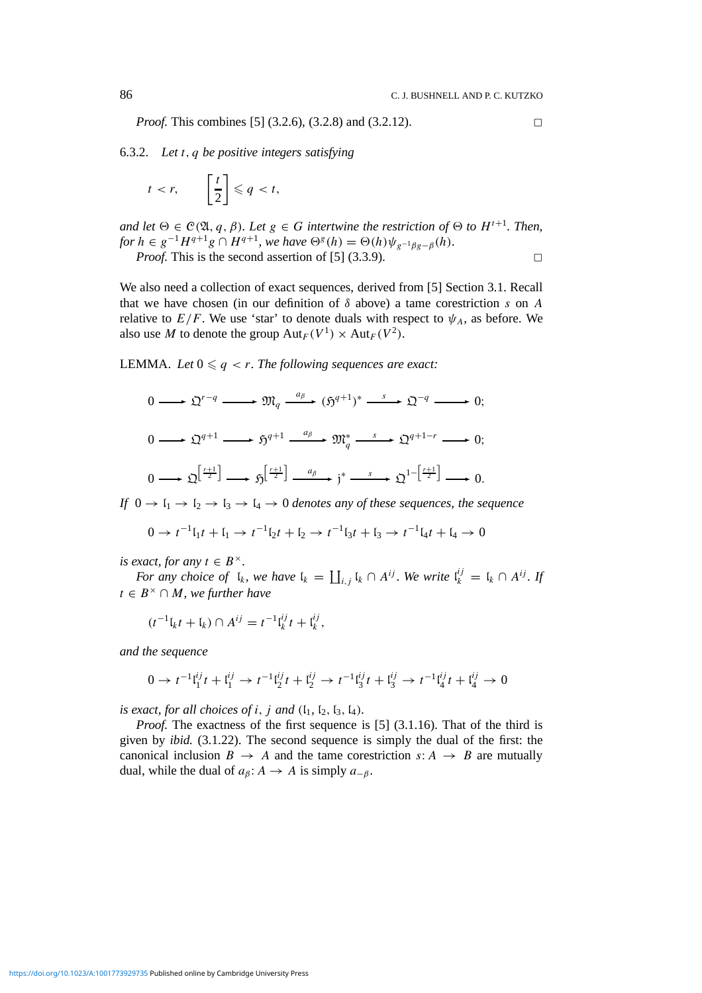*Proof.* This combines [5] (3.2.6), (3.2.8) and (3.2.12).

6.3.2. *Let t,q be positive integers satisfying*

$$
t < r, \qquad \left[\frac{t}{2}\right] \leqslant q < t,
$$

*and let*  $\Theta \in \mathcal{C}(\mathfrak{A}, q, \beta)$ *. Let*  $g \in G$  *intertwine the restriction of*  $\Theta$  *to*  $H^{t+1}$ *. Then, for*  $h \in g^{-1}H^{q+1}g \cap H^{q+1}$ *, we have*  $\Theta^g(h) = \Theta(h)\psi_{g^{-1}g}g - \beta(h)$ .

*Proof.* This is the second assertion of [5]  $(3.3.9)$ .

We also need a collection of exact sequences, derived from [5] Section 3.1. Recall that we have chosen (in our definition of *δ* above) a tame corestriction *s* on *A* relative to  $E/F$ . We use 'star' to denote duals with respect to  $\psi_A$ , as before. We also use *M* to denote the group  $Aut_F(V^1) \times Aut_F(V^2)$ .

LEMMA. Let  $0 \leq q < r$ . The following sequences are exact:

$$
0 \longrightarrow \mathfrak{Q}^{r-q} \longrightarrow \mathfrak{M}_q \xrightarrow{a_\beta} (\mathfrak{H}^{q+1})^* \xrightarrow{s} \mathfrak{Q}^{-q} \longrightarrow 0;
$$
  

$$
0 \longrightarrow \mathfrak{Q}^{q+1} \longrightarrow \mathfrak{H}^{q+1} \xrightarrow{a_\beta} \mathfrak{M}_q^* \xrightarrow{s} \mathfrak{Q}^{q+1-r} \longrightarrow 0;
$$
  

$$
0 \longrightarrow \mathfrak{Q}^{\left[\frac{r+1}{2}\right]} \longrightarrow \mathfrak{H}^{\left[\frac{r+1}{2}\right]} \xrightarrow{a_\beta} j^* \xrightarrow{s} \mathfrak{Q}^{1-\left[\frac{r+1}{2}\right]} \longrightarrow 0.
$$

*If*  $0 \rightarrow l_1 \rightarrow l_2 \rightarrow l_3 \rightarrow l_4 \rightarrow 0$  *denotes any of these sequences, the sequence* 

$$
0 \to t^{-1} \mathfrak{l}_1 t + \mathfrak{l}_1 \to t^{-1} \mathfrak{l}_2 t + \mathfrak{l}_2 \to t^{-1} \mathfrak{l}_3 t + \mathfrak{l}_3 \to t^{-1} \mathfrak{l}_4 t + \mathfrak{l}_4 \to 0
$$

*is exact, for any*  $t \in B^{\times}$ .

*For any choice of*  $I_k$ *, we have*  $I_k = \coprod_{i,j} I_k \cap A^{ij}$ *. We write*  $I_k^{ij} = I_k \cap A^{ij}$ *. If t* ∈ *B*<sup> $\times$ </sup> ∩ *M, we further have* 

$$
(t^{-1}I_kt + I_k) \cap A^{ij} = t^{-1}I_k^{ij}t + I_k^{ij},
$$

*and the sequence*

$$
0 \to t^{-1} \mathfrak{t}_1^{ij} t + \mathfrak{t}_1^{ij} \to t^{-1} \mathfrak{t}_2^{ij} t + \mathfrak{t}_2^{ij} \to t^{-1} \mathfrak{t}_3^{ij} t + \mathfrak{t}_3^{ij} \to t^{-1} \mathfrak{t}_4^{ij} t + \mathfrak{t}_4^{ij} \to 0
$$

*is exact, for all choices of <i>i, j and*  $(I_1, I_2, I_3, I_4)$ *.* 

*Proof.* The exactness of the first sequence is [5] (3.1.16). That of the third is given by *ibid.* (3.1.22). The second sequence is simply the dual of the first: the canonical inclusion  $B \to A$  and the tame corestriction  $s: A \to B$  are mutually dual, while the dual of  $a<sub>β</sub>$ :  $A \rightarrow A$  is simply  $a<sub>−β</sub>$ .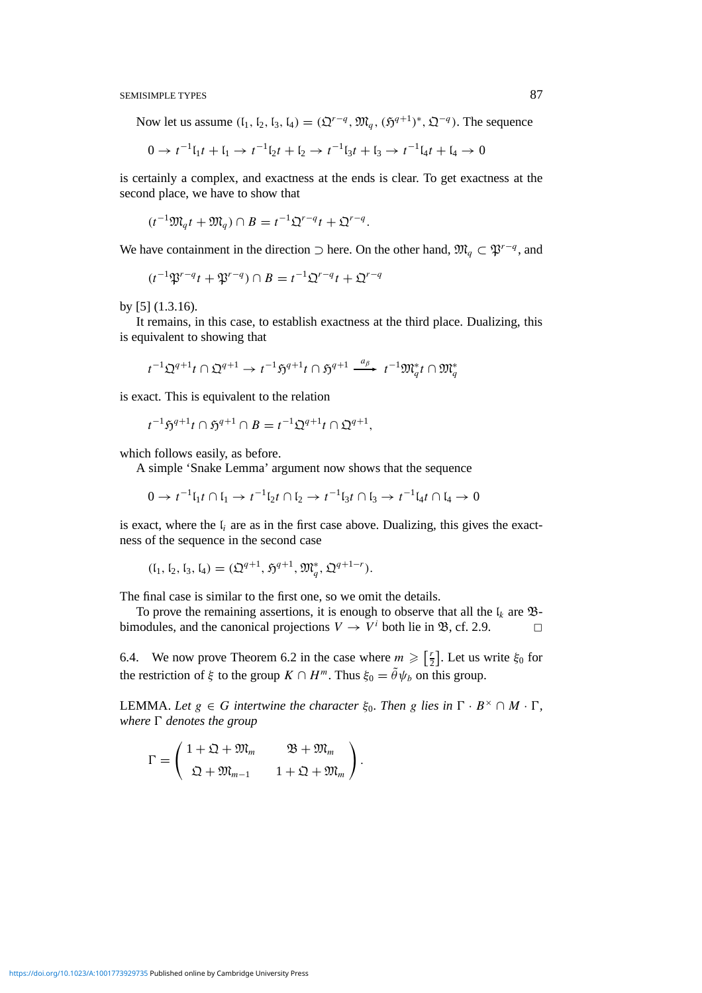Now let us assume  $(I_1, I_2, I_3, I_4) = (\mathfrak{Q}^{r-q}, \mathfrak{M}_q, (\mathfrak{H}^{q+1})^*, \mathfrak{Q}^{-q})$ . The sequence

$$
0 \to t^{-1} \mathfrak{l}_1 t + \mathfrak{l}_1 \to t^{-1} \mathfrak{l}_2 t + \mathfrak{l}_2 \to t^{-1} \mathfrak{l}_3 t + \mathfrak{l}_3 \to t^{-1} \mathfrak{l}_4 t + \mathfrak{l}_4 \to 0
$$

is certainly a complex, and exactness at the ends is clear. To get exactness at the second place, we have to show that

$$
(t^{-1}\mathfrak{M}_q t + \mathfrak{M}_q) \cap B = t^{-1} \mathfrak{Q}^{r-q} t + \mathfrak{Q}^{r-q}.
$$

We have containment in the direction ⊃ here. On the other hand,  $\mathfrak{M}_q \subset \mathfrak{P}^{r-q}$ , and

$$
(t^{-1}\mathfrak{P}^{r-q}t + \mathfrak{P}^{r-q}) \cap B = t^{-1}\mathfrak{Q}^{r-q}t + \mathfrak{Q}^{r-q}
$$

by [5] (1.3.16).

It remains, in this case, to establish exactness at the third place. Dualizing, this is equivalent to showing that

$$
t^{-1}\mathfrak{Q}^{q+1}t\cap\mathfrak{Q}^{q+1}\to t^{-1}\mathfrak{H}^{q+1}t\cap\mathfrak{H}^{q+1}\xrightarrow{a_{\beta}} t^{-1}\mathfrak{M}^*_{q}t\cap\mathfrak{M}^*_{q}
$$

is exact. This is equivalent to the relation

$$
t^{-1}\mathfrak{H}^{q+1}t\cap\mathfrak{H}^{q+1}\cap B=t^{-1}\mathfrak{Q}^{q+1}t\cap\mathfrak{Q}^{q+1},
$$

which follows easily, as before.

A simple 'Snake Lemma' argument now shows that the sequence

$$
0 \to t^{-1} \mathfrak{l}_1 t \cap \mathfrak{l}_1 \to t^{-1} \mathfrak{l}_2 t \cap \mathfrak{l}_2 \to t^{-1} \mathfrak{l}_3 t \cap \mathfrak{l}_3 \to t^{-1} \mathfrak{l}_4 t \cap \mathfrak{l}_4 \to 0
$$

is exact, where the l*<sup>i</sup>* are as in the first case above. Dualizing, this gives the exactness of the sequence in the second case

$$
(I_1, I_2, I_3, I_4) = (\mathfrak{Q}^{q+1}, \mathfrak{H}^{q+1}, \mathfrak{M}_q^*, \mathfrak{Q}^{q+1-r}).
$$

The final case is similar to the first one, so we omit the details.

To prove the remaining assertions, it is enough to observe that all the  $I_k$  are  $\mathfrak{B}$ bimodules, and the canonical projections  $V \rightarrow V^i$  both lie in  $\mathfrak{B}$ , cf. 2.9.

6.4. We now prove Theorem 6.2 in the case where  $m \geqslant \lceil \frac{r}{2} \rceil$  $\frac{r}{2}$ ]. Let us write  $\xi_0$  for the restriction of  $\xi$  to the group  $K \cap H^m$ . Thus  $\xi_0 = \tilde{\theta} \psi_b$  on this group.

**LEMMA.** Let *g* ∈ *G* intertwine the character  $ξ_0$ . Then *g* lies in  $Γ · B^× ∩ M · Γ$ , *where*  $\Gamma$  *denotes the group* 

*.*

$$
\Gamma = \begin{pmatrix} 1 + \mathfrak{Q} + \mathfrak{M}_m & \mathfrak{B} + \mathfrak{M}_m \\ \mathfrak{Q} + \mathfrak{M}_{m-1} & 1 + \mathfrak{Q} + \mathfrak{M}_m \end{pmatrix}
$$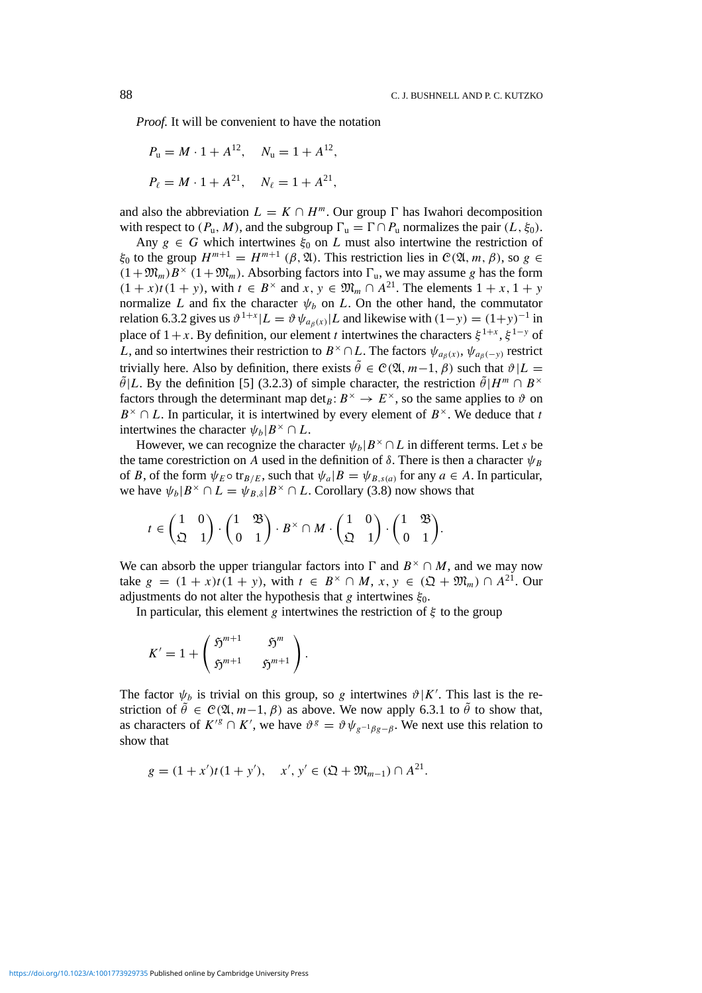*Proof.* It will be convenient to have the notation

$$
P_{\rm u} = M \cdot 1 + A^{12}
$$
,  $N_{\rm u} = 1 + A^{12}$ ,  
 $P_{\ell} = M \cdot 1 + A^{21}$ ,  $N_{\ell} = 1 + A^{21}$ ,

and also the abbreviation  $L = K \cap H^m$ . Our group  $\Gamma$  has Iwahori decomposition with respect to  $(P_u, M)$ , and the subgroup  $\Gamma_u = \Gamma \cap P_u$  normalizes the pair  $(L, \xi_0)$ .

Any  $g \in G$  which intertwines  $\xi_0$  on *L* must also intertwine the restriction of *ξ*<sub>0</sub> to the group *H*<sup>*m*+1</sup> = *H*<sup>*m*+1</sup> (*β,* λλ). This restriction lies in C(λ, *m, β)*, so *g* ∈  $(1+\mathfrak{M}_m)B^\times (1+\mathfrak{M}_m)$ . Absorbing factors into  $\Gamma_u$ , we may assume *g* has the form  $(1 + x)t(1 + y)$ , with  $t \in B^{\times}$  and  $x, y \in \mathfrak{M}_m \cap A^{21}$ . The elements  $1 + x, 1 + y$ normalize *L* and fix the character  $\psi_b$  on *L*. On the other hand, the commutator relation 6.3.2 gives us  $\vartheta^{1+x} | L = \vartheta \psi_{a_0(x)} | L$  and likewise with  $(1-y) = (1+y)^{-1}$  in place of  $1+x$ . By definition, our element *t* intertwines the characters  $\xi^{1+x}$ ,  $\xi^{1-y}$  of *L*, and so intertwines their restriction to  $B^{\times} \cap L$ . The factors  $\psi_{a_{\beta}(x)}, \psi_{a_{\beta}(-y)}$  restrict trivially here. Also by definition, there exists  $\tilde{\theta} \in C(\mathfrak{A}, m-1, \beta)$  such that  $\vartheta | L =$  $\tilde{\theta}$ |*L*. By the definition [5] (3.2.3) of simple character, the restriction  $\tilde{\theta}$ |*H*<sup>*m*</sup>  $\cap$  *B*<sup>×</sup> factors through the determinant map det<sub>*B*</sub>:  $B^{\times} \to E^{\times}$ , so the same applies to  $\vartheta$  on  $B^{\times} \cap L$ . In particular, it is intertwined by every element of  $B^{\times}$ . We deduce that *t* intertwines the character  $\psi_h | B^\times \cap L$ .

However, we can recognize the character  $\psi_b|B^\times \cap L$  in different terms. Let *s* be the tame corestriction on *A* used in the definition of  $\delta$ . There is then a character  $\psi_B$ of *B*, of the form  $\psi_E \circ \text{tr}_{B/E}$ , such that  $\psi_a | B = \psi_{B,s(a)}$  for any  $a \in A$ . In particular, we have  $\psi_b|B^\times \cap L = \psi_{B,\delta}|B^\times \cap L$ . Corollary (3.8) now shows that

$$
t \in \begin{pmatrix} 1 & 0 \\ \mathfrak{Q} & 1 \end{pmatrix} \cdot \begin{pmatrix} 1 & \mathfrak{B} \\ 0 & 1 \end{pmatrix} \cdot B^{\times} \cap M \cdot \begin{pmatrix} 1 & 0 \\ \mathfrak{Q} & 1 \end{pmatrix} \cdot \begin{pmatrix} 1 & \mathfrak{B} \\ 0 & 1 \end{pmatrix}.
$$

We can absorb the upper triangular factors into  $\Gamma$  and  $B^{\times} \cap M$ , and we may now take *g* =  $(1 + x)t(1 + y)$ , with *t* ∈ *B*<sup>×</sup> ∩ *M*, *x*, *y* ∈  $(Q + \mathfrak{M}_m) ∩ A^{21}$ . Our adjustments do not alter the hypothesis that *g* intertwines *ξ*0.

In particular, this element *g* intertwines the restriction of  $\xi$  to the group

$$
K'=1+\left(\begin{array}{cc}\mathfrak{H}^{m+1}&\mathfrak{H}^m\\ \mathfrak{H}^{m+1}&\mathfrak{H}^{m+1}\end{array}\right).
$$

The factor  $\psi_b$  is trivial on this group, so *g* intertwines  $\vartheta | K'$ . This last is the restriction of  $\tilde{\theta} \in \mathcal{C}(\mathfrak{A}, m-1, \beta)$  as above. We now apply 6.3.1 to  $\tilde{\theta}$  to show that, as characters of  $K^{8} \cap K'$ , we have  $\vartheta^{g} = \vartheta \psi_{g^{-1}\beta g - \beta}$ . We next use this relation to show that

$$
g = (1 + x')t(1 + y'), \quad x', y' \in (\mathfrak{Q} + \mathfrak{M}_{m-1}) \cap A^{21}.
$$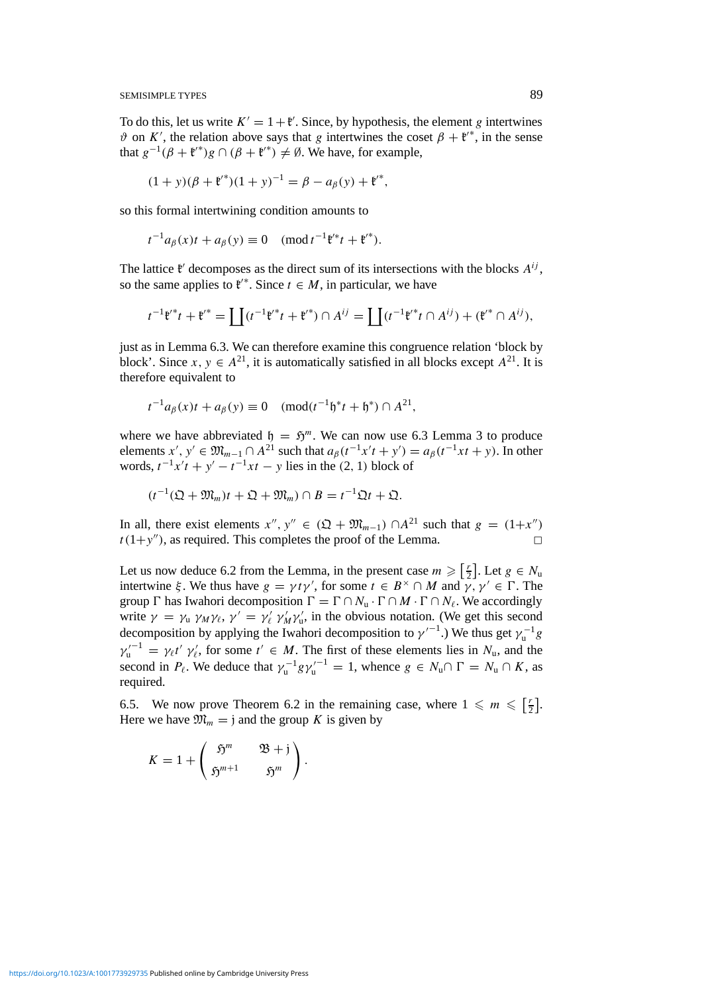To do this, let us write  $K' = 1 + \mathfrak{k}'$ . Since, by hypothesis, the element *g* intertwines  $\vartheta$  on *K'*, the relation above says that *g* intertwines the coset  $\beta + \mathfrak{k}^{**}$ , in the sense that  $g^{-1}(\beta + \mathfrak{k}^{\prime*})g \cap (\beta + \mathfrak{k}^{\prime*}) \neq \emptyset$ . We have, for example,

$$
(1 + y)(\beta + {\mathfrak{t}'}^*)(1 + y)^{-1} = \beta - a_{\beta}(y) + {\mathfrak{t}'}^*,
$$

so this formal intertwining condition amounts to

$$
t^{-1}a_{\beta}(x)t + a_{\beta}(y) \equiv 0 \pmod{t^{-1}\mathfrak{k}^{*}t + \mathfrak{k}^{*}}.
$$

The lattice  $\mathfrak{k}'$  decomposes as the direct sum of its intersections with the blocks  $A^{ij}$ , so the same applies to  $\mathfrak{k}^{\prime*}$ . Since  $t \in M$ , in particular, we have

$$
t^{-1}\mathfrak{k}^{i*}t + \mathfrak{k}^{i*} = \coprod (t^{-1}\mathfrak{k}^{i*}t + \mathfrak{k}^{i*}) \cap A^{ij} = \coprod (t^{-1}\mathfrak{k}^{i*}t \cap A^{ij}) + (\mathfrak{k}^{i*} \cap A^{ij}),
$$

just as in Lemma 6.3. We can therefore examine this congruence relation 'block by block'. Since  $x, y \in A^{21}$ , it is automatically satisfied in all blocks except  $A^{21}$ . It is therefore equivalent to

$$
t^{-1}a_{\beta}(x)t + a_{\beta}(y) \equiv 0 \pmod{t^{-1}\mathfrak{h}^*t + \mathfrak{h}^*} \cap A^{21},
$$

where we have abbreviated  $h = \mathfrak{H}^m$ . We can now use 6.3 Lemma 3 to produce elements  $x'$ ,  $y' \in \mathfrak{M}_{m-1} \cap A^{21}$  such that  $a_{\beta}(t^{-1}x't + y') = a_{\beta}(t^{-1}xt + y)$ . In other *words,*  $t^{-1}x't + y' - t^{-1}xt - y$  lies in the (2, 1) block of

 $(t^{-1}(\mathfrak{Q} + \mathfrak{M}_m)t + \mathfrak{Q} + \mathfrak{M}_m) \cap B = t^{-1}\mathfrak{Q}t + \mathfrak{Q}.$ 

In all, there exist elements  $x''$ ,  $y'' \in (\mathfrak{Q} + \mathfrak{M}_{m-1}) \cap A^{21}$  such that  $g = (1+x'')$  $t(1+y'')$ , as required. This completes the proof of the Lemma.

Let us now deduce 6.2 from the Lemma, in the present case  $m \geqslant \lceil \frac{r}{2} \rceil$  $\left[\frac{r}{2}\right]$ . Let  $g \in N_u$ intertwine  $\xi$ . We thus have  $g = \gamma t \gamma'$ , for some  $t \in B^{\times} \cap M$  and  $\gamma, \gamma' \in \Gamma$ . The group  $\Gamma$  has Iwahori decomposition  $\Gamma = \Gamma \cap N_u \cdot \Gamma \cap M \cdot \Gamma \cap N_\ell$ . We accordingly write  $\gamma = \gamma_u \gamma_M \gamma_v$ ,  $\gamma' = \gamma'_v \gamma'_M \gamma'_u$ , in the obvious notation. (We get this second decomposition by applying the Iwahori decomposition to  $\gamma'^{-1}$ .) We thus get  $\gamma_u^{-1}g$  $\gamma_{u}^{\prime -1} = \gamma_{\ell} t' \gamma_{\ell}'$ , for some  $t' \in M$ . The first of these elements lies in  $N_{u}$ , and the second in  $P_\ell$ . We deduce that  $\gamma_u^{-1} g \gamma_u'^{-1} = 1$ , whence  $g \in N_u \cap \Gamma = N_u \cap K$ , as required.

6.5. We now prove Theorem 6.2 in the remaining case, where  $1 \leq m \leq \lceil \frac{r}{2} \rceil$  $\frac{r}{2}$ . Here we have  $\mathfrak{M}_m = \mathfrak{j}$  and the group *K* is given by

*.*

$$
K = 1 + \begin{pmatrix} 5^m & 25 + j \\ 5^{m+1} & 5^m \end{pmatrix}
$$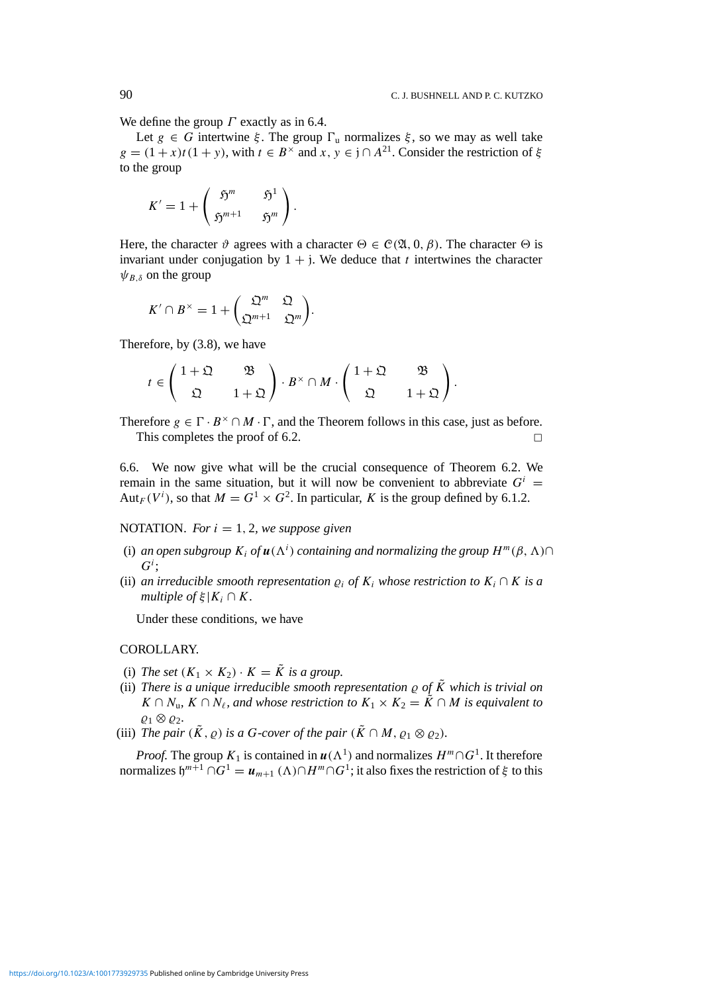We define the group *Γ* exactly as in 6.4.

Let  $g \in G$  intertwine  $\xi$ . The group  $\Gamma$ <sub>u</sub> normalizes  $\xi$ , so we may as well take  $g = (1 + x)t(1 + y)$ , with  $t \in B^{\times}$  and  $x, y \in j \cap A^{21}$ . Consider the restriction of  $\xi$ to the group

$$
K'=1+\left(\begin{array}{cc} \mathfrak{H}^m && \mathfrak{H}^1\\ \mathfrak{H}^{m+1} && \mathfrak{H}^m \end{array}\right).
$$

Here, the character  $\vartheta$  agrees with a character  $\Theta \in \mathcal{C}(\mathfrak{A}, 0, \beta)$ . The character  $\Theta$  is invariant under conjugation by  $1 + j$ . We deduce that *t* intertwines the character  $\psi_{B,\delta}$  on the group

$$
K' \cap B^{\times} = 1 + \begin{pmatrix} \mathfrak{Q}^m & \mathfrak{Q} \\ \mathfrak{Q}^{m+1} & \mathfrak{Q}^m \end{pmatrix}.
$$

Therefore, by (3.8), we have

$$
t \in \begin{pmatrix} 1+\mathfrak{Q} & \mathfrak{B} \\ \mathfrak{Q} & 1+\mathfrak{Q} \end{pmatrix} \cdot B^{\times} \cap M \cdot \begin{pmatrix} 1+\mathfrak{Q} & \mathfrak{B} \\ \mathfrak{Q} & 1+\mathfrak{Q} \end{pmatrix}.
$$

Therefore  $g \in \Gamma \cdot B^{\times} \cap M \cdot \Gamma$ , and the Theorem follows in this case, just as before. This completes the proof of 6.2.  $\Box$ 

6.6. We now give what will be the crucial consequence of Theorem 6.2. We remain in the same situation, but it will now be convenient to abbreviate  $G^i$  = Aut<sub>*F*</sub>( $V^i$ ), so that  $M = G^1 \times G^2$ . In particular, *K* is the group defined by 6.1.2.

NOTATION. For  $i = 1, 2$ , we suppose given

- (i) an open subgroup  $K_i$  of  $u(\Lambda^i)$  containing and normalizing the group  $H^m(\beta, \Lambda) \cap$  $G^i$ ;
- (ii) *an irreducible smooth representation*  $\rho_i$  *of*  $K_i$  *whose restriction to*  $K_i \cap K$  *is a multiple of*  $\xi | K_i \cap K$ *.*

Under these conditions, we have

## COROLLARY.

- (i) *The set*  $(K_1 \times K_2) \cdot K = \tilde{K}$  *is a group.*
- (ii) *There is a unique irreducible smooth representation*  $\varrho$  *of*  $\tilde{K}$  *which is trivial on K* ∩ *N*<sub>*u*</sub>, *K* ∩ *N*<sub>*l*</sub>, and whose restriction to  $K_1 \times K_2 = \tilde{K} \cap M$  is equivalent to  $\rho_1$  ⊗  $\rho_2$ .
- (iii) *The pair*  $(\tilde{K}, \rho)$  *is a G-cover of the pair*  $(\tilde{K} \cap M, \rho_1 \otimes \rho_2)$ *.*

*Proof.* The group  $K_1$  is contained in  $u(\Lambda^1)$  and normalizes  $H^m \cap G^1$ . It therefore normalizes  $\mathfrak{h}^{m+1} \cap G^1 = u_{m+1} (\Lambda) \cap H^m \cap G^1$ ; it also fixes the restriction of  $\xi$  to this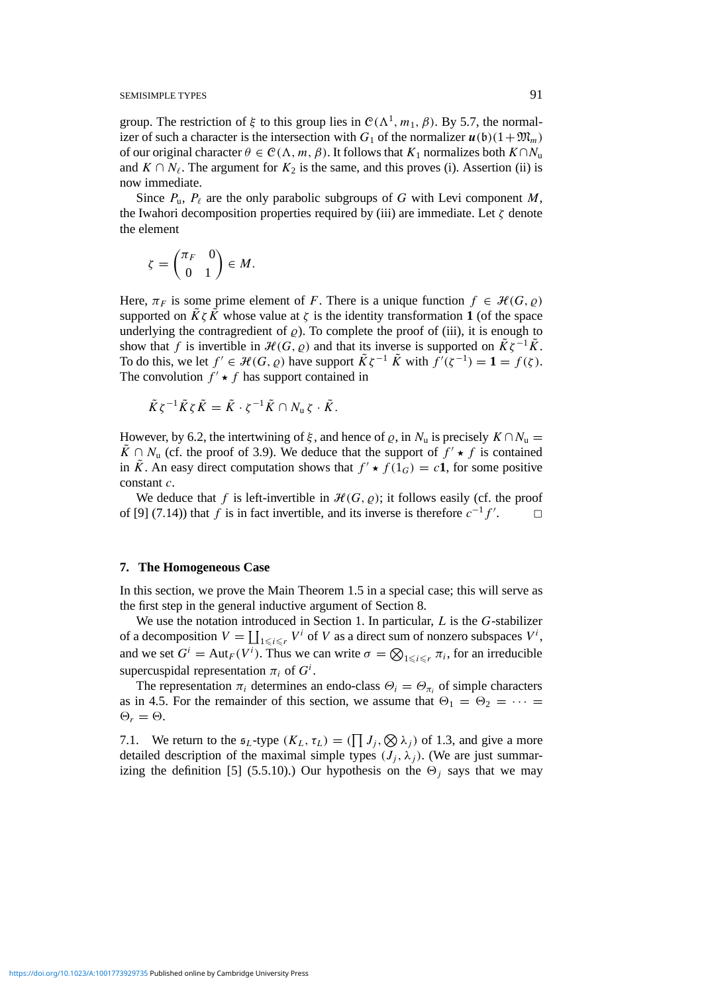group. The restriction of *ξ* to this group lies in  $C(Λ<sup>1</sup>, m<sub>1</sub>, β)$ . By 5.7, the normalizer of such a character is the intersection with  $G_1$  of the normalizer  $u(b)(1+\mathfrak{M}_m)$ of our original character  $\theta \in \mathcal{C}(\Lambda, m, \beta)$ . It follows that  $K_1$  normalizes both  $K \cap N_u$ and  $K \cap N_{\ell}$ . The argument for  $K_2$  is the same, and this proves (i). Assertion (ii) is now immediate.

Since  $P_{\mu}$ ,  $P_{\ell}$  are the only parabolic subgroups of *G* with Levi component *M*, the Iwahori decomposition properties required by (iii) are immediate. Let *ζ* denote the element

$$
\zeta = \begin{pmatrix} \pi_F & 0 \\ 0 & 1 \end{pmatrix} \in M.
$$

Here,  $\pi_F$  is some prime element of *F*. There is a unique function  $f \in \mathcal{H}(G, \varrho)$ supported on  $\tilde{K}\zeta\tilde{K}$  whose value at  $\zeta$  is the identity transformation **1** (of the space underlying the contragredient of  $\rho$ ). To complete the proof of (iii), it is enough to show that *f* is invertible in  $\mathcal{H}(G, \varrho)$  and that its inverse is supported on  $\tilde{K}\zeta^{-1}\tilde{K}$ . To do this, we let  $f' \in \mathcal{H}(G, \varrho)$  have support  $\tilde{K}\zeta^{-1} \tilde{K}$  with  $\tilde{f}'(\zeta^{-1}) = 1 = f(\zeta)$ . The convolution  $f' \star f$  has support contained in

$$
\tilde{K}\zeta^{-1}\tilde{K}\zeta\tilde{K}=\tilde{K}\cdot\zeta^{-1}\tilde{K}\cap N_{\mathrm{u}}\zeta\cdot\tilde{K}.
$$

However, by 6.2, the intertwining of  $\xi$ , and hence of  $\varrho$ , in  $N_u$  is precisely  $K \cap N_u$ *K* ∩ *N*<sub>u</sub> (cf. the proof of 3.9). We deduce that the support of  $f'$  ★  $f$  is contained in  $\tilde{K}$ . An easy direct computation shows that  $f' \star f(1_G) = c\mathbf{1}$ , for some positive constant *c*.

We deduce that f is left-invertible in  $H(G, \rho)$ ; it follows easily (cf. the proof of [9] (7.14)) that *f* is in fact invertible, and its inverse is therefore  $c^{-1}f'$ .  $\Box$ 

#### **7. The Homogeneous Case**

In this section, we prove the Main Theorem 1.5 in a special case; this will serve as the first step in the general inductive argument of Section 8.

We use the notation introduced in Section 1. In particular, *L* is the *G*-stabilizer of a decomposition  $V = \coprod_{1 \le i \le r} V^i$  of *V* as a direct sum of nonzero subspaces  $V^i$ , and we set  $G^i = \text{Aut}_F(V^i)$ . Thus we can write  $\sigma = \bigotimes_{1 \leq i \leq r} \pi_i$ , for an irreducible supercuspidal representation  $\pi_i$  of  $G^i$ .

The representation  $\pi_i$  determines an endo-class  $\Theta_i = \Theta_{\pi_i}$  of simple characters as in 4.5. For the remainder of this section, we assume that  $\Theta_1 = \Theta_2 = \cdots =$  $\Theta_r = \Theta$ .

7.1. We return to the  $\mathfrak{s}_L$ -type  $(K_L, \tau_L) = (\prod J_j, \bigotimes \lambda_j)$  of 1.3, and give a more detailed description of the maximal simple types  $(J_i, \lambda_i)$ . (We are just summarizing the definition [5] (5.5.10).) Our hypothesis on the  $\Theta_i$  says that we may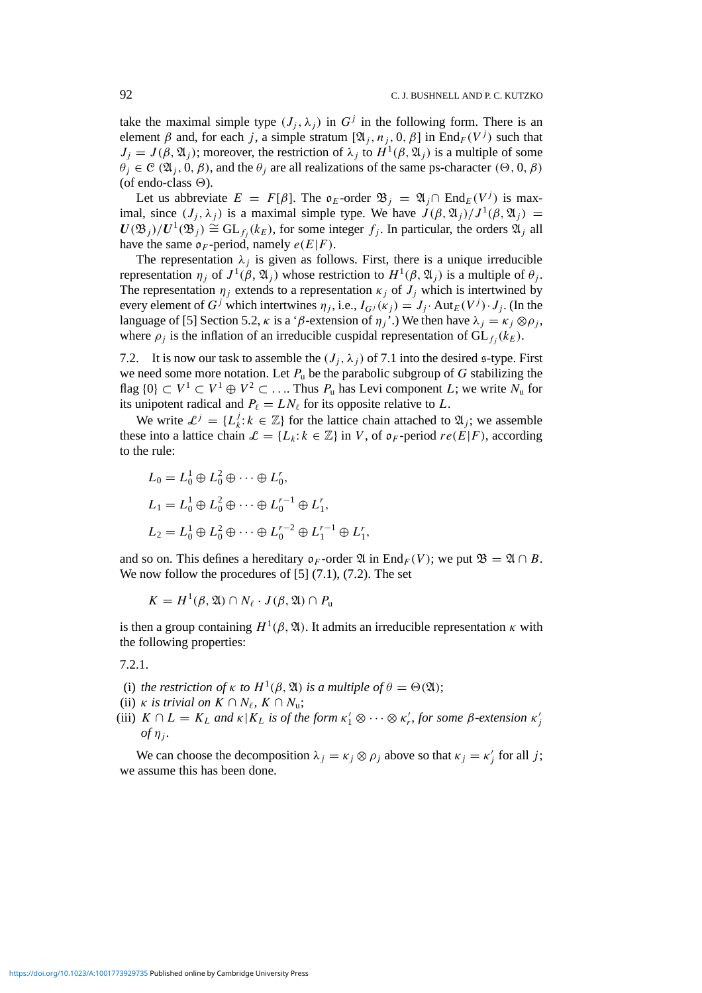take the maximal simple type  $(J_i, \lambda_i)$  in  $G^j$  in the following form. There is an element  $\beta$  and, for each *j*, a simple stratum  $[\mathfrak{A}_i, n_i, 0, \beta]$  in End $_F(V^j)$  such that  $J_j = J(\beta, \mathfrak{A}_j)$ ; moreover, the restriction of  $\lambda_j$  to  $H^1(\beta, \mathfrak{A}_j)$  is a multiple of some  $\theta_j \in \mathcal{C}(\mathfrak{A}_j, 0, \beta)$ , and the  $\theta_j$  are all realizations of the same ps-character  $(\Theta, 0, \beta)$ (of endo-class  $\Theta$ ).

Let us abbreviate  $E = F[\beta]$ . The  $\mathfrak{o}_E$ -order  $\mathfrak{B}_i = \mathfrak{A}_i \cap \text{End}_E(V^j)$  is maximal, since  $(J_i, \lambda_j)$  is a maximal simple type. We have  $J(\beta, \mathfrak{A}_j)/J^1(\beta, \mathfrak{A}_j) =$  $U(\mathfrak{B}_i)/U^1(\mathfrak{B}_i) \cong GL_{f_i}(k_E)$ , for some integer  $f_i$ . In particular, the orders  $\mathfrak{A}_i$  all have the same  $\mathfrak{o}_F$ -period, namely  $e(E|F)$ .

The representation  $\lambda_i$  is given as follows. First, there is a unique irreducible representation *η<sub>j</sub>* of  $J^1$ ( $β$ ,  $\mathfrak{A}_j$ ) whose restriction to  $H^1(β, \mathfrak{A}_j)$  is a multiple of  $θ_j$ . The representation  $\eta_i$  extends to a representation  $\kappa_i$  of  $J_i$  which is intertwined by every element of *G<sup>j</sup>* which intertwines  $\eta_i$ , i.e.,  $I_{G}(\kappa_i) = J_i$ . Aut<sub>*E*</sub>( $V^j$ ) $\cdot J_i$ . (In the language of [5] Section 5.2,  $\kappa$  is a ' $\beta$ -extension of  $\eta_i$ '.) We then have  $\lambda_i = \kappa_i \otimes \rho_i$ , where  $\rho_i$  is the inflation of an irreducible cuspidal representation of  $GL_f(k_E)$ .

7.2. It is now our task to assemble the  $(J_i, \lambda_i)$  of 7.1 into the desired s-type. First we need some more notation. Let *P*<sup>u</sup> be the parabolic subgroup of *G* stabilizing the flag  $\{0\} \subset V^1 \subset V^1 \oplus V^2 \subset \ldots$  Thus  $P_u$  has Levi component *L*; we write  $N_u$  for its unipotent radical and  $P_\ell = LN_\ell$  for its opposite relative to *L*.

We write  $\mathcal{L}^j = \{L^j_k : k \in \mathbb{Z}\}\$  for the lattice chain attached to  $\mathfrak{A}_j$ ; we assemble these into a lattice chain  $\mathcal{L} = \{L_k : k \in \mathbb{Z}\}\$ in *V*, of  $\mathfrak{o}_F$ -period  $re(E|F)$ , according to the rule:

$$
L_0 = L_0^1 \oplus L_0^2 \oplus \cdots \oplus L_0^r,
$$
  
\n
$$
L_1 = L_0^1 \oplus L_0^2 \oplus \cdots \oplus L_0^{r-1} \oplus L_1^r,
$$
  
\n
$$
L_2 = L_0^1 \oplus L_0^2 \oplus \cdots \oplus L_0^{r-2} \oplus L_1^{r-1} \oplus L_1^r,
$$

and so on. This defines a hereditary  $\mathfrak{o}_F$ -order  $\mathfrak{A}$  in End<sub>F</sub>(V); we put  $\mathfrak{B} = \mathfrak{A} \cap B$ . We now follow the procedures of  $[5]$   $(7.1)$ ,  $(7.2)$ . The set

$$
K = H^1(\beta, \mathfrak{A}) \cap N_{\ell} \cdot J(\beta, \mathfrak{A}) \cap P_{\mathfrak{u}}
$$

is then a group containing  $H^1(\beta, \mathfrak{A})$ . It admits an irreducible representation  $\kappa$  with the following properties:

7.2.1.

- (i) *the restriction of*  $\kappa$  *to*  $H^1(\beta, \mathfrak{A})$  *is a multiple of*  $\theta = \Theta(\mathfrak{A})$ ;
- (ii) *κ is trivial on*  $K \cap N_{\ell}$ ,  $K \cap N_{\mathfrak{u}}$ ;
- (iii)  $K \cap L = K_L$  and  $\kappa | K_L$  is of the form  $\kappa'_1 \otimes \cdots \otimes \kappa'_r$ , for some  $\beta$ -extension  $\kappa'_j$  $of \eta_i$ .

We can choose the decomposition  $\lambda_j = \kappa_j \otimes \rho_j$  above so that  $\kappa_j = \kappa'_j$  for all *j*; we assume this has been done.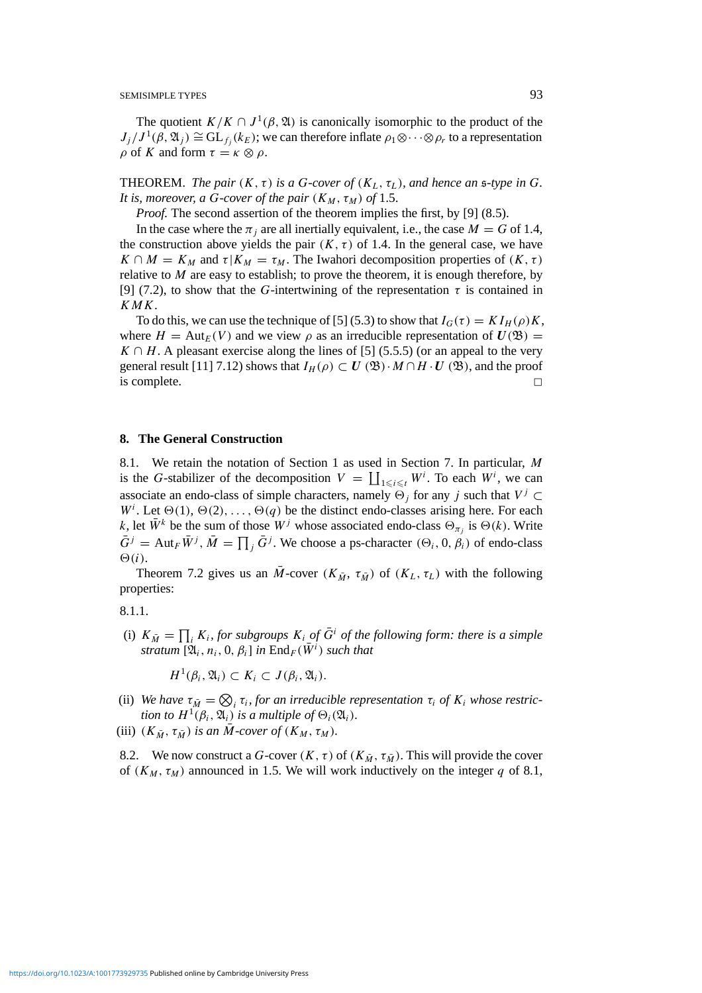The quotient  $K/K \cap J^1(\beta, \mathfrak{A})$  is canonically isomorphic to the product of the  $J_j / J^1(\beta, \mathfrak{A}_j) \cong GL_{f_j}(k_E)$ ; we can therefore inflate  $\rho_1 \otimes \cdots \otimes \rho_r$  to a representation *ρ* of *K* and form  $τ = κ \otimes ρ$ .

**THEOREM.** *The pair*  $(K, \tau)$  *is a G-cover of*  $(K_L, \tau_L)$ *, and hence an s-type in G*. *It is, moreover, a G-cover of the pair*  $(K_M, \tau_M)$  *of* 1.5.

*Proof.* The second assertion of the theorem implies the first, by [9] (8.5).

In the case where the  $\pi_i$  are all inertially equivalent, i.e., the case  $M = G$  of 1.4, the construction above yields the pair  $(K, \tau)$  of 1.4. In the general case, we have  $K \cap M = K_M$  and  $\tau | K_M = \tau_M$ . The Iwahori decomposition properties of  $(K, \tau)$ relative to  $M$  are easy to establish; to prove the theorem, it is enough therefore, by [9] (7.2), to show that the *G*-intertwining of the representation  $\tau$  is contained in *KMK*.

To do this, we can use the technique of [5] (5.3) to show that  $I_G(\tau) = K I_H(\rho)K$ , where  $H = \text{Aut}_E(V)$  and we view  $\rho$  as an irreducible representation of  $U(\mathfrak{B}) =$  $K \cap H$ . A pleasant exercise along the lines of [5] (5.5.5) (or an appeal to the very general result [11] 7.12) shows that  $I_H(\rho) \subset U(\mathfrak{B}) \cdot M \cap H \cdot U(\mathfrak{B})$ , and the proof is complete.  $\Box$ 

#### **8. The General Construction**

8.1. We retain the notation of Section 1 as used in Section 7. In particular, *M* is the *G*-stabilizer of the decomposition  $V = \coprod_{1 \leq i \leq t} W^i$ . To each  $W^i$ , we can associate an endo-class of simple characters, namely  $\Theta_i$  for any *j* such that  $V^j \subset$  $W<sup>i</sup>$ . Let  $\Theta(1)$ ,  $\Theta(2)$ , ...,  $\Theta(q)$  be the distinct endo-classes arising here. For each *k*, let  $\bar{W}^k$  be the sum of those  $W^j$  whose associated endo-class  $\Theta_{\pi_j}$  is  $\Theta(k)$ . Write  $\bar{G}^j = \text{Aut}_{F} \bar{W}^j$ ,  $\bar{M} = \prod_j \bar{G}^j$ . We choose a ps-character  $(\Theta_i, 0, \beta_i)$  of endo-class  $\Theta(i)$ .

Theorem 7.2 gives us an  $\overline{M}$ -cover  $(K_{\overline{M}}, \tau_{\overline{M}})$  of  $(K_L, \tau_L)$  with the following properties:

8.1.1.

(i)  $K_{\bar{M}} = \prod_i K_i$ , for subgroups  $K_i$  of  $\bar{G}^i$  of the following form: there is a simple  $\int \mathbb{R}^n f(x_i, n_i, 0, \beta_i)$  *in*  $\text{End}_F(\overline{W}^i)$  *such that* 

 $H^1(\beta_i, \mathfrak{A}_i) \subset K_i \subset J(\beta_i, \mathfrak{A}_i).$ 

- (ii) We have  $\tau_{\bar{M}} = \bigotimes_i \tau_i$ , for an irreducible representation  $\tau_i$  of  $K_i$  whose restric*tion to*  $H^1(\beta_i, \mathfrak{A}_i)$  *is a multiple of*  $\Theta_i(\mathfrak{A}_i)$ *.*
- (iii)  $(K_{\bar{M}}, \tau_{\bar{M}})$  *is an M*-cover of  $(K_M, \tau_M)$ *.*

8.2. We now construct a *G*-cover  $(K, \tau)$  of  $(K_{\overline{M}}, \tau_{\overline{M}})$ . This will provide the cover of  $(K_M, \tau_M)$  announced in 1.5. We will work inductively on the integer *q* of 8.1,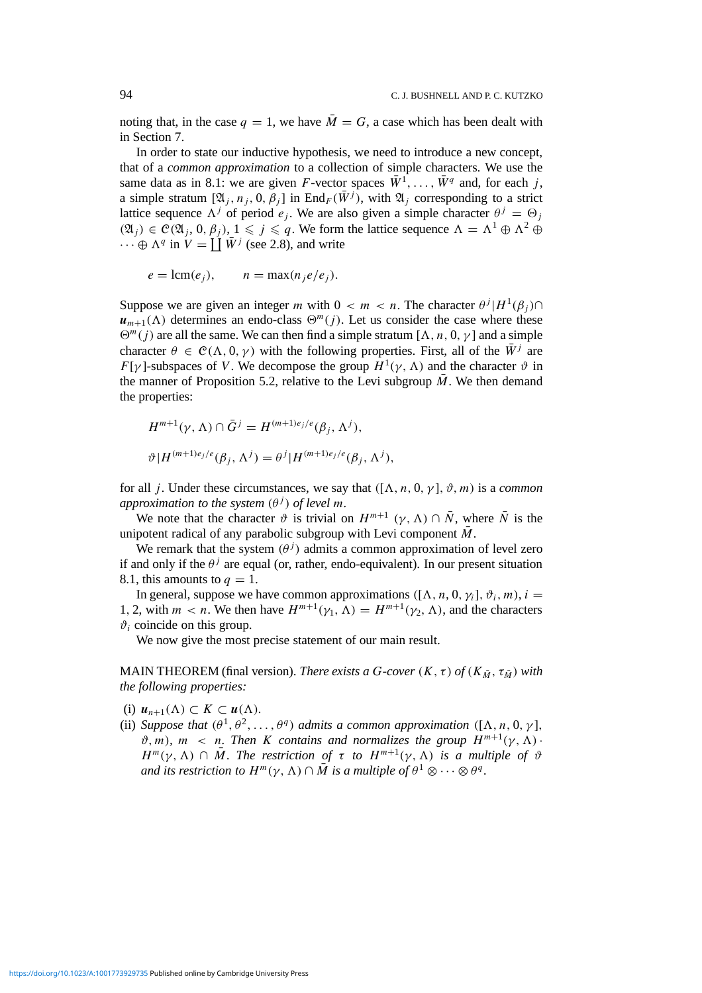noting that, in the case  $q = 1$ , we have  $\overline{M} = G$ , a case which has been dealt with in Section 7.

In order to state our inductive hypothesis, we need to introduce a new concept, that of a *common approximation* to a collection of simple characters. We use the same data as in 8.1: we are given *F*-vector spaces  $\bar{W}^1, \ldots, \bar{W}^q$  and, for each *j*, a simple stratum  $[\mathfrak{A}_j, n_j, 0, \beta_j]$  in End<sub>F</sub>( $\overline{W}^j$ ), with  $\mathfrak{A}_j$  corresponding to a strict lattice sequence  $\Lambda^{j}$  of period *e<sub>j</sub>*. We are also given a simple character  $\theta^{j} = \Theta_{j}$  $(\mathfrak{A}_j)$  ∈  $\mathcal{C}(\mathfrak{A}_j, 0, \beta_j)$ ,  $1 \leq j \leq q$ . We form the lattice sequence  $\Lambda = \Lambda^1 \oplus \Lambda^2 \oplus \Lambda^2$  $\cdots \oplus \Lambda^q$  in  $V = \coprod \overline{W}^j$  (see 2.8), and write

$$
e = \text{lcm}(e_j), \qquad n = \max(n_j e/e_j).
$$

Suppose we are given an integer *m* with  $0 < m < n$ . The character  $\theta^{j} | H^{1}(\beta_{j}) \cap$  $u_{m+1}(\Lambda)$  determines an endo-class  $\Theta^m(i)$ . Let us consider the case where these  $\Theta^m(j)$  are all the same. We can then find a simple stratum  $[\Lambda, n, 0, \gamma]$  and a simple character  $\theta \in \mathcal{C}(\Lambda, 0, \gamma)$  with the following properties. First, all of the  $\overline{W}$ <sup>*j*</sup> are *F*[ $\gamma$ ]-subspaces of *V*. We decompose the group  $H^1(\gamma, \Lambda)$  and the character  $\vartheta$  in the manner of Proposition 5.2, relative to the Levi subgroup  $\overline{M}$ . We then demand the properties:

$$
H^{m+1}(\gamma, \Lambda) \cap \bar{G}^j = H^{(m+1)e_j/e}(\beta_j, \Lambda^j),
$$
  

$$
\vartheta | H^{(m+1)e_j/e}(\beta_j, \Lambda^j) = \theta^j | H^{(m+1)e_j/e}(\beta_j, \Lambda^j),
$$

for all *j*. Under these circumstances, we say that  $([\Lambda, n, 0, \gamma], \vartheta, m)$  is a *common approximation to the system*  $(\theta^j)$  *of level m.* 

We note that the character  $\vartheta$  is trivial on  $H^{m+1}$   $(\gamma, \Lambda) \cap \overline{N}$ , where  $\overline{N}$  is the unipotent radical of any parabolic subgroup with Levi component  $\overline{M}$ .

We remark that the system  $(\theta^j)$  admits a common approximation of level zero if and only if the  $\theta$ <sup>*j*</sup> are equal (or, rather, endo-equivalent). In our present situation 8.1, this amounts to  $q = 1$ .

In general, suppose we have common approximations  $([\Lambda, n, 0, \gamma_i], \vartheta_i, m)$ ,  $i =$ 1, 2, with  $m < n$ . We then have  $H^{m+1}(\gamma_1, \Lambda) = H^{m+1}(\gamma_2, \Lambda)$ , and the characters  $\vartheta_i$  coincide on this group.

We now give the most precise statement of our main result.

MAIN THEOREM (final version). *There exists a G-cover*  $(K, \tau)$  *of*  $(K_{\bar{M}}, \tau_{\bar{M}})$  *with the following properties:*

- (i)  $u_{n+1}(\Lambda) \subset K \subset u(\Lambda)$ *.*
- (ii) *Suppose that*  $(\theta^1, \theta^2, \ldots, \theta^q)$  *admits a common approximation*  $([\Lambda, n, 0, \gamma],$  $\vartheta, m$ ,  $m < n$ . Then *K* contains and normalizes the group  $H^{m+1}(\gamma, \Lambda)$ .  $H^m(\gamma, \Lambda) \cap \overline{M}$ . *The restriction of*  $\tau$  *to*  $H^{m+1}(\gamma, \Lambda)$  *is a multiple of*  $\vartheta$ *and its restriction to*  $H^m(\gamma, \Lambda) \cap \overline{M}$  *is a multiple of*  $\theta^1 \otimes \cdots \otimes \theta^q$ .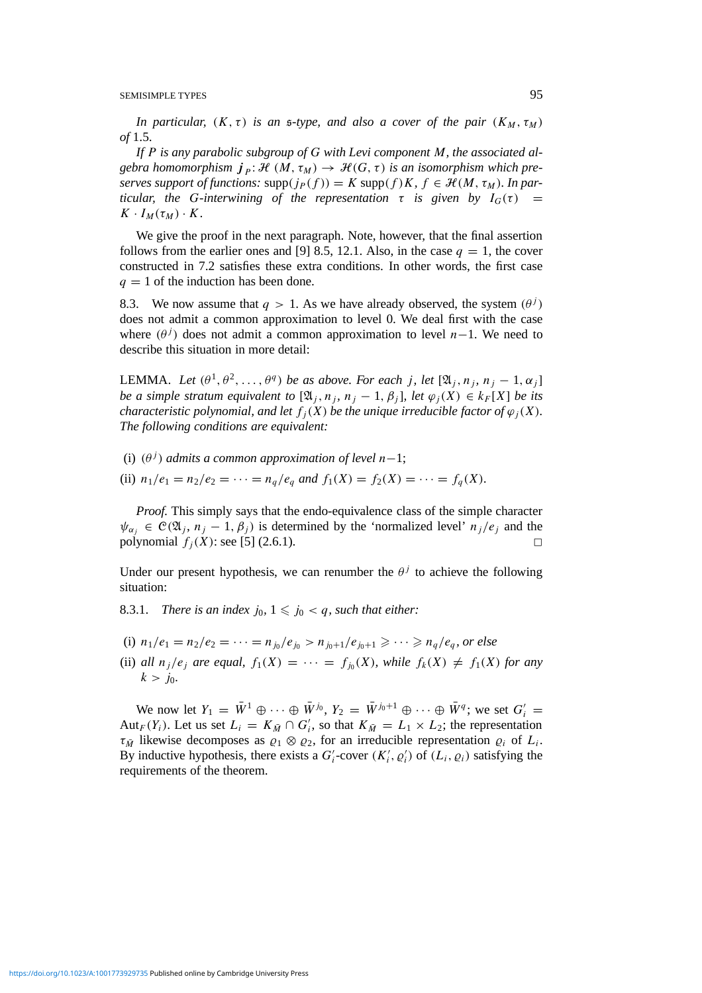*In particular,*  $(K, \tau)$  *is an s-type, and also a cover of the pair*  $(K_M, \tau_M)$ *of* 1.5.

*If P is any parabolic subgroup of G with Levi component M, the associated algebra homomorphism*  $j_P$ :  $\mathcal{H}(M, \tau_M) \to \mathcal{H}(G, \tau)$  *is an isomorphism which preserves support of functions:*  $\text{supp}(j_P(f)) = K \text{supp}(f)K$ ,  $f \in \mathcal{H}(M, \tau_M)$ *. In particular, the G-interwining of the representation*  $\tau$  *is given by*  $I_G(\tau)$  =  $K \cdot I_M(\tau_M) \cdot K$ .

We give the proof in the next paragraph. Note, however, that the final assertion follows from the earlier ones and [9] 8.5, 12.1. Also, in the case  $q = 1$ , the cover constructed in 7.2 satisfies these extra conditions. In other words, the first case  $q = 1$  of the induction has been done.

8.3. We now assume that  $q > 1$ . As we have already observed, the system  $(\theta^j)$ does not admit a common approximation to level 0. We deal first with the case where  $(\theta^j)$  does not admit a common approximation to level *n*−1. We need to describe this situation in more detail:

**LEMMA.** *Let*  $(\theta^1, \theta^2, \ldots, \theta^q)$  *be as above. For each j, let*  $[\mathfrak{A}_i, n_i, n_j - 1, \alpha_i]$ *be a simple stratum equivalent to*  $[\mathfrak{A}_i, n_i, n_j - 1, \beta_i]$ *, let*  $\varphi_i(X) \in k_F[X]$  *be its characteristic polynomial, and let*  $f_i(X)$  *be the unique irreducible factor of*  $\varphi_i(X)$ *. The following conditions are equivalent:*

(i)  $(\theta^j)$  *admits a common approximation of level*  $n-1$ ;

(ii)  $n_1/e_1 = n_2/e_2 = \cdots = n_q/e_q$  and  $f_1(X) = f_2(X) = \cdots = f_q(X)$ .

*Proof.* This simply says that the endo-equivalence class of the simple character  $\psi_{\alpha} \in \mathcal{C}(\mathfrak{A}_i, n_i - 1, \beta_i)$  is determined by the 'normalized level'  $n_j/e_j$  and the polynomial  $f_i(X)$ : see [5] (2.6.1).

Under our present hypothesis, we can renumber the  $\theta$ <sup>*j*</sup> to achieve the following situation:

8.3.1. *There is an index*  $j_0$ ,  $1 \leq j_0 < q$ , such that either:

- (i)  $n_1/e_1 = n_2/e_2 = \cdots = n_{j_0}/e_{j_0} > n_{j_0+1}/e_{j_0+1} \ge \cdots \ge n_q/e_q$ , or else
- (ii) *all*  $n_j/e_j$  *are equal,*  $f_1(X) = \cdots = f_{j_0}(X)$ *, while*  $f_k(X) \neq f_1(X)$  *for any*  $k > j_0$ .

We now let  $Y_1 = \overline{W}^1 \oplus \cdots \oplus \overline{W}^{j_0}$ ,  $Y_2 = \overline{W}^{j_0+1} \oplus \cdots \oplus \overline{W}^q$ ; we set  $G_i' =$ Aut<sub>*F*</sub>(*Y<sub>i</sub>*). Let us set  $L_i = K_{\bar{M}} \cap G'_i$ , so that  $K_{\bar{M}} = L_1 \times L_2$ ; the representation  $\tau_{\bar{M}}$  likewise decomposes as  $\varrho_1 \otimes \varrho_2$ , for an irreducible representation  $\varrho_i$  of  $L_i$ . By inductive hypothesis, there exists a  $G_i'$ -cover  $(K_i', \varrho_i')$  of  $(L_i, \varrho_i)$  satisfying the requirements of the theorem.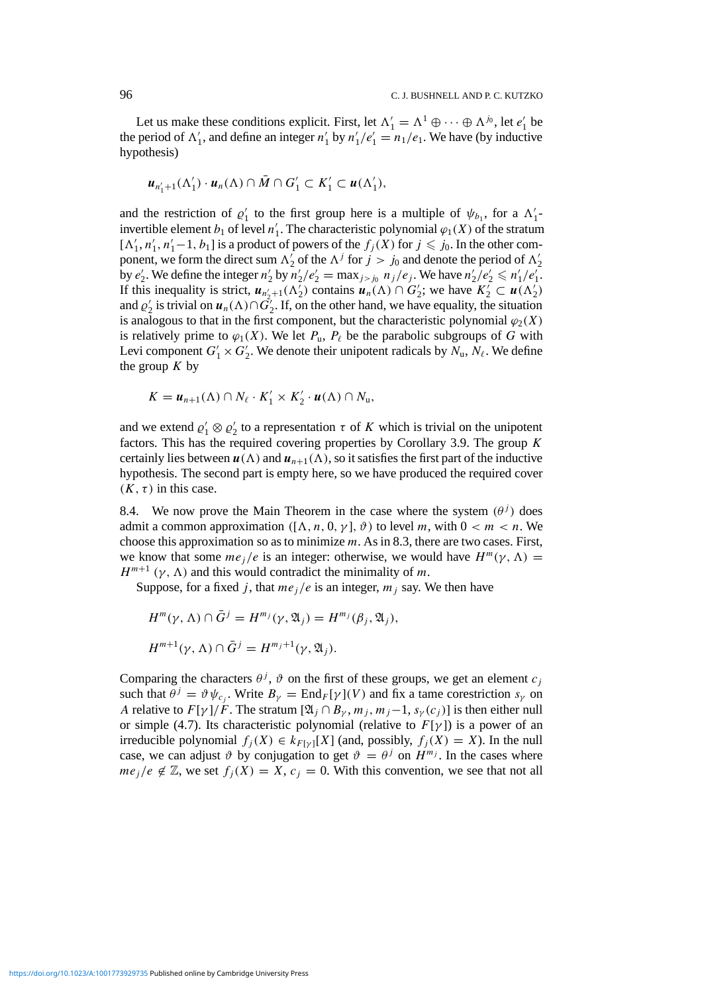Let us make these conditions explicit. First, let  $\Lambda'_1 = \Lambda^1 \oplus \cdots \oplus \Lambda^{j_0}$ , let  $e'_1$  be the period of  $\Lambda'_1$ , and define an integer  $n'_1$  by  $n'_1/e'_1 = n_1/e_1$ . We have (by inductive hypothesis)

$$
\boldsymbol{u}_{n'_1+1}(\Lambda'_1)\cdot\boldsymbol{u}_n(\Lambda)\cap\bar{M}\cap G'_1\subset K'_1\subset\boldsymbol{u}(\Lambda'_1),
$$

and the restriction of  $\varrho'_1$  to the first group here is a multiple of  $\psi_{b_1}$ , for a  $\Lambda'_1$ invertible element *b*<sub>1</sub> of level *n*<sup>1</sup><sub>1</sub>. The characteristic polynomial  $\varphi_1(X)$  of the stratum  $[\Lambda'_1, n'_1, n'_1-1, b_1]$  is a product of powers of the  $f_j(X)$  for  $j \leq j_0$ . In the other component, we form the direct sum  $\Lambda'_2$  of the  $\Lambda^j$  for  $j > j_0$  and denote the period of  $\Lambda'_2$ by  $e'_2$ . We define the integer  $n'_2$  by  $n'_2/e'_2 = \max_{j > j_0} n_j/e_j$ . We have  $n'_2/e'_2 \le n'_1/e'_1$ . If this inequality is strict,  $u_{n'_2+1}(\Lambda_2)$  contains  $u_n(\Lambda) \cap G'_2$ ; we have  $K_2^{\prime} \subset u(\Lambda_2^{\prime})$ and  $\varrho'_2$  is trivial on  $u_n(\Lambda) \cap \tilde{G'_2}$ . If, on the other hand, we have equality, the situation is analogous to that in the first component, but the characteristic polynomial  $\varphi_2(X)$ is relatively prime to  $\varphi_1(X)$ . We let  $P_u$ ,  $P_\ell$  be the parabolic subgroups of *G* with Levi component  $G'_1 \times G'_2$ . We denote their unipotent radicals by  $N_u$ ,  $N_\ell$ . We define the group  $K$  by

$$
K = u_{n+1}(\Lambda) \cap N_{\ell} \cdot K_1' \times K_2' \cdot u(\Lambda) \cap N_{\mathfrak{u}},
$$

and we extend  $\varrho'_1 \otimes \varrho'_2$  to a representation  $\tau$  of *K* which is trivial on the unipotent factors. This has the required covering properties by Corollary 3.9. The group *K* certainly lies between  $u(\Lambda)$  and  $u_{n+1}(\Lambda)$ , so it satisfies the first part of the inductive hypothesis. The second part is empty here, so we have produced the required cover  $(K, \tau)$  in this case.

8.4. We now prove the Main Theorem in the case where the system  $(\theta^j)$  does admit a common approximation  $([\Lambda, n, 0, \gamma], \vartheta)$  to level *m*, with  $0 < m < n$ . We choose this approximation so as to minimize *m*. As in 8.3, there are two cases. First, we know that some  $me_j/e$  is an integer: otherwise, we would have  $H^m(\gamma, \Lambda) =$  $H^{m+1}$  ( $\gamma$ ,  $\Lambda$ ) and this would contradict the minimality of *m*.

Suppose, for a fixed *j*, that  $me<sub>i</sub>/e$  is an integer,  $m<sub>i</sub>$  say. We then have

$$
H^m(\gamma, \Lambda) \cap \overline{G}^j = H^{m_j}(\gamma, \mathfrak{A}_j) = H^{m_j}(\beta_j, \mathfrak{A}_j),
$$
  

$$
H^{m+1}(\gamma, \Lambda) \cap \overline{G}^j = H^{m_j+1}(\gamma, \mathfrak{A}_j).
$$

Comparing the characters  $\theta$ <sup>*j*</sup>,  $\vartheta$  on the first of these groups, we get an element  $c_j$ such that  $\theta^j = \vartheta \psi_{c_j}$ . Write  $B_\gamma = \text{End}_F[\gamma](V)$  and fix a tame corestriction  $s_\gamma$  on *A* relative to  $F[\gamma]/F$ . The stratum  $[\mathfrak{A}_i \cap B_{\gamma}, m_i, m_j-1, s_{\gamma}(c_i)]$  is then either null or simple (4.7). Its characteristic polynomial (relative to  $F[\gamma]$ ) is a power of an irreducible polynomial  $f_i(X) \in k_{F[\gamma]}[X]$  (and, possibly,  $f_i(X) = X$ ). In the null case, we can adjust  $\vartheta$  by conjugation to get  $\vartheta = \theta^j$  on  $H^{m_j}$ . In the cases where  $me_i/e \notin \mathbb{Z}$ , we set  $f_i(X) = X$ ,  $c_i = 0$ . With this convention, we see that not all